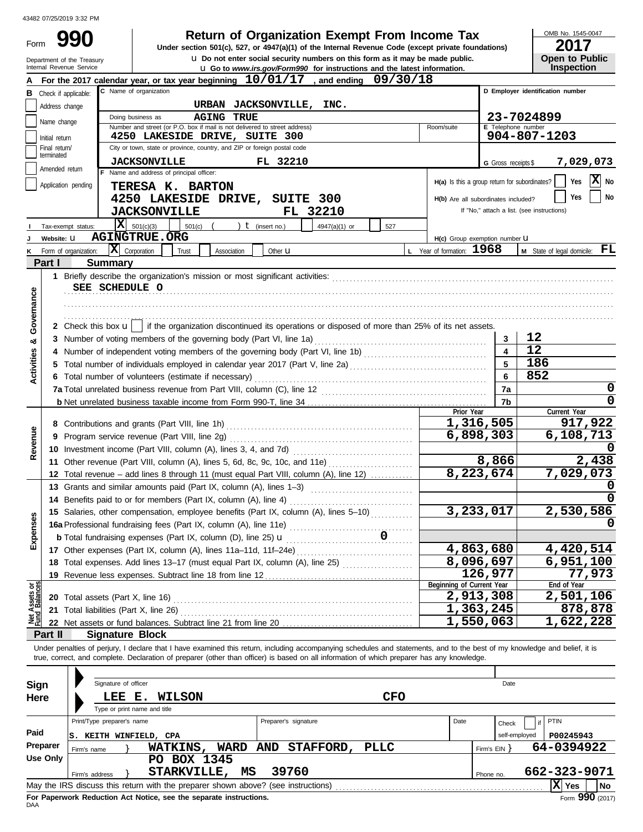| Form              |                               |                                   |                            |                                                                                                                                                                            |                   |                      | <b>Return of Organization Exempt From Income Tax</b>                                                                                                                                       |      |            |                           |                                               | OMB No. 1545-0047<br>2017                       |         |
|-------------------|-------------------------------|-----------------------------------|----------------------------|----------------------------------------------------------------------------------------------------------------------------------------------------------------------------|-------------------|----------------------|--------------------------------------------------------------------------------------------------------------------------------------------------------------------------------------------|------|------------|---------------------------|-----------------------------------------------|-------------------------------------------------|---------|
|                   |                               | Department of the Treasury        |                            |                                                                                                                                                                            |                   |                      | Under section 501(c), 527, or 4947(a)(1) of the Internal Revenue Code (except private foundations)<br><b>u</b> Do not enter social security numbers on this form as it may be made public. |      |            |                           |                                               | Open to Public                                  |         |
|                   |                               | Internal Revenue Service          |                            |                                                                                                                                                                            |                   |                      | <b>u</b> Go to www.irs.gov/Form990 for instructions and the latest information.                                                                                                            |      |            |                           |                                               | Inspection                                      |         |
|                   |                               |                                   |                            | For the 2017 calendar year, or tax year beginning $10/01/17$ , and ending 09/30/18                                                                                         |                   |                      |                                                                                                                                                                                            |      |            |                           |                                               |                                                 |         |
|                   | <b>B</b> Check if applicable: |                                   |                            | C Name of organization                                                                                                                                                     |                   |                      |                                                                                                                                                                                            |      |            |                           |                                               | D Employer identification number                |         |
|                   | Address change                |                                   |                            |                                                                                                                                                                            |                   |                      | URBAN JACKSONVILLE, INC.                                                                                                                                                                   |      |            |                           |                                               |                                                 |         |
|                   | Name change                   |                                   | Doing business as          | Number and street (or P.O. box if mail is not delivered to street address)                                                                                                 | <b>AGING TRUE</b> |                      |                                                                                                                                                                                            |      |            | Room/suite                | E Telephone number                            | 23-7024899                                      |         |
|                   | Initial return                |                                   |                            | 4250 LAKESIDE DRIVE, SUITE 300                                                                                                                                             |                   |                      |                                                                                                                                                                                            |      |            |                           |                                               | 904-807-1203                                    |         |
|                   | Final return/                 |                                   |                            | City or town, state or province, country, and ZIP or foreign postal code                                                                                                   |                   |                      |                                                                                                                                                                                            |      |            |                           |                                               |                                                 |         |
|                   | terminated                    |                                   |                            | <b>JACKSONVILLE</b>                                                                                                                                                        |                   | FL 32210             |                                                                                                                                                                                            |      |            |                           | G Gross receipts \$                           | 7,029,073                                       |         |
|                   | Amended return                |                                   |                            | F Name and address of principal officer:                                                                                                                                   |                   |                      |                                                                                                                                                                                            |      |            |                           |                                               |                                                 | X No    |
|                   |                               | Application pending               |                            | TERESA K. BARTON                                                                                                                                                           |                   |                      |                                                                                                                                                                                            |      |            |                           | H(a) Is this a group return for subordinates? | Yes                                             |         |
|                   |                               |                                   |                            | 4250 LAKESIDE DRIVE, SUITE 300                                                                                                                                             |                   |                      |                                                                                                                                                                                            |      |            |                           | H(b) Are all subordinates included?           | Yes                                             | No      |
|                   |                               |                                   |                            | <b>JACKSONVILLE</b>                                                                                                                                                        |                   |                      | FL 32210                                                                                                                                                                                   |      |            |                           |                                               | If "No," attach a list. (see instructions)      |         |
|                   |                               | Tax-exempt status:                | $X = 501(c)(3)$            | 501(c)                                                                                                                                                                     |                   | $t$ (insert no.)     | 4947(a)(1) or                                                                                                                                                                              |      | 527        |                           |                                               |                                                 |         |
|                   | Website: U                    |                                   |                            | <b>AGINGTRUE.ORG</b>                                                                                                                                                       |                   |                      |                                                                                                                                                                                            |      |            |                           | H(c) Group exemption number LI                |                                                 |         |
|                   |                               | Form of organization:             | $ \mathbf{X} $ Corporation | Trust                                                                                                                                                                      | Association       | Other <b>u</b>       |                                                                                                                                                                                            |      |            | L Year of formation: 1968 |                                               | <b>M</b> State of legal domicile: $\mathbf{FL}$ |         |
|                   | Part I                        |                                   | <b>Summary</b>             |                                                                                                                                                                            |                   |                      |                                                                                                                                                                                            |      |            |                           |                                               |                                                 |         |
|                   |                               |                                   |                            |                                                                                                                                                                            |                   |                      |                                                                                                                                                                                            |      |            |                           |                                               |                                                 |         |
|                   |                               | SEE SCHEDULE O                    |                            |                                                                                                                                                                            |                   |                      |                                                                                                                                                                                            |      |            |                           |                                               |                                                 |         |
|                   |                               |                                   |                            |                                                                                                                                                                            |                   |                      |                                                                                                                                                                                            |      |            |                           |                                               |                                                 |         |
| Governance        |                               |                                   |                            |                                                                                                                                                                            |                   |                      |                                                                                                                                                                                            |      |            |                           |                                               |                                                 |         |
|                   |                               |                                   |                            | 2 Check this box <b>u</b>   if the organization discontinued its operations or disposed of more than 25% of its net assets.                                                |                   |                      |                                                                                                                                                                                            |      |            |                           |                                               |                                                 |         |
| ఱ                 |                               |                                   |                            |                                                                                                                                                                            |                   |                      |                                                                                                                                                                                            |      |            |                           | 3                                             | 12                                              |         |
|                   |                               |                                   |                            | 4 Number of independent voting members of the governing body (Part VI, line 1b) [11] [11] Number of independent voting members of the governing body (Part VI, line 1b)    |                   |                      |                                                                                                                                                                                            |      |            |                           | $\overline{\mathbf{4}}$                       | 12<br>186                                       |         |
| <b>Activities</b> |                               |                                   |                            |                                                                                                                                                                            |                   |                      |                                                                                                                                                                                            |      |            |                           | 5                                             | 852                                             |         |
|                   |                               |                                   |                            | 6 Total number of volunteers (estimate if necessary)                                                                                                                       |                   |                      |                                                                                                                                                                                            |      |            |                           | 6                                             |                                                 | 0       |
|                   |                               |                                   |                            |                                                                                                                                                                            |                   |                      |                                                                                                                                                                                            |      |            |                           | 7a<br>7b                                      |                                                 | 0       |
|                   |                               |                                   |                            |                                                                                                                                                                            |                   |                      |                                                                                                                                                                                            |      |            | Prior Year                |                                               | Current Year                                    |         |
|                   |                               |                                   |                            |                                                                                                                                                                            |                   |                      |                                                                                                                                                                                            |      |            |                           | 1,316,505                                     |                                                 | 917,922 |
|                   |                               |                                   |                            |                                                                                                                                                                            |                   |                      |                                                                                                                                                                                            |      |            |                           | 6,898,303                                     | 6,108,713                                       |         |
| Revenue           |                               |                                   |                            |                                                                                                                                                                            |                   |                      |                                                                                                                                                                                            |      |            |                           |                                               |                                                 |         |
|                   |                               |                                   |                            | 11 Other revenue (Part VIII, column (A), lines 5, 6d, 8c, 9c, 10c, and 11e)                                                                                                |                   |                      |                                                                                                                                                                                            |      |            |                           | 8,866                                         |                                                 | 2,438   |
|                   |                               |                                   |                            | 12 Total revenue - add lines 8 through 11 (must equal Part VIII, column (A), line 12)                                                                                      |                   |                      |                                                                                                                                                                                            |      |            |                           | 8,223,674                                     | 7,029,073                                       |         |
|                   |                               |                                   |                            | 13 Grants and similar amounts paid (Part IX, column (A), lines 1-3)                                                                                                        |                   |                      |                                                                                                                                                                                            |      |            |                           |                                               |                                                 |         |
|                   |                               |                                   |                            |                                                                                                                                                                            |                   |                      |                                                                                                                                                                                            |      |            |                           |                                               |                                                 | 0       |
|                   |                               |                                   |                            | 15 Salaries, other compensation, employee benefits (Part IX, column (A), lines 5-10)                                                                                       |                   |                      |                                                                                                                                                                                            |      |            |                           | 3,233,017                                     | 2,530,586                                       |         |
| Expenses          |                               |                                   |                            |                                                                                                                                                                            |                   |                      |                                                                                                                                                                                            |      |            |                           |                                               |                                                 |         |
|                   |                               |                                   |                            | <b>b</b> Total fundraising expenses (Part IX, column (D), line 25) <b>u</b>                                                                                                |                   |                      |                                                                                                                                                                                            |      |            |                           |                                               |                                                 |         |
|                   |                               |                                   |                            |                                                                                                                                                                            |                   |                      |                                                                                                                                                                                            |      |            |                           | 4,863,680                                     | 4,420,514                                       |         |
|                   |                               |                                   |                            | 18 Total expenses. Add lines 13-17 (must equal Part IX, column (A), line 25) [                                                                                             |                   |                      |                                                                                                                                                                                            |      |            |                           | 8,096,697                                     | 6,951,100                                       |         |
|                   |                               |                                   |                            |                                                                                                                                                                            |                   |                      |                                                                                                                                                                                            |      |            | Beginning of Current Year | 126,977                                       | End of Year                                     | 77,973  |
| Assets or         |                               | 20 Total assets (Part X, line 16) |                            |                                                                                                                                                                            |                   |                      |                                                                                                                                                                                            |      |            |                           | 2,913,308                                     | 2,501,106                                       |         |
|                   |                               |                                   |                            | 21 Total liabilities (Part X, line 26)                                                                                                                                     |                   |                      |                                                                                                                                                                                            |      |            |                           | 1,363,245                                     |                                                 | 878,878 |
| Det<br>Pund       |                               |                                   |                            |                                                                                                                                                                            |                   |                      |                                                                                                                                                                                            |      |            |                           | 1,550,063                                     | 1,622,228                                       |         |
|                   | Part II                       |                                   | <b>Signature Block</b>     |                                                                                                                                                                            |                   |                      |                                                                                                                                                                                            |      |            |                           |                                               |                                                 |         |
|                   |                               |                                   |                            | Under penalties of perjury, I declare that I have examined this return, including accompanying schedules and statements, and to the best of my knowledge and belief, it is |                   |                      |                                                                                                                                                                                            |      |            |                           |                                               |                                                 |         |
|                   |                               |                                   |                            | true, correct, and complete. Declaration of preparer (other than officer) is based on all information of which preparer has any knowledge.                                 |                   |                      |                                                                                                                                                                                            |      |            |                           |                                               |                                                 |         |
|                   |                               |                                   |                            |                                                                                                                                                                            |                   |                      |                                                                                                                                                                                            |      |            |                           |                                               |                                                 |         |
| Sign              |                               |                                   | Signature of officer       |                                                                                                                                                                            |                   |                      |                                                                                                                                                                                            |      |            |                           | Date                                          |                                                 |         |
| Here              |                               |                                   | LEE E.                     | <b>WILSON</b>                                                                                                                                                              |                   |                      |                                                                                                                                                                                            |      | <b>CFO</b> |                           |                                               |                                                 |         |
|                   |                               |                                   |                            | Type or print name and title                                                                                                                                               |                   |                      |                                                                                                                                                                                            |      |            |                           |                                               |                                                 |         |
|                   |                               | Print/Type preparer's name        |                            |                                                                                                                                                                            |                   | Preparer's signature |                                                                                                                                                                                            |      |            | Date                      | Check                                         | PTIN                                            |         |
| Paid              |                               |                                   |                            | S. KEITH WINFIELD, CPA                                                                                                                                                     |                   |                      |                                                                                                                                                                                            |      |            |                           |                                               | self-employed<br>P00245943                      |         |
|                   | Preparer                      | Firm's name                       |                            |                                                                                                                                                                            |                   |                      | WATKINS, WARD AND STAFFORD,                                                                                                                                                                | PLLC |            |                           | Firm's $EIN$ }                                | 64-0394922                                      |         |
|                   | <b>Use Only</b>               |                                   |                            | PO BOX 1345                                                                                                                                                                |                   |                      |                                                                                                                                                                                            |      |            |                           |                                               |                                                 |         |
|                   |                               | Firm's address                    |                            | <b>STARKVILLE,</b>                                                                                                                                                         | MS                | 39760                |                                                                                                                                                                                            |      |            |                           | Phone no.                                     | 662-323-9071                                    |         |
|                   |                               |                                   |                            |                                                                                                                                                                            |                   |                      |                                                                                                                                                                                            |      |            |                           |                                               | $ X $ Yes                                       | No      |

| Sign     |                            | Signature of officer         |    |                                                                                   |      |     |                      |             |      |            | Date          |              |                                   |
|----------|----------------------------|------------------------------|----|-----------------------------------------------------------------------------------|------|-----|----------------------|-------------|------|------------|---------------|--------------|-----------------------------------|
| Here     |                            | LEE                          | Е. | <b>WILSON</b>                                                                     |      |     |                      | CFO         |      |            |               |              |                                   |
|          |                            | Type or print name and title |    |                                                                                   |      |     |                      |             |      |            |               |              |                                   |
|          | Print/Type preparer's name |                              |    |                                                                                   |      |     | Preparer's signature |             | Date |            | Check         | PTIN         |                                   |
| Paid     | ls.                        |                              |    | KEITH WINFIELD, CPA                                                               |      |     |                      |             |      |            | self-employed | P00245943    |                                   |
| Preparer | Firm's name                |                              |    | <b>WATKINS,</b>                                                                   | WARD | AND | <b>STAFFORD,</b>     | <b>PLLC</b> |      | Firm's EIN |               | 64-0394922   |                                   |
| Use Only |                            |                              |    | <b>BOX 1345</b><br>PO.                                                            |      |     |                      |             |      |            |               |              |                                   |
|          | Firm's address             |                              |    | STARKVILLE,                                                                       | MS   |     | 39760                |             |      | Phone no.  |               | 662-323-9071 |                                   |
|          |                            |                              |    | May the IRS discuss this return with the preparer shown above? (see instructions) |      |     |                      |             |      |            |               | Ixl<br>Yes   | l No                              |
|          |                            |                              |    | For Donoruork Reduction Act Notice, can the conorate instructions                 |      |     |                      |             |      |            |               |              | $\overline{a}$ 000 $\overline{a}$ |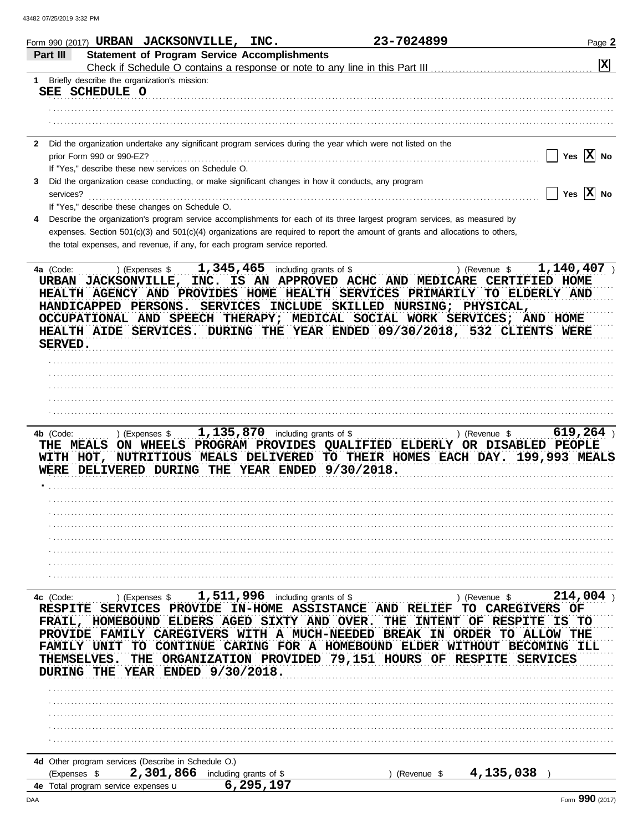| <b>Statement of Program Service Accomplishments</b><br>Part III<br>1 Briefly describe the organization's mission:<br>SEE SCHEDULE O<br>2 Did the organization undertake any significant program services during the year which were not listed on the<br>Yes $\overline{X}$ No<br>prior Form 990 or 990-EZ?<br>If "Yes," describe these new services on Schedule O.<br>Did the organization cease conducting, or make significant changes in how it conducts, any program<br>3<br>services?<br>If "Yes," describe these changes on Schedule O.<br>Describe the organization's program service accomplishments for each of its three largest program services, as measured by<br>4<br>expenses. Section 501(c)(3) and 501(c)(4) organizations are required to report the amount of grants and allocations to others,<br>the total expenses, and revenue, if any, for each program service reported.<br>) (Expenses $$1,345,465$ including grants of \$<br>) (Revenue \$<br>4a (Code:<br>URBAN JACKSONVILLE, INC. IS AN APPROVED ACHC AND MEDICARE CERTIFIED HOME<br>HEALTH AGENCY AND PROVIDES HOME HEALTH SERVICES PRIMARILY TO ELDERLY AND<br>HANDICAPPED PERSONS. SERVICES INCLUDE SKILLED NURSING; PHYSICAL,<br>OCCUPATIONAL AND SPEECH THERAPY; MEDICAL SOCIAL WORK SERVICES; AND HOME<br>HEALTH AIDE SERVICES. DURING THE YEAR ENDED 09/30/2018, 532 CLIENTS WERE<br>SERVED.<br>619,264<br>) (Revenue \$<br>4b (Code:<br>THE MEALS ON WHEELS PROGRAM PROVIDES QUALIFIED ELDERLY OR DISABLED PEOPLE<br>WITH HOT, NUTRITIOUS MEALS DELIVERED TO THEIR HOMES EACH DAY. 199,993 MEALS<br>WERE DELIVERED DURING THE YEAR ENDED 9/30/2018.<br>$1,511,996$ including grants of \$<br>4c (Code:<br>) (Expenses \$<br>) (Revenue \$<br><b>PROVIDE IN-HOME ASSISTANCE AND RELIEF</b><br><b>RESPITE</b><br><b>SERVICES</b><br>TO CAREGIVERS OF<br>ELDERS AGED SIXTY AND OVER.<br>THE INTENT<br>FRAIL, HOMEBOUND<br>OF RESPITE<br>IS TO<br>PROVIDE FAMILY CAREGIVERS WITH A MUCH-NEEDED BREAK IN ORDER<br>TO ALLOW THE<br>TO CONTINUE CARING FOR A HOMEBOUND ELDER WITHOUT BECOMING ILL<br><b>FAMILY UNIT</b><br>THE ORGANIZATION PROVIDED 79,151 HOURS OF RESPITE SERVICES<br><b>THEMSELVES.</b><br>DURING THE YEAR ENDED 9/30/2018.<br>4d Other program services (Describe in Schedule O.)<br>4,135,038<br>2,301,866 including grants of \$<br>(Expenses \$<br>(Revenue \$<br>6,295,197<br>4e Total program service expenses <b>u</b> | Form 990 (2017) URBAN JACKSONVILLE, INC. |  | 23-7024899 | Page 2                |
|----------------------------------------------------------------------------------------------------------------------------------------------------------------------------------------------------------------------------------------------------------------------------------------------------------------------------------------------------------------------------------------------------------------------------------------------------------------------------------------------------------------------------------------------------------------------------------------------------------------------------------------------------------------------------------------------------------------------------------------------------------------------------------------------------------------------------------------------------------------------------------------------------------------------------------------------------------------------------------------------------------------------------------------------------------------------------------------------------------------------------------------------------------------------------------------------------------------------------------------------------------------------------------------------------------------------------------------------------------------------------------------------------------------------------------------------------------------------------------------------------------------------------------------------------------------------------------------------------------------------------------------------------------------------------------------------------------------------------------------------------------------------------------------------------------------------------------------------------------------------------------------------------------------------------------------------------------------------------------------------------------------------------------------------------------------------------------------------------------------------------------------------------------------------------------------------------------------------------------------------------------------------------------------------------------------------------------------------------------------------------------------------------------------------------------|------------------------------------------|--|------------|-----------------------|
|                                                                                                                                                                                                                                                                                                                                                                                                                                                                                                                                                                                                                                                                                                                                                                                                                                                                                                                                                                                                                                                                                                                                                                                                                                                                                                                                                                                                                                                                                                                                                                                                                                                                                                                                                                                                                                                                                                                                                                                                                                                                                                                                                                                                                                                                                                                                                                                                                                  |                                          |  |            | $ \mathbf{x} $        |
|                                                                                                                                                                                                                                                                                                                                                                                                                                                                                                                                                                                                                                                                                                                                                                                                                                                                                                                                                                                                                                                                                                                                                                                                                                                                                                                                                                                                                                                                                                                                                                                                                                                                                                                                                                                                                                                                                                                                                                                                                                                                                                                                                                                                                                                                                                                                                                                                                                  |                                          |  |            |                       |
|                                                                                                                                                                                                                                                                                                                                                                                                                                                                                                                                                                                                                                                                                                                                                                                                                                                                                                                                                                                                                                                                                                                                                                                                                                                                                                                                                                                                                                                                                                                                                                                                                                                                                                                                                                                                                                                                                                                                                                                                                                                                                                                                                                                                                                                                                                                                                                                                                                  |                                          |  |            |                       |
|                                                                                                                                                                                                                                                                                                                                                                                                                                                                                                                                                                                                                                                                                                                                                                                                                                                                                                                                                                                                                                                                                                                                                                                                                                                                                                                                                                                                                                                                                                                                                                                                                                                                                                                                                                                                                                                                                                                                                                                                                                                                                                                                                                                                                                                                                                                                                                                                                                  |                                          |  |            |                       |
|                                                                                                                                                                                                                                                                                                                                                                                                                                                                                                                                                                                                                                                                                                                                                                                                                                                                                                                                                                                                                                                                                                                                                                                                                                                                                                                                                                                                                                                                                                                                                                                                                                                                                                                                                                                                                                                                                                                                                                                                                                                                                                                                                                                                                                                                                                                                                                                                                                  |                                          |  |            |                       |
|                                                                                                                                                                                                                                                                                                                                                                                                                                                                                                                                                                                                                                                                                                                                                                                                                                                                                                                                                                                                                                                                                                                                                                                                                                                                                                                                                                                                                                                                                                                                                                                                                                                                                                                                                                                                                                                                                                                                                                                                                                                                                                                                                                                                                                                                                                                                                                                                                                  |                                          |  |            |                       |
|                                                                                                                                                                                                                                                                                                                                                                                                                                                                                                                                                                                                                                                                                                                                                                                                                                                                                                                                                                                                                                                                                                                                                                                                                                                                                                                                                                                                                                                                                                                                                                                                                                                                                                                                                                                                                                                                                                                                                                                                                                                                                                                                                                                                                                                                                                                                                                                                                                  |                                          |  |            |                       |
|                                                                                                                                                                                                                                                                                                                                                                                                                                                                                                                                                                                                                                                                                                                                                                                                                                                                                                                                                                                                                                                                                                                                                                                                                                                                                                                                                                                                                                                                                                                                                                                                                                                                                                                                                                                                                                                                                                                                                                                                                                                                                                                                                                                                                                                                                                                                                                                                                                  |                                          |  |            | Yes $\overline{X}$ No |
|                                                                                                                                                                                                                                                                                                                                                                                                                                                                                                                                                                                                                                                                                                                                                                                                                                                                                                                                                                                                                                                                                                                                                                                                                                                                                                                                                                                                                                                                                                                                                                                                                                                                                                                                                                                                                                                                                                                                                                                                                                                                                                                                                                                                                                                                                                                                                                                                                                  |                                          |  |            |                       |
|                                                                                                                                                                                                                                                                                                                                                                                                                                                                                                                                                                                                                                                                                                                                                                                                                                                                                                                                                                                                                                                                                                                                                                                                                                                                                                                                                                                                                                                                                                                                                                                                                                                                                                                                                                                                                                                                                                                                                                                                                                                                                                                                                                                                                                                                                                                                                                                                                                  |                                          |  |            |                       |
|                                                                                                                                                                                                                                                                                                                                                                                                                                                                                                                                                                                                                                                                                                                                                                                                                                                                                                                                                                                                                                                                                                                                                                                                                                                                                                                                                                                                                                                                                                                                                                                                                                                                                                                                                                                                                                                                                                                                                                                                                                                                                                                                                                                                                                                                                                                                                                                                                                  |                                          |  |            | 1,140,407             |
|                                                                                                                                                                                                                                                                                                                                                                                                                                                                                                                                                                                                                                                                                                                                                                                                                                                                                                                                                                                                                                                                                                                                                                                                                                                                                                                                                                                                                                                                                                                                                                                                                                                                                                                                                                                                                                                                                                                                                                                                                                                                                                                                                                                                                                                                                                                                                                                                                                  |                                          |  |            |                       |
|                                                                                                                                                                                                                                                                                                                                                                                                                                                                                                                                                                                                                                                                                                                                                                                                                                                                                                                                                                                                                                                                                                                                                                                                                                                                                                                                                                                                                                                                                                                                                                                                                                                                                                                                                                                                                                                                                                                                                                                                                                                                                                                                                                                                                                                                                                                                                                                                                                  |                                          |  |            |                       |
|                                                                                                                                                                                                                                                                                                                                                                                                                                                                                                                                                                                                                                                                                                                                                                                                                                                                                                                                                                                                                                                                                                                                                                                                                                                                                                                                                                                                                                                                                                                                                                                                                                                                                                                                                                                                                                                                                                                                                                                                                                                                                                                                                                                                                                                                                                                                                                                                                                  |                                          |  |            |                       |
|                                                                                                                                                                                                                                                                                                                                                                                                                                                                                                                                                                                                                                                                                                                                                                                                                                                                                                                                                                                                                                                                                                                                                                                                                                                                                                                                                                                                                                                                                                                                                                                                                                                                                                                                                                                                                                                                                                                                                                                                                                                                                                                                                                                                                                                                                                                                                                                                                                  |                                          |  |            |                       |
|                                                                                                                                                                                                                                                                                                                                                                                                                                                                                                                                                                                                                                                                                                                                                                                                                                                                                                                                                                                                                                                                                                                                                                                                                                                                                                                                                                                                                                                                                                                                                                                                                                                                                                                                                                                                                                                                                                                                                                                                                                                                                                                                                                                                                                                                                                                                                                                                                                  |                                          |  |            |                       |
|                                                                                                                                                                                                                                                                                                                                                                                                                                                                                                                                                                                                                                                                                                                                                                                                                                                                                                                                                                                                                                                                                                                                                                                                                                                                                                                                                                                                                                                                                                                                                                                                                                                                                                                                                                                                                                                                                                                                                                                                                                                                                                                                                                                                                                                                                                                                                                                                                                  |                                          |  |            |                       |
|                                                                                                                                                                                                                                                                                                                                                                                                                                                                                                                                                                                                                                                                                                                                                                                                                                                                                                                                                                                                                                                                                                                                                                                                                                                                                                                                                                                                                                                                                                                                                                                                                                                                                                                                                                                                                                                                                                                                                                                                                                                                                                                                                                                                                                                                                                                                                                                                                                  |                                          |  |            |                       |
|                                                                                                                                                                                                                                                                                                                                                                                                                                                                                                                                                                                                                                                                                                                                                                                                                                                                                                                                                                                                                                                                                                                                                                                                                                                                                                                                                                                                                                                                                                                                                                                                                                                                                                                                                                                                                                                                                                                                                                                                                                                                                                                                                                                                                                                                                                                                                                                                                                  |                                          |  |            |                       |
|                                                                                                                                                                                                                                                                                                                                                                                                                                                                                                                                                                                                                                                                                                                                                                                                                                                                                                                                                                                                                                                                                                                                                                                                                                                                                                                                                                                                                                                                                                                                                                                                                                                                                                                                                                                                                                                                                                                                                                                                                                                                                                                                                                                                                                                                                                                                                                                                                                  |                                          |  |            |                       |
|                                                                                                                                                                                                                                                                                                                                                                                                                                                                                                                                                                                                                                                                                                                                                                                                                                                                                                                                                                                                                                                                                                                                                                                                                                                                                                                                                                                                                                                                                                                                                                                                                                                                                                                                                                                                                                                                                                                                                                                                                                                                                                                                                                                                                                                                                                                                                                                                                                  |                                          |  |            | 214,004               |
|                                                                                                                                                                                                                                                                                                                                                                                                                                                                                                                                                                                                                                                                                                                                                                                                                                                                                                                                                                                                                                                                                                                                                                                                                                                                                                                                                                                                                                                                                                                                                                                                                                                                                                                                                                                                                                                                                                                                                                                                                                                                                                                                                                                                                                                                                                                                                                                                                                  |                                          |  |            |                       |
|                                                                                                                                                                                                                                                                                                                                                                                                                                                                                                                                                                                                                                                                                                                                                                                                                                                                                                                                                                                                                                                                                                                                                                                                                                                                                                                                                                                                                                                                                                                                                                                                                                                                                                                                                                                                                                                                                                                                                                                                                                                                                                                                                                                                                                                                                                                                                                                                                                  |                                          |  |            |                       |
|                                                                                                                                                                                                                                                                                                                                                                                                                                                                                                                                                                                                                                                                                                                                                                                                                                                                                                                                                                                                                                                                                                                                                                                                                                                                                                                                                                                                                                                                                                                                                                                                                                                                                                                                                                                                                                                                                                                                                                                                                                                                                                                                                                                                                                                                                                                                                                                                                                  |                                          |  |            |                       |
|                                                                                                                                                                                                                                                                                                                                                                                                                                                                                                                                                                                                                                                                                                                                                                                                                                                                                                                                                                                                                                                                                                                                                                                                                                                                                                                                                                                                                                                                                                                                                                                                                                                                                                                                                                                                                                                                                                                                                                                                                                                                                                                                                                                                                                                                                                                                                                                                                                  |                                          |  |            |                       |
| DAA                                                                                                                                                                                                                                                                                                                                                                                                                                                                                                                                                                                                                                                                                                                                                                                                                                                                                                                                                                                                                                                                                                                                                                                                                                                                                                                                                                                                                                                                                                                                                                                                                                                                                                                                                                                                                                                                                                                                                                                                                                                                                                                                                                                                                                                                                                                                                                                                                              |                                          |  |            | Form 990 (2017)       |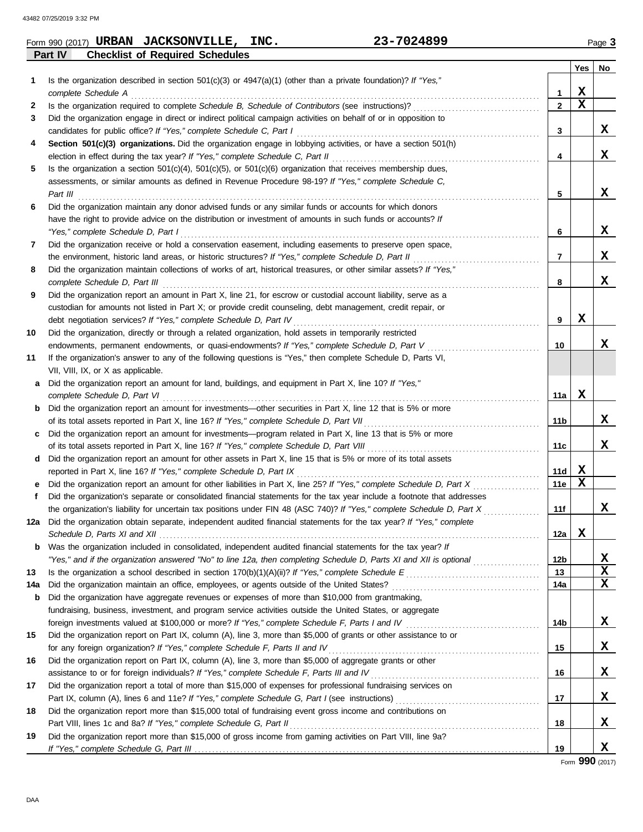| JACKSONVILLE,<br>Form 990 (2017) URBAN            | 23-7024899<br>INC. | Page 3 |
|---------------------------------------------------|--------------------|--------|
| Part IV<br><b>Checklist of Required Schedules</b> |                    |        |

|     |                                                                                                                                                                                                                                |                 | <b>Yes</b>  | No          |
|-----|--------------------------------------------------------------------------------------------------------------------------------------------------------------------------------------------------------------------------------|-----------------|-------------|-------------|
| 1.  | Is the organization described in section 501(c)(3) or $4947(a)(1)$ (other than a private foundation)? If "Yes,"                                                                                                                |                 |             |             |
|     | complete Schedule A example of the contract of the state of the state of the state of the state of the state of the state of the state of the state of the state of the state of the state of the state of the state of the st | 1               | X           |             |
| 2   |                                                                                                                                                                                                                                | $\mathbf{2}$    | $\mathbf x$ |             |
| 3   | Did the organization engage in direct or indirect political campaign activities on behalf of or in opposition to                                                                                                               |                 |             |             |
|     |                                                                                                                                                                                                                                | 3               |             | X           |
| 4   | Section 501(c)(3) organizations. Did the organization engage in lobbying activities, or have a section 501(h)                                                                                                                  |                 |             |             |
|     |                                                                                                                                                                                                                                | 4               |             | x           |
| 5   | Is the organization a section $501(c)(4)$ , $501(c)(5)$ , or $501(c)(6)$ organization that receives membership dues,                                                                                                           |                 |             |             |
|     | assessments, or similar amounts as defined in Revenue Procedure 98-19? If "Yes," complete Schedule C,                                                                                                                          |                 |             |             |
|     |                                                                                                                                                                                                                                | 5               |             | x           |
| 6   | Did the organization maintain any donor advised funds or any similar funds or accounts for which donors                                                                                                                        |                 |             |             |
|     | have the right to provide advice on the distribution or investment of amounts in such funds or accounts? If                                                                                                                    |                 |             |             |
|     | "Yes," complete Schedule D, Part I                                                                                                                                                                                             | 6               |             | x           |
| 7   | Did the organization receive or hold a conservation easement, including easements to preserve open space,                                                                                                                      |                 |             |             |
|     | the environment, historic land areas, or historic structures? If "Yes," complete Schedule D, Part II                                                                                                                           | 7               |             | x           |
| 8   | Did the organization maintain collections of works of art, historical treasures, or other similar assets? If "Yes,"                                                                                                            |                 |             |             |
|     | complete Schedule D, Part III                                                                                                                                                                                                  | 8               |             | X           |
| 9   | Did the organization report an amount in Part X, line 21, for escrow or custodial account liability, serve as a                                                                                                                |                 |             |             |
|     | custodian for amounts not listed in Part X; or provide credit counseling, debt management, credit repair, or                                                                                                                   |                 |             |             |
|     |                                                                                                                                                                                                                                | 9               | X           |             |
| 10  | Did the organization, directly or through a related organization, hold assets in temporarily restricted                                                                                                                        |                 |             |             |
|     | endowments, permanent endowments, or quasi-endowments? If "Yes," complete Schedule D, Part V                                                                                                                                   | 10              |             | x           |
| 11  | If the organization's answer to any of the following questions is "Yes," then complete Schedule D, Parts VI,                                                                                                                   |                 |             |             |
|     | VII, VIII, IX, or X as applicable.                                                                                                                                                                                             |                 |             |             |
|     | a Did the organization report an amount for land, buildings, and equipment in Part X, line 10? If "Yes,"                                                                                                                       |                 | X           |             |
|     | complete Schedule D, Part VI                                                                                                                                                                                                   | 11a             |             |             |
|     | <b>b</b> Did the organization report an amount for investments—other securities in Part X, line 12 that is 5% or more                                                                                                          |                 |             | x           |
|     |                                                                                                                                                                                                                                | 11 <sub>b</sub> |             |             |
|     | c Did the organization report an amount for investments—program related in Part X, line 13 that is 5% or more                                                                                                                  |                 |             | x           |
|     | of its total assets reported in Part X, line 16? If "Yes," complete Schedule D, Part VIII [[[[[[[[[[[[[[[[[[[[                                                                                                                 | 11c             |             |             |
|     | d Did the organization report an amount for other assets in Part X, line 15 that is 5% or more of its total assets<br>reported in Part X, line 16? If "Yes," complete Schedule D, Part IX                                      | 11d             | X           |             |
|     | e Did the organization report an amount for other liabilities in Part X, line 25? If "Yes," complete Schedule D, Part X                                                                                                        | 11e             | $\mathbf x$ |             |
| f   | Did the organization's separate or consolidated financial statements for the tax year include a footnote that addresses                                                                                                        |                 |             |             |
|     | the organization's liability for uncertain tax positions under FIN 48 (ASC 740)? If "Yes," complete Schedule D, Part X                                                                                                         | 11f             |             | X           |
|     | 12a Did the organization obtain separate, independent audited financial statements for the tax year? If "Yes," complete                                                                                                        |                 |             |             |
|     |                                                                                                                                                                                                                                | 12a             | X.          |             |
|     | <b>b</b> Was the organization included in consolidated, independent audited financial statements for the tax year? If                                                                                                          |                 |             |             |
|     | "Yes," and if the organization answered "No" to line 12a, then completing Schedule D, Parts XI and XII is optional                                                                                                             | 12 <sub>b</sub> |             | X           |
| 13  |                                                                                                                                                                                                                                | 13              |             | $\mathbf x$ |
| 14a |                                                                                                                                                                                                                                | 14a             |             | $\mathbf x$ |
| b   | Did the organization have aggregate revenues or expenses of more than \$10,000 from grantmaking,                                                                                                                               |                 |             |             |
|     | fundraising, business, investment, and program service activities outside the United States, or aggregate                                                                                                                      |                 |             |             |
|     |                                                                                                                                                                                                                                | <b>14b</b>      |             | X           |
| 15  | Did the organization report on Part IX, column (A), line 3, more than \$5,000 of grants or other assistance to or                                                                                                              |                 |             |             |
|     | for any foreign organization? If "Yes," complete Schedule F, Parts II and IV                                                                                                                                                   | 15              |             | X           |
| 16  | Did the organization report on Part IX, column (A), line 3, more than \$5,000 of aggregate grants or other                                                                                                                     |                 |             |             |
|     |                                                                                                                                                                                                                                | 16              |             | X           |
| 17  | Did the organization report a total of more than \$15,000 of expenses for professional fundraising services on                                                                                                                 |                 |             |             |
|     |                                                                                                                                                                                                                                | 17              |             | X           |
| 18  | Did the organization report more than \$15,000 total of fundraising event gross income and contributions on                                                                                                                    |                 |             |             |
|     |                                                                                                                                                                                                                                | 18              |             | X           |
| 19  | Did the organization report more than \$15,000 of gross income from gaming activities on Part VIII, line 9a?                                                                                                                   |                 |             |             |
|     |                                                                                                                                                                                                                                | 19              |             | X           |

Form **990** (2017)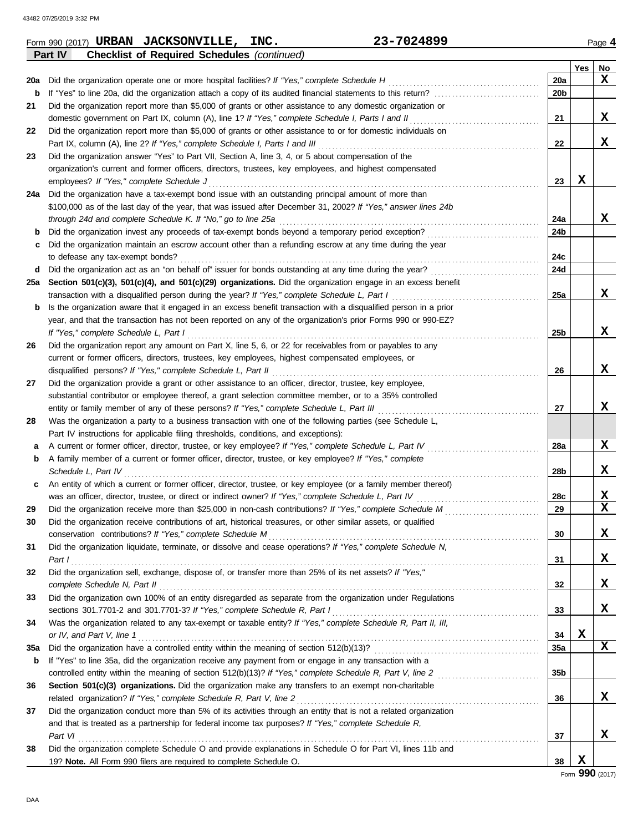|     | 23-7024899<br>Form 990 (2017) URBAN JACKSONVILLE, INC.                                                           |                 |     | Page 4                  |
|-----|------------------------------------------------------------------------------------------------------------------|-----------------|-----|-------------------------|
|     | <b>Checklist of Required Schedules (continued)</b><br>Part IV                                                    |                 |     |                         |
|     |                                                                                                                  |                 | Yes | No                      |
|     | 20a Did the organization operate one or more hospital facilities? If "Yes," complete Schedule H                  | 20a             |     | x                       |
| b   |                                                                                                                  | 20 <sub>b</sub> |     |                         |
| 21  | Did the organization report more than \$5,000 of grants or other assistance to any domestic organization or      |                 |     |                         |
|     | domestic government on Part IX, column (A), line 1? If "Yes," complete Schedule I, Parts I and II                | 21              |     | x                       |
| 22  | Did the organization report more than \$5,000 of grants or other assistance to or for domestic individuals on    |                 |     |                         |
|     | Part IX, column (A), line 2? If "Yes," complete Schedule I, Parts I and III                                      | 22              |     | X                       |
| 23  | Did the organization answer "Yes" to Part VII, Section A, line 3, 4, or 5 about compensation of the              |                 |     |                         |
|     | organization's current and former officers, directors, trustees, key employees, and highest compensated          |                 |     |                         |
|     | employees? If "Yes," complete Schedule J                                                                         | 23              | X   |                         |
|     | 24a Did the organization have a tax-exempt bond issue with an outstanding principal amount of more than          |                 |     |                         |
|     | \$100,000 as of the last day of the year, that was issued after December 31, 2002? If "Yes," answer lines 24b    |                 |     |                         |
|     | through 24d and complete Schedule K. If "No," go to line 25a                                                     | 24a             |     | X                       |
| b   | Did the organization invest any proceeds of tax-exempt bonds beyond a temporary period exception?                | 24b             |     |                         |
| c   | Did the organization maintain an escrow account other than a refunding escrow at any time during the year        |                 |     |                         |
|     | to defease any tax-exempt bonds?                                                                                 | 24c             |     |                         |
|     | d Did the organization act as an "on behalf of" issuer for bonds outstanding at any time during the year?        | 24d             |     |                         |
|     | 25a Section 501(c)(3), 501(c)(4), and 501(c)(29) organizations. Did the organization engage in an excess benefit |                 |     |                         |
|     | transaction with a disqualified person during the year? If "Yes," complete Schedule L, Part I                    | 25a             |     | X                       |
| b   | Is the organization aware that it engaged in an excess benefit transaction with a disqualified person in a prior |                 |     |                         |
|     | year, and that the transaction has not been reported on any of the organization's prior Forms 990 or 990-EZ?     |                 |     |                         |
|     | If "Yes," complete Schedule L, Part I                                                                            | 25 <sub>b</sub> |     | X                       |
| 26  | Did the organization report any amount on Part X, line 5, 6, or 22 for receivables from or payables to any       |                 |     |                         |
|     | current or former officers, directors, trustees, key employees, highest compensated employees, or                |                 |     |                         |
|     | disqualified persons? If "Yes," complete Schedule L, Part II                                                     | 26              |     | X                       |
| 27  | Did the organization provide a grant or other assistance to an officer, director, trustee, key employee,         |                 |     |                         |
|     | substantial contributor or employee thereof, a grant selection committee member, or to a 35% controlled          |                 |     |                         |
|     | entity or family member of any of these persons? If "Yes," complete Schedule L, Part III                         | 27              |     | X                       |
| 28  | Was the organization a party to a business transaction with one of the following parties (see Schedule L,        |                 |     |                         |
|     | Part IV instructions for applicable filing thresholds, conditions, and exceptions):                              |                 |     |                         |
| a   | A current or former officer, director, trustee, or key employee? If "Yes," complete Schedule L, Part IV          | 28a             |     | X                       |
| b   | A family member of a current or former officer, director, trustee, or key employee? If "Yes," complete           |                 |     |                         |
|     | Schedule L, Part IV                                                                                              | 28b             |     | X                       |
| C   | An entity of which a current or former officer, director, trustee, or key employee (or a family member thereof)  |                 |     |                         |
|     | was an officer, director, trustee, or direct or indirect owner? If "Yes," complete Schedule L, Part IV           | 28c             |     | X                       |
| 29  | Did the organization receive more than \$25,000 in non-cash contributions? If "Yes," complete Schedule M         | 29              |     | $\overline{\textbf{X}}$ |
| 30  | Did the organization receive contributions of art, historical treasures, or other similar assets, or qualified   |                 |     |                         |
|     | conservation contributions? If "Yes," complete Schedule M                                                        | 30              |     | X                       |
| 31  | Did the organization liquidate, terminate, or dissolve and cease operations? If "Yes," complete Schedule N,      |                 |     |                         |
|     | Part I                                                                                                           | 31              |     | X                       |
| 32  | Did the organization sell, exchange, dispose of, or transfer more than 25% of its net assets? If "Yes,"          |                 |     |                         |
|     | complete Schedule N, Part II                                                                                     | 32              |     | X                       |
| 33  | Did the organization own 100% of an entity disregarded as separate from the organization under Regulations       |                 |     |                         |
|     | sections 301.7701-2 and 301.7701-3? If "Yes," complete Schedule R, Part I                                        | 33              |     | X                       |
| 34  | Was the organization related to any tax-exempt or taxable entity? If "Yes," complete Schedule R, Part II, III,   |                 |     |                         |
|     | or IV, and Part V, line 1                                                                                        | 34              | X   |                         |
| 35a | Did the organization have a controlled entity within the meaning of section 512(b)(13)?                          | 35a             |     | x                       |
| b   | If "Yes" to line 35a, did the organization receive any payment from or engage in any transaction with a          |                 |     |                         |
|     |                                                                                                                  | 35 <sub>b</sub> |     |                         |
| 36  | Section 501(c)(3) organizations. Did the organization make any transfers to an exempt non-charitable             |                 |     |                         |
|     | related organization? If "Yes," complete Schedule R, Part V, line 2                                              | 36              |     | x                       |
| 37  | Did the organization conduct more than 5% of its activities through an entity that is not a related organization |                 |     |                         |
|     | and that is treated as a partnership for federal income tax purposes? If "Yes," complete Schedule R,             |                 |     |                         |
|     | Part VI                                                                                                          | 37              |     | x                       |
| 38  | Did the organization complete Schedule O and provide explanations in Schedule O for Part VI, lines 11b and       |                 |     |                         |
|     | 19? Note. All Form 990 filers are required to complete Schedule O.                                               | 38              | X   |                         |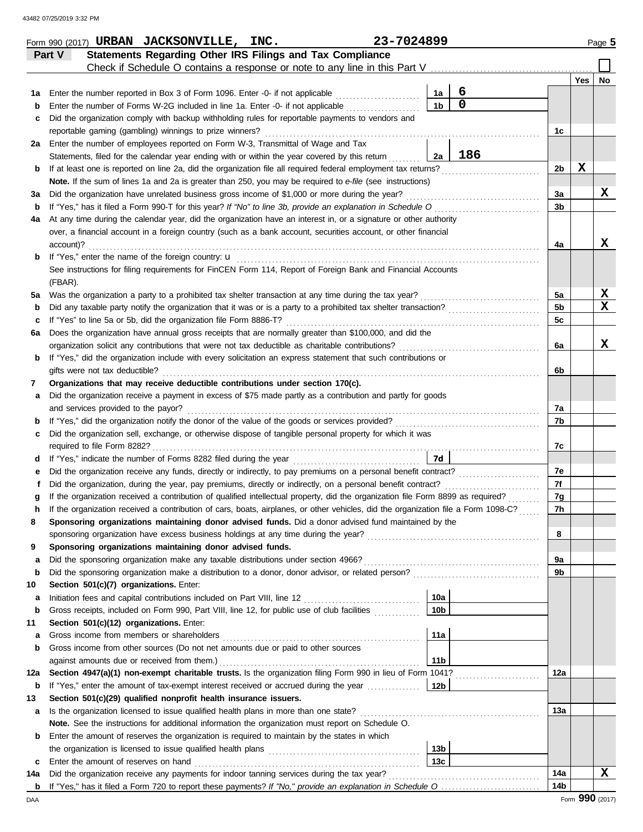|     | 23-7024899<br>Form 990 (2017) URBAN JACKSONVILLE, INC.                                                                                                                              |                 |                     |                 |                 | Page 5      |
|-----|-------------------------------------------------------------------------------------------------------------------------------------------------------------------------------------|-----------------|---------------------|-----------------|-----------------|-------------|
|     | Statements Regarding Other IRS Filings and Tax Compliance<br>Part V                                                                                                                 |                 |                     |                 |                 |             |
|     | Check if Schedule O contains a response or note to any line in this Part V                                                                                                          |                 |                     |                 |                 |             |
|     |                                                                                                                                                                                     |                 |                     |                 | Yes             | No          |
| 1а  | Enter the number reported in Box 3 of Form 1096. Enter -0- if not applicable                                                                                                        | 1a              | 6<br>$\overline{0}$ |                 |                 |             |
| b   | Enter the number of Forms W-2G included in line 1a. Enter -0- if not applicable                                                                                                     | 1 <sub>b</sub>  |                     |                 |                 |             |
| c   | Did the organization comply with backup withholding rules for reportable payments to vendors and                                                                                    |                 |                     |                 |                 |             |
|     | reportable gaming (gambling) winnings to prize winners?                                                                                                                             |                 |                     | 1c              |                 |             |
|     | 2a Enter the number of employees reported on Form W-3, Transmittal of Wage and Tax<br>Statements, filed for the calendar year ending with or within the year covered by this return | 2a              | 186                 |                 |                 |             |
| b   | If at least one is reported on line 2a, did the organization file all required federal employment tax returns?                                                                      |                 |                     | 2b              | X               |             |
|     | Note. If the sum of lines 1a and 2a is greater than 250, you may be required to e-file (see instructions)                                                                           |                 |                     |                 |                 |             |
| За  | Did the organization have unrelated business gross income of \$1,000 or more during the year?                                                                                       |                 |                     | 3a              |                 | X           |
| b   | If "Yes," has it filed a Form 990-T for this year? If "No" to line 3b, provide an explanation in Schedule O                                                                         |                 |                     | 3b              |                 |             |
| 4a  | At any time during the calendar year, did the organization have an interest in, or a signature or other authority                                                                   |                 |                     |                 |                 |             |
|     | over, a financial account in a foreign country (such as a bank account, securities account, or other financial                                                                      |                 |                     |                 |                 |             |
|     | account)?                                                                                                                                                                           |                 |                     | 4a              |                 | x           |
| b   | If "Yes," enter the name of the foreign country: u                                                                                                                                  |                 |                     |                 |                 |             |
|     | See instructions for filing requirements for FinCEN Form 114, Report of Foreign Bank and Financial Accounts                                                                         |                 |                     |                 |                 |             |
|     | (FBAR).                                                                                                                                                                             |                 |                     |                 |                 |             |
| 5a  | Was the organization a party to a prohibited tax shelter transaction at any time during the tax year?                                                                               |                 |                     | 5a              |                 | X           |
| b   | Did any taxable party notify the organization that it was or is a party to a prohibited tax shelter transaction?                                                                    |                 |                     | 5 <sub>b</sub>  |                 | $\mathbf x$ |
| c   | If "Yes" to line 5a or 5b, did the organization file Form 8886-T?                                                                                                                   |                 |                     | 5c              |                 |             |
| 6а  | Does the organization have annual gross receipts that are normally greater than \$100,000, and did the                                                                              |                 |                     |                 |                 |             |
|     | organization solicit any contributions that were not tax deductible as charitable contributions?                                                                                    |                 |                     | 6a              |                 | x           |
| b   | If "Yes," did the organization include with every solicitation an express statement that such contributions or                                                                      |                 |                     |                 |                 |             |
|     | gifts were not tax deductible?                                                                                                                                                      |                 |                     | 6b              |                 |             |
| 7   | Organizations that may receive deductible contributions under section 170(c).                                                                                                       |                 |                     |                 |                 |             |
| а   | Did the organization receive a payment in excess of \$75 made partly as a contribution and partly for goods                                                                         |                 |                     |                 |                 |             |
|     | and services provided to the payor?                                                                                                                                                 |                 |                     | 7a              |                 |             |
| b   | Did the organization sell, exchange, or otherwise dispose of tangible personal property for which it was                                                                            |                 |                     | 7b              |                 |             |
| c   | required to file Form 8282?                                                                                                                                                         |                 |                     | 7c              |                 |             |
| d   |                                                                                                                                                                                     | 7d              |                     |                 |                 |             |
| е   | Did the organization receive any funds, directly or indirectly, to pay premiums on a personal benefit contract?                                                                     |                 |                     | 7e              |                 |             |
|     | Did the organization, during the year, pay premiums, directly or indirectly, on a personal benefit contract?                                                                        |                 |                     | 7f              |                 |             |
|     | If the organization received a contribution of qualified intellectual property, did the organization file Form 8899 as required?                                                    |                 |                     | 7g              |                 |             |
|     | If the organization received a contribution of cars, boats, airplanes, or other vehicles, did the organization file a Form 1098-C?                                                  |                 |                     | 7h              |                 |             |
| 8   | Sponsoring organizations maintaining donor advised funds. Did a donor advised fund maintained by the                                                                                |                 |                     |                 |                 |             |
|     | sponsoring organization have excess business holdings at any time during the year?                                                                                                  |                 |                     | 8               |                 |             |
| 9   | Sponsoring organizations maintaining donor advised funds.                                                                                                                           |                 |                     |                 |                 |             |
| a   | Did the sponsoring organization make any taxable distributions under section 4966?                                                                                                  |                 |                     | 9a              |                 |             |
| b   |                                                                                                                                                                                     |                 |                     | 9b              |                 |             |
| 10  | Section 501(c)(7) organizations. Enter:                                                                                                                                             |                 |                     |                 |                 |             |
| а   | Initiation fees and capital contributions included on Part VIII, line 12 [11] [11] [12] [11] [12] [11] [12] [1                                                                      | 10a             |                     |                 |                 |             |
| b   | Gross receipts, included on Form 990, Part VIII, line 12, for public use of club facilities                                                                                         | 10 <sub>b</sub> |                     |                 |                 |             |
| 11  | Section 501(c)(12) organizations. Enter:                                                                                                                                            |                 |                     |                 |                 |             |
| а   | Gross income from members or shareholders                                                                                                                                           | 11a             |                     |                 |                 |             |
| b   | Gross income from other sources (Do not net amounts due or paid to other sources                                                                                                    | 11 <sub>b</sub> |                     |                 |                 |             |
| 12a | against amounts due or received from them.)<br>Section 4947(a)(1) non-exempt charitable trusts. Is the organization filing Form 990 in lieu of Form 1041?                           |                 |                     | 12a             |                 |             |
| b   | If "Yes," enter the amount of tax-exempt interest received or accrued during the year                                                                                               | 12 <sub>b</sub> |                     |                 |                 |             |
| 13  | Section 501(c)(29) qualified nonprofit health insurance issuers.                                                                                                                    |                 |                     |                 |                 |             |
| а   | Is the organization licensed to issue qualified health plans in more than one state?                                                                                                |                 |                     | 13а             |                 |             |
|     | Note. See the instructions for additional information the organization must report on Schedule O.                                                                                   |                 |                     |                 |                 |             |
| b   | Enter the amount of reserves the organization is required to maintain by the states in which                                                                                        |                 |                     |                 |                 |             |
|     |                                                                                                                                                                                     | 13b             |                     |                 |                 |             |
| c   | Enter the amount of reserves on hand                                                                                                                                                | 13 <sub>c</sub> |                     |                 |                 |             |
| 14a | Did the organization receive any payments for indoor tanning services during the tax year?                                                                                          |                 |                     | 14a             |                 | $\mathbf x$ |
| b   |                                                                                                                                                                                     |                 |                     | 14 <sub>b</sub> |                 |             |
| DAA |                                                                                                                                                                                     |                 |                     |                 | Form 990 (2017) |             |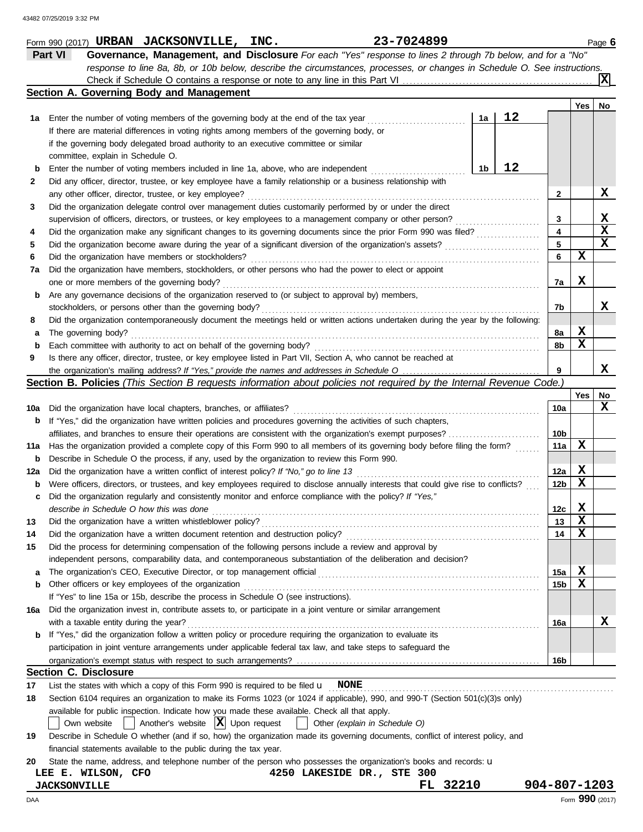|             | 23-7024899<br>Form 990 (2017) URBAN JACKSONVILLE, INC.                                                                              |                 |             | Page 6          |
|-------------|-------------------------------------------------------------------------------------------------------------------------------------|-----------------|-------------|-----------------|
|             | Part VI<br>Governance, Management, and Disclosure For each "Yes" response to lines 2 through 7b below, and for a "No"               |                 |             |                 |
|             | response to line 8a, 8b, or 10b below, describe the circumstances, processes, or changes in Schedule O. See instructions.           |                 |             |                 |
|             |                                                                                                                                     |                 |             |                 |
|             | Section A. Governing Body and Management                                                                                            |                 |             |                 |
|             |                                                                                                                                     |                 | Yes         | No              |
| 1а          | 12<br>1a<br>Enter the number of voting members of the governing body at the end of the tax year                                     |                 |             |                 |
|             | If there are material differences in voting rights among members of the governing body, or                                          |                 |             |                 |
|             | if the governing body delegated broad authority to an executive committee or similar                                                |                 |             |                 |
|             | committee, explain in Schedule O.                                                                                                   |                 |             |                 |
| b           | 12<br>1b<br>Enter the number of voting members included in line 1a, above, who are independent                                      |                 |             |                 |
| 2           | Did any officer, director, trustee, or key employee have a family relationship or a business relationship with                      |                 |             |                 |
|             | any other officer, director, trustee, or key employee?                                                                              | 2               |             | X               |
| 3           | Did the organization delegate control over management duties customarily performed by or under the direct                           |                 |             |                 |
|             | supervision of officers, directors, or trustees, or key employees to a management company or other person?                          | 3               |             | х               |
| 4           | Did the organization make any significant changes to its governing documents since the prior Form 990 was filed?                    | 4               |             | $\mathbf x$     |
| 5           | Did the organization become aware during the year of a significant diversion of the organization's assets?                          | 5               |             | $\mathbf x$     |
| 6           | Did the organization have members or stockholders?                                                                                  | 6               | $\mathbf x$ |                 |
| 7а          | Did the organization have members, stockholders, or other persons who had the power to elect or appoint                             |                 |             |                 |
|             | one or more members of the governing body?                                                                                          | 7a              | X           |                 |
| b           | Are any governance decisions of the organization reserved to (or subject to approval by) members,                                   |                 |             |                 |
|             | stockholders, or persons other than the governing body?                                                                             | 7b              |             | x               |
| 8           | Did the organization contemporaneously document the meetings held or written actions undertaken during the year by the following:   |                 |             |                 |
| а           | The governing body?                                                                                                                 | 8а              | X           |                 |
| $\mathbf b$ | Each committee with authority to act on behalf of the governing body?                                                               | 8b              | $\mathbf x$ |                 |
| 9           | Is there any officer, director, trustee, or key employee listed in Part VII, Section A, who cannot be reached at                    |                 |             |                 |
|             |                                                                                                                                     | 9               |             | x               |
|             | <b>Section B. Policies</b> (This Section B requests information about policies not required by the Internal Revenue Code.)          |                 |             |                 |
|             |                                                                                                                                     |                 | Yes         | No              |
| 10a         | Did the organization have local chapters, branches, or affiliates?                                                                  | 10a             |             | X               |
| b           | If "Yes," did the organization have written policies and procedures governing the activities of such chapters,                      |                 |             |                 |
|             | affiliates, and branches to ensure their operations are consistent with the organization's exempt purposes?                         | 10b             |             |                 |
| 11a         | Has the organization provided a complete copy of this Form 990 to all members of its governing body before filing the form?         | 11a             | X           |                 |
| b           | Describe in Schedule O the process, if any, used by the organization to review this Form 990.                                       |                 |             |                 |
| 12a         | Did the organization have a written conflict of interest policy? If "No," go to line 13                                             | 12a             | X           |                 |
| b           | Were officers, directors, or trustees, and key employees required to disclose annually interests that could give rise to conflicts? | 12b             | X           |                 |
| c           | Did the organization regularly and consistently monitor and enforce compliance with the policy? If "Yes,"                           |                 |             |                 |
|             | describe in Schedule O how this was done                                                                                            | 12 <sub>c</sub> | X           |                 |
| 13          | Did the organization have a written whistleblower policy?                                                                           | 13              | X           |                 |
| 14          | Did the organization have a written document retention and destruction policy?                                                      | 14              | х           |                 |
| 15          | Did the process for determining compensation of the following persons include a review and approval by                              |                 |             |                 |
|             | independent persons, comparability data, and contemporaneous substantiation of the deliberation and decision?                       |                 |             |                 |
| а           | The organization's CEO, Executive Director, or top management official                                                              | 15a             | X           |                 |
| b           | Other officers or key employees of the organization                                                                                 | 15b             | X           |                 |
|             | If "Yes" to line 15a or 15b, describe the process in Schedule O (see instructions).                                                 |                 |             |                 |
| 16a         | Did the organization invest in, contribute assets to, or participate in a joint venture or similar arrangement                      |                 |             |                 |
|             | with a taxable entity during the year?                                                                                              | 16a             |             | X               |
| b           | If "Yes," did the organization follow a written policy or procedure requiring the organization to evaluate its                      |                 |             |                 |
|             | participation in joint venture arrangements under applicable federal tax law, and take steps to safeguard the                       |                 |             |                 |
|             |                                                                                                                                     | 16b             |             |                 |
|             | <b>Section C. Disclosure</b>                                                                                                        |                 |             |                 |
| 17          | List the states with which a copy of this Form 990 is required to be filed $\mathbf u$ NONE                                         |                 |             |                 |
| 18          | Section 6104 requires an organization to make its Forms 1023 (or 1024 if applicable), 990, and 990-T (Section 501(c)(3)s only)      |                 |             |                 |
|             | available for public inspection. Indicate how you made these available. Check all that apply.                                       |                 |             |                 |
|             | Another's website $ \mathbf{X} $ Upon request<br>Own website<br>Other (explain in Schedule O)                                       |                 |             |                 |
| 19          | Describe in Schedule O whether (and if so, how) the organization made its governing documents, conflict of interest policy, and     |                 |             |                 |
|             | financial statements available to the public during the tax year.                                                                   |                 |             |                 |
| 20          | State the name, address, and telephone number of the person who possesses the organization's books and records: u                   |                 |             |                 |
|             | 4250 LAKESIDE DR., STE 300<br>LEE E. WILSON, CFO                                                                                    |                 |             |                 |
|             | FL 32210<br><b>JACKSONVILLE</b>                                                                                                     | 904-807-1203    |             |                 |
| DAA         |                                                                                                                                     |                 |             | Form 990 (2017) |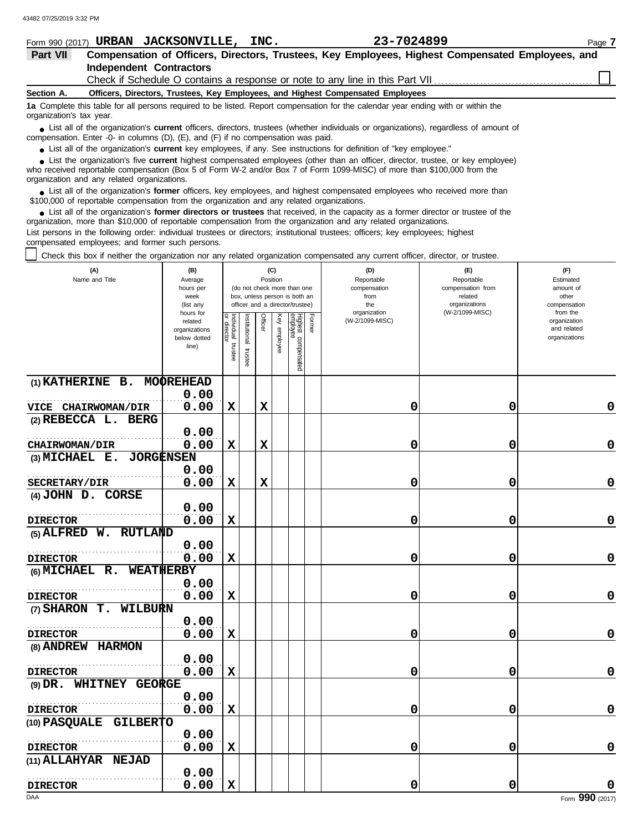|                          |                                                                                                                                                                                                                                     | Form 990 (2017) URBAN JACKSONVILLE, INC. |  | 23-7024899                                                                                                                        | Page 7 |  |  |  |  |  |
|--------------------------|-------------------------------------------------------------------------------------------------------------------------------------------------------------------------------------------------------------------------------------|------------------------------------------|--|-----------------------------------------------------------------------------------------------------------------------------------|--------|--|--|--|--|--|
| <b>Part VII</b>          |                                                                                                                                                                                                                                     |                                          |  | Compensation of Officers, Directors, Trustees, Key Employees, Highest Compensated Employees, and                                  |        |  |  |  |  |  |
|                          | <b>Independent Contractors</b>                                                                                                                                                                                                      |                                          |  |                                                                                                                                   |        |  |  |  |  |  |
|                          |                                                                                                                                                                                                                                     |                                          |  | Check if Schedule O contains a response or note to any line in this Part VII                                                      |        |  |  |  |  |  |
| Section A.               |                                                                                                                                                                                                                                     |                                          |  | Officers, Directors, Trustees, Key Employees, and Highest Compensated Employees                                                   |        |  |  |  |  |  |
| organization's tax year. |                                                                                                                                                                                                                                     |                                          |  | 1a Complete this table for all persons required to be listed. Report compensation for the calendar year ending with or within the |        |  |  |  |  |  |
|                          | • List all of the organization's current officers, directors, trustees (whether individuals or organizations), regardless of amount of<br>compensation. Enter -0- in columns $(D)$ , $(E)$ , and $(F)$ if no compensation was paid. |                                          |  |                                                                                                                                   |        |  |  |  |  |  |
|                          | • List all of the organization's <b>current</b> key employees, if any. See instructions for definition of "key employee."                                                                                                           |                                          |  |                                                                                                                                   |        |  |  |  |  |  |
|                          |                                                                                                                                                                                                                                     |                                          |  | • List the organization's five current highest compensated employees (other than an officer, director, trustee, or key employee)  |        |  |  |  |  |  |

who received reportable compensation (Box 5 of Form W-2 and/or Box 7 of Form 1099-MISC) of more than \$100,000 from the organization and any related organizations. **•**

■ List all of the organization's **former** officers, key employees, and highest compensated employees who received more than<br> **•** 00,000 of reportable compensation from the ergonization and any related ergonizations \$100,000 of reportable compensation from the organization and any related organizations.

■ List all of the organization's **former directors or trustees** that received, in the capacity as a former director or trustee of the<br>paization, more than \$10,000 of reportable compensation from the organization and any r organization, more than \$10,000 of reportable compensation from the organization and any related organizations. List persons in the following order: individual trustees or directors; institutional trustees; officers; key employees; highest compensated employees; and former such persons.

Check this box if neither the organization nor any related organization compensated any current officer, director, or trustee.

| (A)<br>Name and Title                | (B)<br>Average<br>hours per<br>week<br>(list any<br>hours for |                                      |                         | (C)<br>Position |              | (do not check more than one<br>box, unless person is both an<br>officer and a director/trustee) |        | (D)<br>Reportable<br>compensation<br>from<br>the<br>organization | (E)<br>Reportable<br>compensation from<br>related<br>organizations<br>(W-2/1099-MISC) | (F)<br>Estimated<br>amount of<br>other<br>compensation<br>from the |
|--------------------------------------|---------------------------------------------------------------|--------------------------------------|-------------------------|-----------------|--------------|-------------------------------------------------------------------------------------------------|--------|------------------------------------------------------------------|---------------------------------------------------------------------------------------|--------------------------------------------------------------------|
|                                      | related<br>organizations<br>below dotted<br>line)             | Individual<br>or director<br>trustee | nstitutional<br>trustee | Officer         | Key employee | Highest compensated<br>employee                                                                 | Former | (W-2/1099-MISC)                                                  |                                                                                       | organization<br>and related<br>organizations                       |
| $(1)$ KATHERINE B.                   | MOOREHEAD                                                     |                                      |                         |                 |              |                                                                                                 |        |                                                                  |                                                                                       |                                                                    |
|                                      | 0.00                                                          |                                      |                         |                 |              |                                                                                                 |        |                                                                  |                                                                                       |                                                                    |
| VICE CHAIRWOMAN/DIR                  | 0.00                                                          | $\mathbf x$                          |                         | $\mathbf x$     |              |                                                                                                 |        | 0                                                                | 0                                                                                     | 0                                                                  |
| (2) REBECCA L.<br><b>BERG</b>        | 0.00                                                          |                                      |                         |                 |              |                                                                                                 |        |                                                                  |                                                                                       |                                                                    |
| CHAIRWOMAN/DIR                       | 0.00                                                          | $\mathbf x$                          |                         | $\mathbf x$     |              |                                                                                                 |        | 0                                                                | 0                                                                                     | 0                                                                  |
| $(3)$ MICHAEL E.<br><b>JORGENSEN</b> |                                                               |                                      |                         |                 |              |                                                                                                 |        |                                                                  |                                                                                       |                                                                    |
|                                      | 0.00                                                          |                                      |                         |                 |              |                                                                                                 |        |                                                                  |                                                                                       |                                                                    |
| SECRETARY/DIR                        | 0.00                                                          | X                                    |                         | $\mathbf x$     |              |                                                                                                 |        | 0                                                                | 0                                                                                     | 0                                                                  |
| (4) JOHN D. CORSE                    |                                                               |                                      |                         |                 |              |                                                                                                 |        |                                                                  |                                                                                       |                                                                    |
|                                      | 0.00                                                          |                                      |                         |                 |              |                                                                                                 |        |                                                                  |                                                                                       |                                                                    |
| <b>DIRECTOR</b>                      | 0.00                                                          | $\mathbf x$                          |                         |                 |              |                                                                                                 |        | 0                                                                | 0                                                                                     | 0                                                                  |
| (5) ALFRED W. RUTLAND                |                                                               |                                      |                         |                 |              |                                                                                                 |        |                                                                  |                                                                                       |                                                                    |
|                                      | 0.00                                                          |                                      |                         |                 |              |                                                                                                 |        |                                                                  |                                                                                       |                                                                    |
| <b>DIRECTOR</b>                      | 0.00                                                          | $\mathbf x$                          |                         |                 |              |                                                                                                 |        | 0                                                                | 0                                                                                     | 0                                                                  |
| (6) MICHAEL R. WEATHERBY             |                                                               |                                      |                         |                 |              |                                                                                                 |        |                                                                  |                                                                                       |                                                                    |
|                                      | 0.00                                                          |                                      |                         |                 |              |                                                                                                 |        |                                                                  |                                                                                       |                                                                    |
| <b>DIRECTOR</b>                      | 0.00                                                          | $\mathbf x$                          |                         |                 |              |                                                                                                 |        | 0                                                                | 0                                                                                     | 0                                                                  |
| (7) SHARON T. WILBURN                |                                                               |                                      |                         |                 |              |                                                                                                 |        |                                                                  |                                                                                       |                                                                    |
|                                      | 0.00                                                          |                                      |                         |                 |              |                                                                                                 |        |                                                                  |                                                                                       | 0                                                                  |
| <b>DIRECTOR</b><br>(8) ANDREW HARMON | 0.00                                                          | $\mathbf x$                          |                         |                 |              |                                                                                                 |        | 0                                                                | 0                                                                                     |                                                                    |
|                                      | 0.00                                                          |                                      |                         |                 |              |                                                                                                 |        |                                                                  |                                                                                       |                                                                    |
| <b>DIRECTOR</b>                      | 0.00                                                          | $\mathbf x$                          |                         |                 |              |                                                                                                 |        | 0                                                                | 0                                                                                     | 0                                                                  |
| (9) DR. WHITNEY GEORGE               |                                                               |                                      |                         |                 |              |                                                                                                 |        |                                                                  |                                                                                       |                                                                    |
|                                      | 0.00                                                          |                                      |                         |                 |              |                                                                                                 |        |                                                                  |                                                                                       |                                                                    |
| <b>DIRECTOR</b>                      | 0.00                                                          | X                                    |                         |                 |              |                                                                                                 |        | 0                                                                | 0                                                                                     | 0                                                                  |
| (10) PASQUALE<br><b>GILBERTO</b>     |                                                               |                                      |                         |                 |              |                                                                                                 |        |                                                                  |                                                                                       |                                                                    |
|                                      | 0.00                                                          |                                      |                         |                 |              |                                                                                                 |        |                                                                  |                                                                                       |                                                                    |
| <b>DIRECTOR</b>                      | 0.00                                                          | $\mathbf x$                          |                         |                 |              |                                                                                                 |        | 0                                                                | 0                                                                                     | $\Omega$                                                           |
| (11) ALLAHYAR NEJAD                  |                                                               |                                      |                         |                 |              |                                                                                                 |        |                                                                  |                                                                                       |                                                                    |
|                                      | 0.00                                                          |                                      |                         |                 |              |                                                                                                 |        |                                                                  |                                                                                       |                                                                    |
| <b>DIRECTOR</b>                      | 0.00                                                          | $\mathbf x$                          |                         |                 |              |                                                                                                 |        | 0                                                                | 0                                                                                     | 0                                                                  |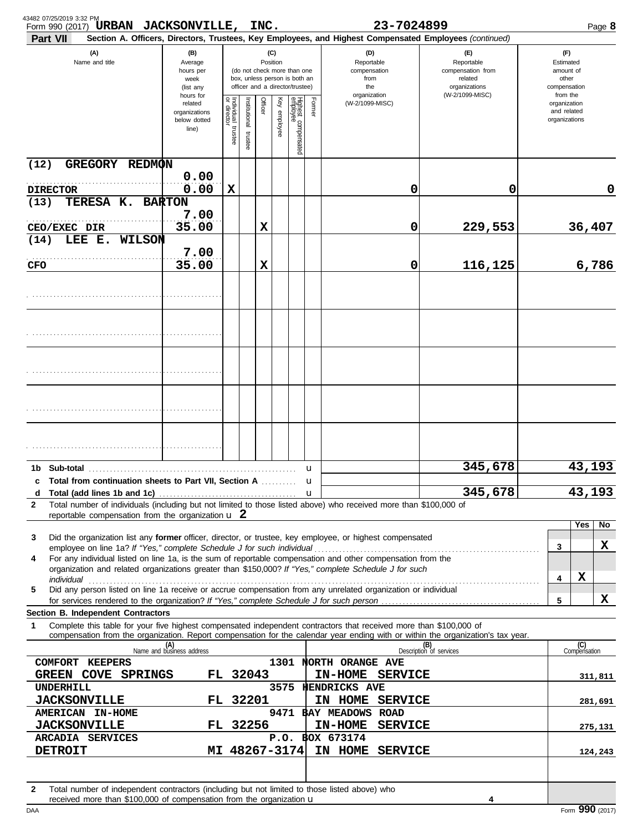| Part VII                                                                                                                                                                                  | Form 990 (2017) URBAN JACKSONVILLE, INC.                                                      |                                                   |                                   |                      |         |              |                                 |                  | 23-7024899<br>Section A. Officers, Directors, Trustees, Key Employees, and Highest Compensated Employees (continued)                                                                                                 |                                                                                                                                  |   |                                                          | Page 8  |
|-------------------------------------------------------------------------------------------------------------------------------------------------------------------------------------------|-----------------------------------------------------------------------------------------------|---------------------------------------------------|-----------------------------------|----------------------|---------|--------------|---------------------------------|------------------|----------------------------------------------------------------------------------------------------------------------------------------------------------------------------------------------------------------------|----------------------------------------------------------------------------------------------------------------------------------|---|----------------------------------------------------------|---------|
| (A)<br>(B)<br>Name and title<br>Average<br>(do not check more than one<br>hours per<br>box, unless person is both an<br>week<br>officer and a director/trustee)<br>(list any<br>hours for |                                                                                               |                                                   |                                   |                      |         |              |                                 |                  | (D)<br>Reportable<br>compensation<br>from<br>the                                                                                                                                                                     | (E)<br>Reportable<br>compensation from<br>related<br>organizations                                                               |   | (F)<br>Estimated<br>amount of<br>other<br>compensation   |         |
|                                                                                                                                                                                           |                                                                                               | related<br>organizations<br>below dotted<br>line) | Individual trustee<br>or director | nstitutional trustee | Officer | Key employee | Highest compensated<br>employee | Former           | organization<br>(W-2/1099-MISC)                                                                                                                                                                                      | (W-2/1099-MISC)                                                                                                                  |   | from the<br>organization<br>and related<br>organizations |         |
| (12)                                                                                                                                                                                      | GREGORY REDMON                                                                                | 0.00                                              |                                   |                      |         |              |                                 |                  |                                                                                                                                                                                                                      |                                                                                                                                  |   |                                                          |         |
| <b>DIRECTOR</b>                                                                                                                                                                           |                                                                                               | 0.00                                              | $\mathbf x$                       |                      |         |              |                                 |                  | 0                                                                                                                                                                                                                    | 0                                                                                                                                |   |                                                          | 0       |
| (13)                                                                                                                                                                                      | TERESA K. BARTON                                                                              | 7.00                                              |                                   |                      |         |              |                                 |                  |                                                                                                                                                                                                                      |                                                                                                                                  |   |                                                          |         |
| CEO/EXEC DIR                                                                                                                                                                              |                                                                                               | 35.00                                             |                                   |                      | X       |              |                                 |                  | 0                                                                                                                                                                                                                    | 229,553                                                                                                                          |   | 36,407                                                   |         |
| (14)                                                                                                                                                                                      | LEE E.<br><b>WILSON</b>                                                                       | 7.00                                              |                                   |                      |         |              |                                 |                  |                                                                                                                                                                                                                      |                                                                                                                                  |   |                                                          |         |
| CFO                                                                                                                                                                                       |                                                                                               | 35.00                                             |                                   |                      | X       |              |                                 |                  | 0                                                                                                                                                                                                                    | 116,125                                                                                                                          |   |                                                          | 6,786   |
|                                                                                                                                                                                           |                                                                                               |                                                   |                                   |                      |         |              |                                 |                  |                                                                                                                                                                                                                      |                                                                                                                                  |   |                                                          |         |
|                                                                                                                                                                                           |                                                                                               |                                                   |                                   |                      |         |              |                                 |                  |                                                                                                                                                                                                                      |                                                                                                                                  |   |                                                          |         |
|                                                                                                                                                                                           |                                                                                               |                                                   |                                   |                      |         |              |                                 |                  |                                                                                                                                                                                                                      |                                                                                                                                  |   |                                                          |         |
|                                                                                                                                                                                           |                                                                                               |                                                   |                                   |                      |         |              |                                 |                  |                                                                                                                                                                                                                      |                                                                                                                                  |   |                                                          |         |
|                                                                                                                                                                                           |                                                                                               |                                                   |                                   |                      |         |              |                                 |                  |                                                                                                                                                                                                                      |                                                                                                                                  |   |                                                          |         |
|                                                                                                                                                                                           |                                                                                               |                                                   |                                   |                      |         |              |                                 |                  |                                                                                                                                                                                                                      |                                                                                                                                  |   |                                                          |         |
| Sub-total<br>1b                                                                                                                                                                           |                                                                                               |                                                   |                                   |                      |         |              |                                 | u                |                                                                                                                                                                                                                      | 345,678                                                                                                                          |   | 43,193                                                   |         |
| c<br>d                                                                                                                                                                                    | Total from continuation sheets to Part VII, Section A                                         |                                                   |                                   |                      |         |              |                                 | u<br>$\mathbf u$ |                                                                                                                                                                                                                      | 345,678                                                                                                                          |   | 43,193                                                   |         |
| $\mathbf{2}$                                                                                                                                                                              | reportable compensation from the organization $\mathbf{u}$ 2                                  |                                                   |                                   |                      |         |              |                                 |                  | Total number of individuals (including but not limited to those listed above) who received more than \$100,000 of                                                                                                    |                                                                                                                                  |   |                                                          |         |
|                                                                                                                                                                                           |                                                                                               |                                                   |                                   |                      |         |              |                                 |                  |                                                                                                                                                                                                                      |                                                                                                                                  |   | Yes                                                      | No      |
| 3                                                                                                                                                                                         |                                                                                               |                                                   |                                   |                      |         |              |                                 |                  | Did the organization list any former officer, director, or trustee, key employee, or highest compensated                                                                                                             |                                                                                                                                  | 3 |                                                          | x       |
| 4                                                                                                                                                                                         |                                                                                               |                                                   |                                   |                      |         |              |                                 |                  | For any individual listed on line 1a, is the sum of reportable compensation and other compensation from the<br>organization and related organizations greater than \$150,000? If "Yes," complete Schedule J for such |                                                                                                                                  |   |                                                          |         |
| 5                                                                                                                                                                                         |                                                                                               |                                                   |                                   |                      |         |              |                                 |                  | Did any person listed on line 1a receive or accrue compensation from any unrelated organization or individual                                                                                                        |                                                                                                                                  | 4 | X                                                        |         |
|                                                                                                                                                                                           | Section B. Independent Contractors                                                            |                                                   |                                   |                      |         |              |                                 |                  |                                                                                                                                                                                                                      |                                                                                                                                  | 5 |                                                          | X       |
| 1                                                                                                                                                                                         |                                                                                               |                                                   |                                   |                      |         |              |                                 |                  | Complete this table for your five highest compensated independent contractors that received more than \$100,000 of                                                                                                   | compensation from the organization. Report compensation for the calendar year ending with or within the organization's tax year. |   |                                                          |         |
|                                                                                                                                                                                           |                                                                                               | (A)<br>Name and business address                  |                                   |                      |         |              |                                 |                  |                                                                                                                                                                                                                      | (B)<br>Description of services                                                                                                   |   | (C)<br>Compensation                                      |         |
|                                                                                                                                                                                           | <b>COMFORT KEEPERS</b><br>GREEN COVE SPRINGS                                                  |                                                   | FL 32043                          |                      |         |              |                                 |                  | 1301 NORTH ORANGE AVE                                                                                                                                                                                                |                                                                                                                                  |   |                                                          |         |
| <b>UNDERHILL</b>                                                                                                                                                                          |                                                                                               |                                                   |                                   |                      |         |              |                                 |                  | IN-HOME SERVICE<br>3575 HENDRICKS AVE                                                                                                                                                                                |                                                                                                                                  |   |                                                          | 311,811 |
|                                                                                                                                                                                           | <b>JACKSONVILLE</b>                                                                           |                                                   | FL 32201                          |                      |         |              |                                 |                  | IN HOME SERVICE                                                                                                                                                                                                      |                                                                                                                                  |   |                                                          | 281,691 |
|                                                                                                                                                                                           | AMERICAN IN-HOME<br><b>JACKSONVILLE</b>                                                       |                                                   | FL 32256                          |                      |         |              |                                 |                  | 9471 BAY MEADOWS ROAD<br><b>IN-HOME</b><br><b>SERVICE</b>                                                                                                                                                            |                                                                                                                                  |   |                                                          | 275,131 |
| <b>DETROIT</b>                                                                                                                                                                            | ARCADIA SERVICES                                                                              |                                                   |                                   |                      |         |              | MI 48267-3174                   |                  | $P.O.$ \$0X 673174<br>IN HOME SERVICE                                                                                                                                                                                |                                                                                                                                  |   |                                                          |         |
|                                                                                                                                                                                           |                                                                                               |                                                   |                                   |                      |         |              |                                 |                  |                                                                                                                                                                                                                      |                                                                                                                                  |   |                                                          | 124,243 |
| $\mathbf{2}$                                                                                                                                                                              | Total number of independent contractors (including but not limited to those listed above) who |                                                   |                                   |                      |         |              |                                 |                  |                                                                                                                                                                                                                      |                                                                                                                                  |   |                                                          |         |
|                                                                                                                                                                                           | received more than \$100,000 of compensation from the organization u                          |                                                   |                                   |                      |         |              |                                 |                  |                                                                                                                                                                                                                      | 4                                                                                                                                |   |                                                          |         |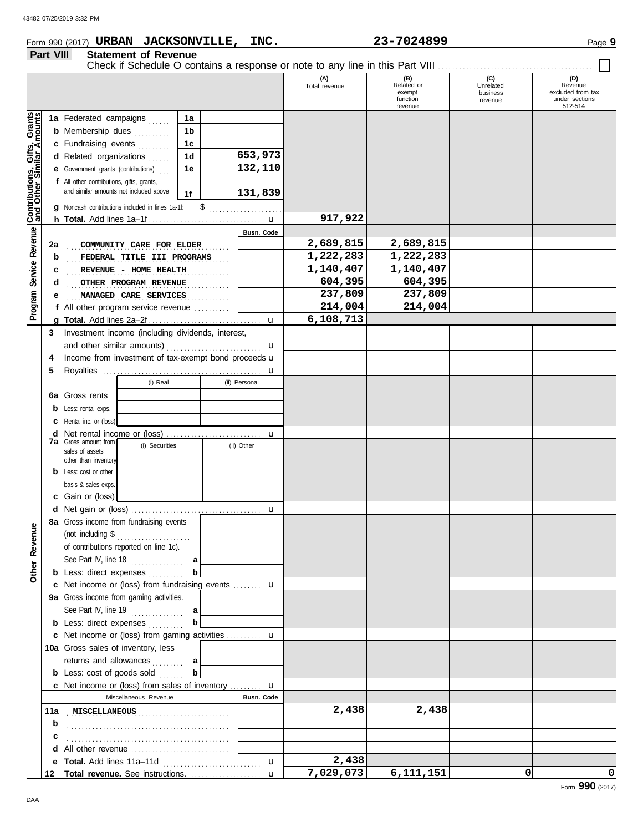# Form 990 (2017) Page **9 URBAN JACKSONVILLE, INC. 23-7024899**

## **Part VIII Statement of Revenue**

| <b>Statement of Revenue</b><br>Check if Schedule O contains a response or note to any line in this Part VIII |     |     |     |
|--------------------------------------------------------------------------------------------------------------|-----|-----|-----|
|                                                                                                              | (B) | (C) | (D) |

|                              |     |                                                             |                |               | Total revenue        | Related or<br>exempt | Unrelated<br>business | Revenue<br>excluded from tax |
|------------------------------|-----|-------------------------------------------------------------|----------------|---------------|----------------------|----------------------|-----------------------|------------------------------|
|                              |     |                                                             |                |               |                      | function<br>revenue  | revenue               | under sections<br>512-514    |
|                              |     | 1a Federated campaigns                                      | 1a             |               |                      |                      |                       |                              |
|                              |     | <b>b</b> Membership dues                                    | 1b             |               |                      |                      |                       |                              |
|                              |     | c Fundraising events                                        | 1 <sub>c</sub> |               |                      |                      |                       |                              |
|                              |     | d Related organizations                                     | 1 <sub>d</sub> | 653,973       |                      |                      |                       |                              |
|                              |     | e Government grants (contributions)                         | 1e             | 132,110       |                      |                      |                       |                              |
|                              |     | f All other contributions, gifts, grants,                   |                |               |                      |                      |                       |                              |
|                              |     | and similar amounts not included above                      | 1f             | 131,839       |                      |                      |                       |                              |
| Contributions, Gifts, Grants |     | <b>q</b> Noncash contributions included in lines 1a-1f:     |                | $\frac{1}{2}$ |                      |                      |                       |                              |
|                              |     |                                                             |                |               | 917,922              |                      |                       |                              |
|                              |     |                                                             |                | Busn. Code    |                      |                      |                       |                              |
|                              | 2a  | COMMUNITY CARE FOR ELDER                                    |                |               | 2,689,815            | 2,689,815            |                       |                              |
|                              | b   | FEDERAL TITLE III PROGRAMS                                  |                |               | 1,222,283            | 1,222,283            |                       |                              |
|                              | с   | REVENUE - HOME HEALTH                                       |                |               | 1,140,407            | 1,140,407            |                       |                              |
|                              | d   | OTHER PROGRAM REVENUE                                       |                |               | 604,395              | 604,395              |                       |                              |
|                              | е   | MANAGED CARE SERVICES                                       |                |               | 237,809              | 237,809              |                       |                              |
| Program Service Revenue      |     | f All other program service revenue                         |                |               | 214,004<br>6,108,713 | 214,004              |                       |                              |
|                              | 3   | Investment income (including dividends, interest,           |                | u             |                      |                      |                       |                              |
|                              |     |                                                             |                | u             |                      |                      |                       |                              |
|                              | 4   | Income from investment of tax-exempt bond proceeds u        |                |               |                      |                      |                       |                              |
|                              | 5   |                                                             |                | u             |                      |                      |                       |                              |
|                              |     | (i) Real                                                    |                | (ii) Personal |                      |                      |                       |                              |
|                              | 6a  | Gross rents                                                 |                |               |                      |                      |                       |                              |
|                              | b   | Less: rental exps.                                          |                |               |                      |                      |                       |                              |
|                              | с   | Rental inc. or (loss)                                       |                |               |                      |                      |                       |                              |
|                              | d   |                                                             |                | u             |                      |                      |                       |                              |
|                              |     | <b>7a</b> Gross amount from<br>(i) Securities               |                | (ii) Other    |                      |                      |                       |                              |
|                              |     | sales of assets<br>other than inventory                     |                |               |                      |                      |                       |                              |
|                              | b   | Less: cost or other                                         |                |               |                      |                      |                       |                              |
|                              |     | basis & sales exps.                                         |                |               |                      |                      |                       |                              |
|                              |     | c Gain or (loss)                                            |                |               |                      |                      |                       |                              |
|                              |     |                                                             |                |               |                      |                      |                       |                              |
|                              |     | 8a Gross income from fundraising events                     |                |               |                      |                      |                       |                              |
| Revenue                      |     |                                                             |                |               |                      |                      |                       |                              |
|                              |     | of contributions reported on line 1c).                      |                |               |                      |                      |                       |                              |
|                              |     | See Part IV, line $18$                                      |                |               |                      |                      |                       |                              |
| Other                        |     | <b>b</b> Less: direct expenses                              |                |               |                      |                      |                       |                              |
|                              |     | c Net income or (loss) from fundraising events  u           |                |               |                      |                      |                       |                              |
|                              |     | 9a Gross income from gaming activities.                     |                |               |                      |                      |                       |                              |
|                              |     | See Part IV, line 19 $\ldots$                               | a              |               |                      |                      |                       |                              |
|                              |     | <b>b</b> Less: direct expenses                              | b              |               |                      |                      |                       |                              |
|                              |     | c Net income or (loss) from gaming activities  u            |                |               |                      |                      |                       |                              |
|                              |     | 10a Gross sales of inventory, less                          |                |               |                      |                      |                       |                              |
|                              |     | returns and allowances<br><b>b</b> Less: cost of goods sold | a<br>b         |               |                      |                      |                       |                              |
|                              |     | <b>c</b> Net income or (loss) from sales of inventory       |                | u             |                      |                      |                       |                              |
|                              |     | Miscellaneous Revenue                                       |                | Busn. Code    |                      |                      |                       |                              |
|                              | 11a | MISCELLANEOUS                                               |                |               | 2,438                | 2,438                |                       |                              |
|                              | b   |                                                             |                |               |                      |                      |                       |                              |
|                              | c   |                                                             |                |               |                      |                      |                       |                              |
|                              | d   | All other revenue                                           |                |               |                      |                      |                       |                              |
|                              |     | e Total. Add lines 11a-11d                                  |                | u             | 2,438                |                      |                       |                              |
|                              |     | 12 Total revenue. See instructions.                         |                | u             | 7,029,073            | 6, 111, 151          | 0                     | 0                            |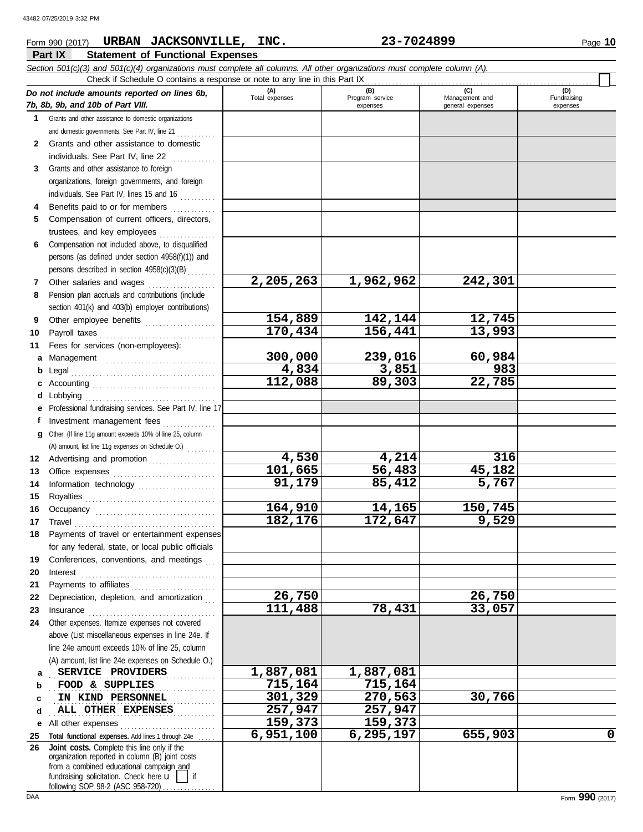## **Part IX Statement of Functional Expenses** Form 990 (2017) Page **10 URBAN JACKSONVILLE, INC. 23-7024899** *Section 501(c)(3) and 501(c)(4) organizations must complete all columns. All other organizations must complete column (A). Do not include amounts reported on lines 6b, 7b, 8b, 9b, and 10b of Part VIII.* **1 2 3** Grants and other assistance to foreign **4 5 6 7 8 9 10 11** Fees for services (non-employees): **a** Management ................................. **b** Legal . . . . . . . . . . . . . . . . . . . . . . . . . . . . . . . . . . . . . . . . . **c** Accounting . . . . . . . . . . . . . . . . . . . . . . . . . . . . . . . . . . . **d** Lobbying . . . . . . . . . . . . . . . . . . . . . . . . . . . . . . . . . . . . . **e** Professional fundraising services. See Part IV, line 17 **f g** Other. (If line 11g amount exceeds 10% of line 25, column **12** Advertising and promotion . . . . . . . . . . . . . . . . . **13 14 15 16 17 18 19 20 21 22** Depreciation, depletion, and amortization . . . **23 24 a b c d e** All other expenses . . . . . . . . . . . . . . . . . . . . . . . . . . . Grants and other assistance to domestic organizations and domestic governments. See Part IV, line 21 . . . . . . . . . . . Grants and other assistance to domestic individuals. See Part IV, line 22 . . . . . . . . . . . . . organizations, foreign governments, and foreign individuals. See Part IV, lines 15 and 16 Benefits paid to or for members ............. Compensation of current officers, directors, trustees, and key employees . . . . . . . . . . . . . . . . Compensation not included above, to disqualified persons (as defined under section 4958(f)(1)) and persons described in section 4958(c)(3)(B) . . . . . . . . Other salaries and wages ................... Pension plan accruals and contributions (include section 401(k) and 403(b) employer contributions) Other employee benefits .................... Payroll taxes . . . . . . . . . . . . . . . . . . . . . . . . . . . . . . . . . Investment management fees ................ Office expenses ................................ Information technology ...................... Royalties . . . . . . . . . . . . . . . . . . . . . . . . . . . . . . . . . . . . . Occupancy . . . . . . . . . . . . . . . . . . . . . . . . . . . . . . . . . . Travel . . . . . . . . . . . . . . . . . . . . . . . . . . . . . . . . . . . . . . . . Payments of travel or entertainment expenses for any federal, state, or local public officials Conferences, conventions, and meetings Interest . . . . . . . . . . . . . . . . . . . . . . . . . . . . . . . . . . . . . . Payments to affiliates . . . . . . . . . . . . . . . . . . . . . . . . Insurance . . . . . . . . . . . . . . . . . . . . . . . . . . . . . . . . . . . . Other expenses. Itemize expenses not covered above (List miscellaneous expenses in line 24e. If line 24e amount exceeds 10% of line 25, column (A) amount, list line 24e expenses on Schedule O.) **(A) (B) (C) (D)** Total expenses Program service<br>
expenses Program service<br>  $\frac{1}{2}$  Management and<br>
general expenses expenses general expenses (D)<br>Fundraising expenses **SERVICE PROVIDERS** 1,887,081 1,887,081 **FOOD & SUPPLIES 715,164 715,164** . . . . . . . . . . . . . . . . . . . . . . . . . . . . . . . . . . . . . . . . . . . . . . . **IN KIND PERSONNEL 301,329 270,563 30,766 ALL OTHER EXPENSES** 257,947 257,947 Check if Schedule O contains a response or note to any line in this Part IX (A) amount, list line 11g expenses on Schedule O.) ....... **2,205,263 1,962,962 242,301 154,889 142,144 12,745 170,434 156,441 13,993 300,000 239,016 60,984 4,834 3,851 983 112,088 89,303 22,785 4,530 4,214 316 101,665 56,483 45,182 91,179 85,412 5,767 164,910 14,165 150,745 182,176 172,647 9,529 26,750 26,750 111,488 78,431 33,057 159,373 159,373**

**25 Total functional expenses.** Add lines 1 through 24e . . . . . **26** fundraising solicitation. Check here  $\mathbf u$ organization reported in column (B) joint costs from a combined educational campaign and following SOP 98-2 (ASC 958-720) **Joint costs.** Complete this line only if the

**6,951,100 6,295,197 655,903 0**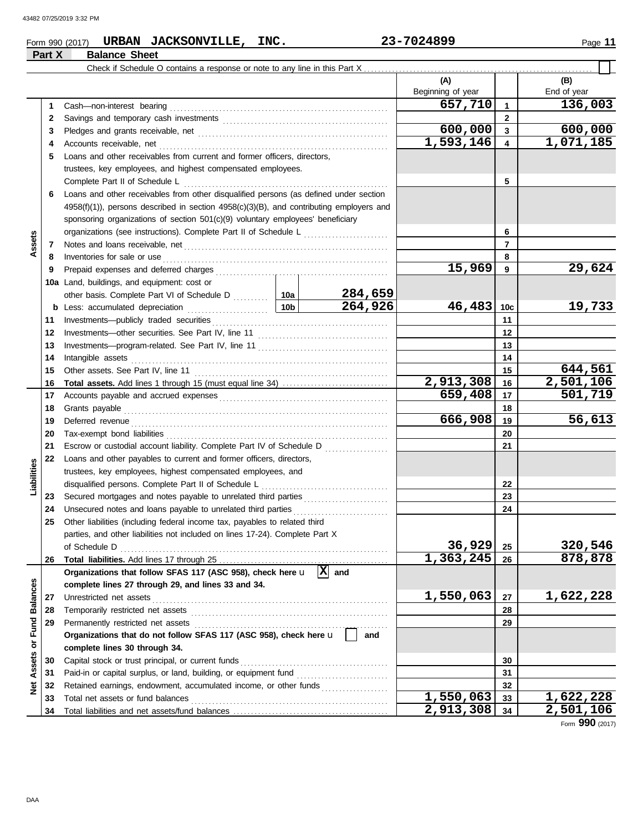# Form 990 (2017) Page **11 URBAN JACKSONVILLE, INC. 23-7024899**

|                 | Part X   | <b>Balance Sheet</b>                                                                                                                                                                                                                |  |         |                        |                 |                      |
|-----------------|----------|-------------------------------------------------------------------------------------------------------------------------------------------------------------------------------------------------------------------------------------|--|---------|------------------------|-----------------|----------------------|
|                 |          |                                                                                                                                                                                                                                     |  |         |                        |                 |                      |
|                 |          |                                                                                                                                                                                                                                     |  |         | (A)                    |                 | (B)                  |
|                 |          |                                                                                                                                                                                                                                     |  |         | Beginning of year      |                 | End of year          |
|                 | 1.       |                                                                                                                                                                                                                                     |  |         | 657,710                | $\mathbf{1}$    | 136,003              |
|                 | 2        |                                                                                                                                                                                                                                     |  |         |                        | $\mathbf{2}$    |                      |
|                 | 3        |                                                                                                                                                                                                                                     |  |         | 600,000                | $\mathbf{3}$    | 600,000              |
|                 | 4        |                                                                                                                                                                                                                                     |  |         | 1,593,146              | 4               | 1,071,185            |
|                 | 5        | Loans and other receivables from current and former officers, directors,                                                                                                                                                            |  |         |                        |                 |                      |
|                 |          | trustees, key employees, and highest compensated employees.                                                                                                                                                                         |  |         |                        |                 |                      |
|                 |          | Complete Part II of Schedule L                                                                                                                                                                                                      |  |         |                        | 5               |                      |
|                 | 6        | Loans and other receivables from other disqualified persons (as defined under section                                                                                                                                               |  |         |                        |                 |                      |
|                 |          | $4958(f)(1)$ ), persons described in section $4958(c)(3)(B)$ , and contributing employers and                                                                                                                                       |  |         |                        |                 |                      |
|                 |          | sponsoring organizations of section 501(c)(9) voluntary employees' beneficiary                                                                                                                                                      |  |         |                        |                 |                      |
|                 |          | organizations (see instructions). Complete Part II of Schedule L [1111111111111111111111111111111111                                                                                                                                |  |         |                        | 6               |                      |
| Assets          | 7        |                                                                                                                                                                                                                                     |  |         |                        | 7               |                      |
|                 | 8        | Inventories for sale or use <i>communication</i> and the state of the state of the state of the state of the state of the state of the state of the state of the state of the state of the state of the state of the state of the s |  |         |                        | 8               |                      |
|                 | 9        |                                                                                                                                                                                                                                     |  |         | 15,969                 | 9               | 29,624               |
|                 |          | 10a Land, buildings, and equipment: cost or                                                                                                                                                                                         |  |         |                        |                 |                      |
|                 |          |                                                                                                                                                                                                                                     |  | 284,659 |                        |                 |                      |
|                 |          |                                                                                                                                                                                                                                     |  | 264,926 | 46,483                 | 10 <sub>c</sub> | 19,733               |
|                 | 11       |                                                                                                                                                                                                                                     |  | 11      |                        |                 |                      |
|                 | 12       |                                                                                                                                                                                                                                     |  |         |                        | 12              |                      |
|                 | 13       |                                                                                                                                                                                                                                     |  |         |                        | 13              |                      |
|                 | 14       | Intangible assets with a state of the contract of the state of the state of the state of the state of the state of the state of the state of the state of the state of the state of the state of the state of the state of the      |  |         |                        | 14              |                      |
|                 | 15       |                                                                                                                                                                                                                                     |  |         |                        | 15              | 644,561              |
|                 | 16       |                                                                                                                                                                                                                                     |  |         | 2,913,308<br>659,408   | 16              | 2,501,106<br>501,719 |
|                 | 17       |                                                                                                                                                                                                                                     |  |         | 17                     |                 |                      |
|                 | 18       |                                                                                                                                                                                                                                     |  |         | 666,908                | 18<br>19        | 56,613               |
|                 | 19       |                                                                                                                                                                                                                                     |  |         |                        | 20              |                      |
|                 | 20<br>21 | Escrow or custodial account liability. Complete Part IV of Schedule D                                                                                                                                                               |  |         | 21                     |                 |                      |
|                 | 22       | Loans and other payables to current and former officers, directors,                                                                                                                                                                 |  |         |                        |                 |                      |
| Liabilities     |          | trustees, key employees, highest compensated employees, and                                                                                                                                                                         |  |         |                        |                 |                      |
|                 |          |                                                                                                                                                                                                                                     |  | 22      |                        |                 |                      |
|                 | 23       |                                                                                                                                                                                                                                     |  |         |                        | 23              |                      |
|                 | 24       |                                                                                                                                                                                                                                     |  |         |                        | 24              |                      |
|                 |          | Other liabilities (including federal income tax, payables to related third                                                                                                                                                          |  |         |                        |                 |                      |
|                 |          | parties, and other liabilities not included on lines 17-24). Complete Part X                                                                                                                                                        |  |         |                        |                 |                      |
|                 |          | of Schedule D                                                                                                                                                                                                                       |  |         | 36,929                 | 25              | 320,546              |
|                 | 26       |                                                                                                                                                                                                                                     |  |         | $\overline{1,363,245}$ | 26              | 878,878              |
|                 |          | Organizations that follow SFAS 117 (ASC 958), check here $\mathbf{u} \quad [\mathbf{X}]$ and                                                                                                                                        |  |         |                        |                 |                      |
|                 |          | complete lines 27 through 29, and lines 33 and 34.                                                                                                                                                                                  |  |         |                        |                 |                      |
| <b>Balances</b> | 27       |                                                                                                                                                                                                                                     |  |         | 1,550,063              | 27              | 1,622,228            |
|                 | 28       |                                                                                                                                                                                                                                     |  |         |                        | 28              |                      |
| Fund            | 29       |                                                                                                                                                                                                                                     |  |         |                        | 29              |                      |
|                 |          | Organizations that do not follow SFAS 117 (ASC 958), check here u                                                                                                                                                                   |  | and     |                        |                 |                      |
|                 |          | complete lines 30 through 34.                                                                                                                                                                                                       |  |         |                        |                 |                      |
| Assets or       | 30       | Capital stock or trust principal, or current funds                                                                                                                                                                                  |  |         | 30                     |                 |                      |
|                 | 31       |                                                                                                                                                                                                                                     |  |         |                        | 31              |                      |
| ğ               | 32       | Retained earnings, endowment, accumulated income, or other funds                                                                                                                                                                    |  |         |                        | 32              |                      |
|                 | 33       | Total net assets or fund balances                                                                                                                                                                                                   |  |         | $\overline{1,550,063}$ | 33              | 1,622,228            |
|                 | 34       |                                                                                                                                                                                                                                     |  |         | 2,913,308              | 34              | 2,501,106            |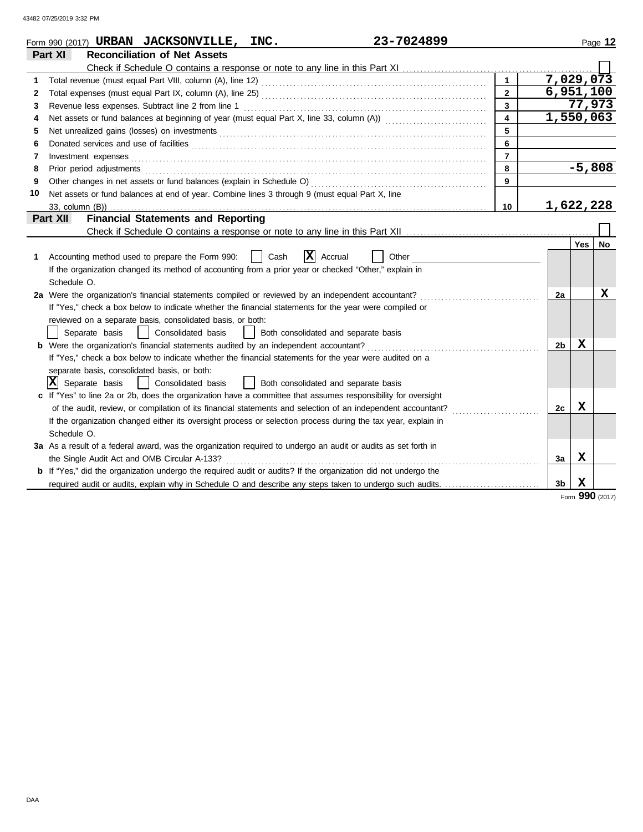| Part XI<br><b>Reconciliation of Net Assets</b><br>7,029,073<br>$\mathbf{1}$<br>1<br>6,951,100<br>$\overline{2}$<br>2<br>$\mathbf{3}$<br>Revenue less expenses. Subtract line 2 from line 1<br>3<br>$\overline{1,550,063}$<br>$\blacktriangle$<br>4<br>5<br>Net unrealized gains (losses) on investments [11] match and the contract of the state of the state of the state of the state of the state of the state of the state of the state of the state of the state of the state of the<br>5<br>6<br>6<br>$\overline{7}$<br>Investment expenses<br>7<br>8<br>8<br>9<br>9<br>Net assets or fund balances at end of year. Combine lines 3 through 9 (must equal Part X, line<br>10<br>1,622,228<br>33, column (B))<br>10<br><b>Financial Statements and Reporting</b><br>Part XII<br>Yes<br>$\vert \mathbf{x} \vert$<br>Accounting method used to prepare the Form 990:<br>Cash<br>Accrual<br>Other<br>1<br>If the organization changed its method of accounting from a prior year or checked "Other," explain in<br>Schedule O.<br>2a Were the organization's financial statements compiled or reviewed by an independent accountant?<br>2a<br>If "Yes," check a box below to indicate whether the financial statements for the year were compiled or<br>reviewed on a separate basis, consolidated basis, or both: | 77,973<br>$-5,808$ |
|----------------------------------------------------------------------------------------------------------------------------------------------------------------------------------------------------------------------------------------------------------------------------------------------------------------------------------------------------------------------------------------------------------------------------------------------------------------------------------------------------------------------------------------------------------------------------------------------------------------------------------------------------------------------------------------------------------------------------------------------------------------------------------------------------------------------------------------------------------------------------------------------------------------------------------------------------------------------------------------------------------------------------------------------------------------------------------------------------------------------------------------------------------------------------------------------------------------------------------------------------------------------------------------------------------------------|--------------------|
|                                                                                                                                                                                                                                                                                                                                                                                                                                                                                                                                                                                                                                                                                                                                                                                                                                                                                                                                                                                                                                                                                                                                                                                                                                                                                                                      |                    |
|                                                                                                                                                                                                                                                                                                                                                                                                                                                                                                                                                                                                                                                                                                                                                                                                                                                                                                                                                                                                                                                                                                                                                                                                                                                                                                                      |                    |
|                                                                                                                                                                                                                                                                                                                                                                                                                                                                                                                                                                                                                                                                                                                                                                                                                                                                                                                                                                                                                                                                                                                                                                                                                                                                                                                      |                    |
|                                                                                                                                                                                                                                                                                                                                                                                                                                                                                                                                                                                                                                                                                                                                                                                                                                                                                                                                                                                                                                                                                                                                                                                                                                                                                                                      |                    |
|                                                                                                                                                                                                                                                                                                                                                                                                                                                                                                                                                                                                                                                                                                                                                                                                                                                                                                                                                                                                                                                                                                                                                                                                                                                                                                                      |                    |
|                                                                                                                                                                                                                                                                                                                                                                                                                                                                                                                                                                                                                                                                                                                                                                                                                                                                                                                                                                                                                                                                                                                                                                                                                                                                                                                      |                    |
|                                                                                                                                                                                                                                                                                                                                                                                                                                                                                                                                                                                                                                                                                                                                                                                                                                                                                                                                                                                                                                                                                                                                                                                                                                                                                                                      |                    |
|                                                                                                                                                                                                                                                                                                                                                                                                                                                                                                                                                                                                                                                                                                                                                                                                                                                                                                                                                                                                                                                                                                                                                                                                                                                                                                                      |                    |
|                                                                                                                                                                                                                                                                                                                                                                                                                                                                                                                                                                                                                                                                                                                                                                                                                                                                                                                                                                                                                                                                                                                                                                                                                                                                                                                      |                    |
|                                                                                                                                                                                                                                                                                                                                                                                                                                                                                                                                                                                                                                                                                                                                                                                                                                                                                                                                                                                                                                                                                                                                                                                                                                                                                                                      |                    |
|                                                                                                                                                                                                                                                                                                                                                                                                                                                                                                                                                                                                                                                                                                                                                                                                                                                                                                                                                                                                                                                                                                                                                                                                                                                                                                                      |                    |
|                                                                                                                                                                                                                                                                                                                                                                                                                                                                                                                                                                                                                                                                                                                                                                                                                                                                                                                                                                                                                                                                                                                                                                                                                                                                                                                      |                    |
|                                                                                                                                                                                                                                                                                                                                                                                                                                                                                                                                                                                                                                                                                                                                                                                                                                                                                                                                                                                                                                                                                                                                                                                                                                                                                                                      |                    |
|                                                                                                                                                                                                                                                                                                                                                                                                                                                                                                                                                                                                                                                                                                                                                                                                                                                                                                                                                                                                                                                                                                                                                                                                                                                                                                                      |                    |
|                                                                                                                                                                                                                                                                                                                                                                                                                                                                                                                                                                                                                                                                                                                                                                                                                                                                                                                                                                                                                                                                                                                                                                                                                                                                                                                      |                    |
|                                                                                                                                                                                                                                                                                                                                                                                                                                                                                                                                                                                                                                                                                                                                                                                                                                                                                                                                                                                                                                                                                                                                                                                                                                                                                                                      | No                 |
|                                                                                                                                                                                                                                                                                                                                                                                                                                                                                                                                                                                                                                                                                                                                                                                                                                                                                                                                                                                                                                                                                                                                                                                                                                                                                                                      |                    |
|                                                                                                                                                                                                                                                                                                                                                                                                                                                                                                                                                                                                                                                                                                                                                                                                                                                                                                                                                                                                                                                                                                                                                                                                                                                                                                                      |                    |
|                                                                                                                                                                                                                                                                                                                                                                                                                                                                                                                                                                                                                                                                                                                                                                                                                                                                                                                                                                                                                                                                                                                                                                                                                                                                                                                      |                    |
|                                                                                                                                                                                                                                                                                                                                                                                                                                                                                                                                                                                                                                                                                                                                                                                                                                                                                                                                                                                                                                                                                                                                                                                                                                                                                                                      | x                  |
|                                                                                                                                                                                                                                                                                                                                                                                                                                                                                                                                                                                                                                                                                                                                                                                                                                                                                                                                                                                                                                                                                                                                                                                                                                                                                                                      |                    |
|                                                                                                                                                                                                                                                                                                                                                                                                                                                                                                                                                                                                                                                                                                                                                                                                                                                                                                                                                                                                                                                                                                                                                                                                                                                                                                                      |                    |
| Separate basis<br>Consolidated basis<br>Both consolidated and separate basis<br>$\mathbf{1}$                                                                                                                                                                                                                                                                                                                                                                                                                                                                                                                                                                                                                                                                                                                                                                                                                                                                                                                                                                                                                                                                                                                                                                                                                         |                    |
| x<br><b>b</b> Were the organization's financial statements audited by an independent accountant?<br>2 <sub>b</sub>                                                                                                                                                                                                                                                                                                                                                                                                                                                                                                                                                                                                                                                                                                                                                                                                                                                                                                                                                                                                                                                                                                                                                                                                   |                    |
| If "Yes," check a box below to indicate whether the financial statements for the year were audited on a                                                                                                                                                                                                                                                                                                                                                                                                                                                                                                                                                                                                                                                                                                                                                                                                                                                                                                                                                                                                                                                                                                                                                                                                              |                    |
| separate basis, consolidated basis, or both:                                                                                                                                                                                                                                                                                                                                                                                                                                                                                                                                                                                                                                                                                                                                                                                                                                                                                                                                                                                                                                                                                                                                                                                                                                                                         |                    |
| $ \mathbf{X} $ Separate basis<br>Consolidated basis<br>  Both consolidated and separate basis                                                                                                                                                                                                                                                                                                                                                                                                                                                                                                                                                                                                                                                                                                                                                                                                                                                                                                                                                                                                                                                                                                                                                                                                                        |                    |
| c If "Yes" to line 2a or 2b, does the organization have a committee that assumes responsibility for oversight                                                                                                                                                                                                                                                                                                                                                                                                                                                                                                                                                                                                                                                                                                                                                                                                                                                                                                                                                                                                                                                                                                                                                                                                        |                    |
| x<br>of the audit, review, or compilation of its financial statements and selection of an independent accountant?<br>2с                                                                                                                                                                                                                                                                                                                                                                                                                                                                                                                                                                                                                                                                                                                                                                                                                                                                                                                                                                                                                                                                                                                                                                                              |                    |
| If the organization changed either its oversight process or selection process during the tax year, explain in                                                                                                                                                                                                                                                                                                                                                                                                                                                                                                                                                                                                                                                                                                                                                                                                                                                                                                                                                                                                                                                                                                                                                                                                        |                    |
| Schedule O.                                                                                                                                                                                                                                                                                                                                                                                                                                                                                                                                                                                                                                                                                                                                                                                                                                                                                                                                                                                                                                                                                                                                                                                                                                                                                                          |                    |
| 3a As a result of a federal award, was the organization required to undergo an audit or audits as set forth in                                                                                                                                                                                                                                                                                                                                                                                                                                                                                                                                                                                                                                                                                                                                                                                                                                                                                                                                                                                                                                                                                                                                                                                                       |                    |
| X<br>the Single Audit Act and OMB Circular A-133?<br>3a                                                                                                                                                                                                                                                                                                                                                                                                                                                                                                                                                                                                                                                                                                                                                                                                                                                                                                                                                                                                                                                                                                                                                                                                                                                              |                    |
| <b>b</b> If "Yes," did the organization undergo the required audit or audits? If the organization did not undergo the                                                                                                                                                                                                                                                                                                                                                                                                                                                                                                                                                                                                                                                                                                                                                                                                                                                                                                                                                                                                                                                                                                                                                                                                |                    |
| X<br>3 <sub>b</sub><br>required audit or audits, explain why in Schedule O and describe any steps taken to undergo such audits.                                                                                                                                                                                                                                                                                                                                                                                                                                                                                                                                                                                                                                                                                                                                                                                                                                                                                                                                                                                                                                                                                                                                                                                      |                    |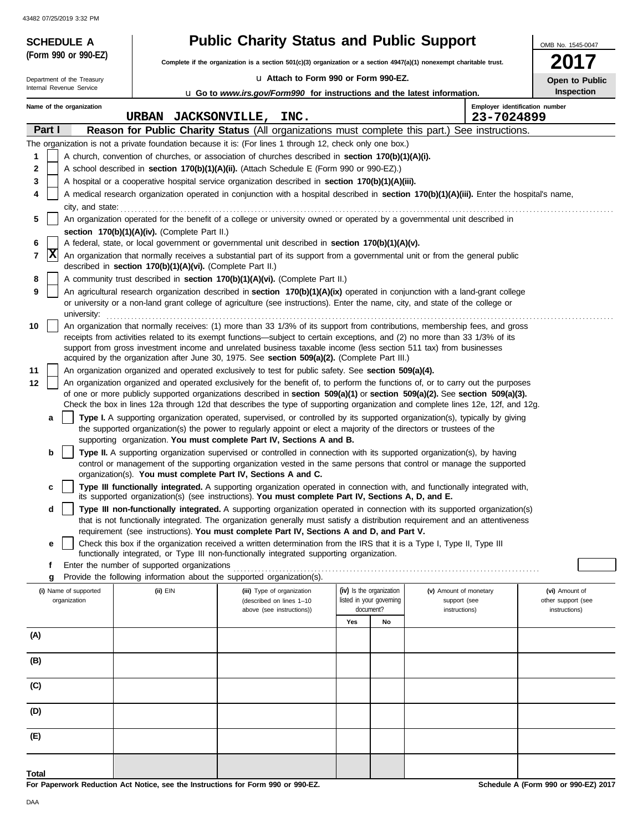| <b>SCHEDULE A</b>                     |                                                            | <b>Public Charity Status and Public Support</b>                                                                                                                                                                                                                 |                                                                   |                                                         | OMB No. 1545-0047                                     |  |  |  |
|---------------------------------------|------------------------------------------------------------|-----------------------------------------------------------------------------------------------------------------------------------------------------------------------------------------------------------------------------------------------------------------|-------------------------------------------------------------------|---------------------------------------------------------|-------------------------------------------------------|--|--|--|
| (Form 990 or 990-EZ)                  |                                                            | Complete if the organization is a section 501(c)(3) organization or a section 4947(a)(1) nonexempt charitable trust.                                                                                                                                            |                                                                   |                                                         |                                                       |  |  |  |
| Department of the Treasury            |                                                            | La Attach to Form 990 or Form 990-EZ.                                                                                                                                                                                                                           |                                                                   |                                                         | Open to Public                                        |  |  |  |
| Internal Revenue Service              |                                                            | <b>u</b> Go to www.irs.gov/Form990 for instructions and the latest information.                                                                                                                                                                                 |                                                                   |                                                         | Inspection                                            |  |  |  |
| Name of the organization              |                                                            |                                                                                                                                                                                                                                                                 |                                                                   |                                                         | Employer identification number                        |  |  |  |
|                                       | URBAN JACKSONVILLE,                                        | INC.                                                                                                                                                                                                                                                            |                                                                   | 23-7024899                                              |                                                       |  |  |  |
| Part I                                |                                                            | Reason for Public Charity Status (All organizations must complete this part.) See instructions.                                                                                                                                                                 |                                                                   |                                                         |                                                       |  |  |  |
| 1                                     |                                                            | The organization is not a private foundation because it is: (For lines 1 through 12, check only one box.)<br>A church, convention of churches, or association of churches described in section 170(b)(1)(A)(i).                                                 |                                                                   |                                                         |                                                       |  |  |  |
| 2                                     |                                                            | A school described in section 170(b)(1)(A)(ii). (Attach Schedule E (Form 990 or 990-EZ).)                                                                                                                                                                       |                                                                   |                                                         |                                                       |  |  |  |
| 3                                     |                                                            | A hospital or a cooperative hospital service organization described in section 170(b)(1)(A)(iii).                                                                                                                                                               |                                                                   |                                                         |                                                       |  |  |  |
| 4                                     |                                                            | A medical research organization operated in conjunction with a hospital described in section 170(b)(1)(A)(iii). Enter the hospital's name,                                                                                                                      |                                                                   |                                                         |                                                       |  |  |  |
|                                       |                                                            | city, and state: <b>contract the state</b> contract of the state of the state of the state of the state of the state of the state of the state of the state of the state of the state of the state of the state of the state of the                             |                                                                   |                                                         |                                                       |  |  |  |
| 5                                     |                                                            | An organization operated for the benefit of a college or university owned or operated by a governmental unit described in                                                                                                                                       |                                                                   |                                                         |                                                       |  |  |  |
| 6                                     | section 170(b)(1)(A)(iv). (Complete Part II.)              | A federal, state, or local government or governmental unit described in section 170(b)(1)(A)(v).                                                                                                                                                                |                                                                   |                                                         |                                                       |  |  |  |
| x<br>7                                |                                                            | An organization that normally receives a substantial part of its support from a governmental unit or from the general public                                                                                                                                    |                                                                   |                                                         |                                                       |  |  |  |
|                                       | described in section 170(b)(1)(A)(vi). (Complete Part II.) |                                                                                                                                                                                                                                                                 |                                                                   |                                                         |                                                       |  |  |  |
| 8                                     |                                                            | A community trust described in section 170(b)(1)(A)(vi). (Complete Part II.)                                                                                                                                                                                    |                                                                   |                                                         |                                                       |  |  |  |
| 9<br>university:                      |                                                            | An agricultural research organization described in section 170(b)(1)(A)(ix) operated in conjunction with a land-grant college<br>or university or a non-land grant college of agriculture (see instructions). Enter the name, city, and state of the college or |                                                                   |                                                         |                                                       |  |  |  |
| 10                                    |                                                            | An organization that normally receives: (1) more than 33 1/3% of its support from contributions, membership fees, and gross                                                                                                                                     |                                                                   |                                                         |                                                       |  |  |  |
|                                       |                                                            | receipts from activities related to its exempt functions—subject to certain exceptions, and (2) no more than 33 1/3% of its<br>support from gross investment income and unrelated business taxable income (less section 511 tax) from businesses                |                                                                   |                                                         |                                                       |  |  |  |
|                                       |                                                            | acquired by the organization after June 30, 1975. See section 509(a)(2). (Complete Part III.)                                                                                                                                                                   |                                                                   |                                                         |                                                       |  |  |  |
| 11                                    |                                                            | An organization organized and operated exclusively to test for public safety. See section 509(a)(4).                                                                                                                                                            |                                                                   |                                                         |                                                       |  |  |  |
| 12                                    |                                                            | An organization organized and operated exclusively for the benefit of, to perform the functions of, or to carry out the purposes                                                                                                                                |                                                                   |                                                         |                                                       |  |  |  |
|                                       |                                                            | of one or more publicly supported organizations described in section 509(a)(1) or section 509(a)(2). See section 509(a)(3).<br>Check the box in lines 12a through 12d that describes the type of supporting organization and complete lines 12e, 12f, and 12g.  |                                                                   |                                                         |                                                       |  |  |  |
| a                                     |                                                            | Type I. A supporting organization operated, supervised, or controlled by its supported organization(s), typically by giving                                                                                                                                     |                                                                   |                                                         |                                                       |  |  |  |
|                                       |                                                            | the supported organization(s) the power to regularly appoint or elect a majority of the directors or trustees of the<br>supporting organization. You must complete Part IV, Sections A and B.                                                                   |                                                                   |                                                         |                                                       |  |  |  |
| b                                     |                                                            | Type II. A supporting organization supervised or controlled in connection with its supported organization(s), by having<br>control or management of the supporting organization vested in the same persons that control or manage the supported                 |                                                                   |                                                         |                                                       |  |  |  |
| c                                     |                                                            | organization(s). You must complete Part IV, Sections A and C.<br>Type III functionally integrated. A supporting organization operated in connection with, and functionally integrated with,                                                                     |                                                                   |                                                         |                                                       |  |  |  |
|                                       |                                                            | its supported organization(s) (see instructions). You must complete Part IV, Sections A, D, and E.                                                                                                                                                              |                                                                   |                                                         |                                                       |  |  |  |
| d                                     |                                                            | Type III non-functionally integrated. A supporting organization operated in connection with its supported organization(s)<br>that is not functionally integrated. The organization generally must satisfy a distribution requirement and an attentiveness       |                                                                   |                                                         |                                                       |  |  |  |
|                                       |                                                            | requirement (see instructions). You must complete Part IV, Sections A and D, and Part V.                                                                                                                                                                        |                                                                   |                                                         |                                                       |  |  |  |
| е                                     |                                                            | Check this box if the organization received a written determination from the IRS that it is a Type I, Type II, Type III<br>functionally integrated, or Type III non-functionally integrated supporting organization.                                            |                                                                   |                                                         |                                                       |  |  |  |
| f                                     | Enter the number of supported organizations                |                                                                                                                                                                                                                                                                 |                                                                   |                                                         |                                                       |  |  |  |
| g                                     |                                                            | Provide the following information about the supported organization(s).                                                                                                                                                                                          |                                                                   |                                                         |                                                       |  |  |  |
| (i) Name of supported<br>organization | (ii) EIN                                                   | (iii) Type of organization<br>(described on lines 1-10<br>above (see instructions))                                                                                                                                                                             | (iv) Is the organization<br>listed in your governing<br>document? | (v) Amount of monetary<br>support (see<br>instructions) | (vi) Amount of<br>other support (see<br>instructions) |  |  |  |
|                                       |                                                            |                                                                                                                                                                                                                                                                 | Yes<br>No                                                         |                                                         |                                                       |  |  |  |
| (A)                                   |                                                            |                                                                                                                                                                                                                                                                 |                                                                   |                                                         |                                                       |  |  |  |
| (B)                                   |                                                            |                                                                                                                                                                                                                                                                 |                                                                   |                                                         |                                                       |  |  |  |
| (C)                                   |                                                            |                                                                                                                                                                                                                                                                 |                                                                   |                                                         |                                                       |  |  |  |
| (D)                                   |                                                            |                                                                                                                                                                                                                                                                 |                                                                   |                                                         |                                                       |  |  |  |
| (E)                                   |                                                            |                                                                                                                                                                                                                                                                 |                                                                   |                                                         |                                                       |  |  |  |
|                                       |                                                            |                                                                                                                                                                                                                                                                 |                                                                   |                                                         |                                                       |  |  |  |
| Total                                 |                                                            |                                                                                                                                                                                                                                                                 |                                                                   |                                                         |                                                       |  |  |  |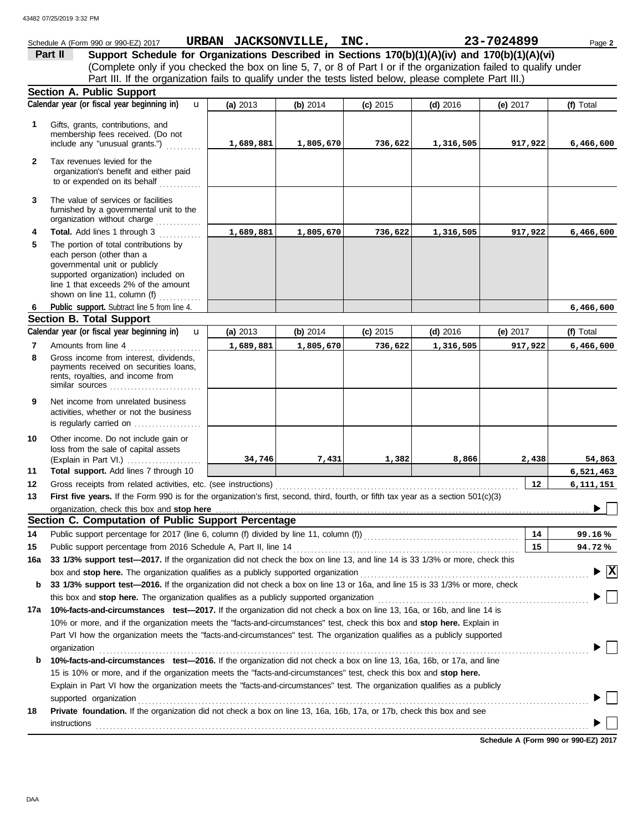|              | Schedule A (Form 990 or 990-EZ) 2017                                                                                                                                                                               | URBAN JACKSONVILLE, INC. |           |            |            | 23-7024899 | Page 2                                        |
|--------------|--------------------------------------------------------------------------------------------------------------------------------------------------------------------------------------------------------------------|--------------------------|-----------|------------|------------|------------|-----------------------------------------------|
|              | Support Schedule for Organizations Described in Sections 170(b)(1)(A)(iv) and 170(b)(1)(A)(vi)<br>Part II                                                                                                          |                          |           |            |            |            |                                               |
|              | (Complete only if you checked the box on line 5, 7, or 8 of Part I or if the organization failed to qualify under                                                                                                  |                          |           |            |            |            |                                               |
|              | Part III. If the organization fails to qualify under the tests listed below, please complete Part III.)                                                                                                            |                          |           |            |            |            |                                               |
|              | <b>Section A. Public Support</b>                                                                                                                                                                                   |                          |           |            |            |            |                                               |
|              | Calendar year (or fiscal year beginning in)<br>$\mathbf{u}$                                                                                                                                                        | (a) 2013                 | (b) 2014  | $(c)$ 2015 | $(d)$ 2016 | (e) $2017$ | (f) Total                                     |
| 1            | Gifts, grants, contributions, and<br>membership fees received. (Do not<br>include any "unusual grants.")                                                                                                           | 1,689,881                | 1,805,670 | 736,622    | 1,316,505  | 917,922    | 6,466,600                                     |
| $\mathbf{2}$ | Tax revenues levied for the<br>organization's benefit and either paid<br>to or expended on its behalf                                                                                                              |                          |           |            |            |            |                                               |
| 3            | The value of services or facilities<br>furnished by a governmental unit to the<br>organization without charge                                                                                                      |                          |           |            |            |            |                                               |
| 4            | Total. Add lines 1 through 3                                                                                                                                                                                       | 1,689,881                | 1,805,670 | 736,622    | 1,316,505  | 917,922    | 6,466,600                                     |
| 5            | The portion of total contributions by<br>each person (other than a<br>governmental unit or publicly<br>supported organization) included on<br>line 1 that exceeds 2% of the amount<br>shown on line 11, column (f) |                          |           |            |            |            |                                               |
| 6            | Public support. Subtract line 5 from line 4.                                                                                                                                                                       |                          |           |            |            |            | 6,466,600                                     |
|              | <b>Section B. Total Support</b>                                                                                                                                                                                    |                          |           |            |            |            |                                               |
|              | Calendar year (or fiscal year beginning in)<br>$\mathbf{u}$                                                                                                                                                        | (a) 2013                 | (b) 2014  | $(c)$ 2015 | $(d)$ 2016 | (e) $2017$ | (f) Total                                     |
| 7            | Amounts from line 4                                                                                                                                                                                                | 1,689,881                | 1,805,670 | 736,622    | 1,316,505  | 917,922    | 6,466,600                                     |
| 8            | Gross income from interest, dividends,<br>payments received on securities loans,<br>rents, royalties, and income from<br>similar sources                                                                           |                          |           |            |            |            |                                               |
| 9            | Net income from unrelated business<br>activities, whether or not the business<br>is regularly carried on                                                                                                           |                          |           |            |            |            |                                               |
| 10<br>11     | Other income. Do not include gain or<br>loss from the sale of capital assets<br>(Explain in Part VI.)<br>Total support. Add lines 7 through 10                                                                     | 34,746                   | 7,431     | 1,382      | 8,866      | 2,438      | 54,863<br>6,521,463                           |
| 12           |                                                                                                                                                                                                                    |                          |           |            |            | 12         | 6, 111, 151                                   |
| 13           | First five years. If the Form 990 is for the organization's first, second, third, fourth, or fifth tax year as a section 501(c)(3)                                                                                 |                          |           |            |            |            |                                               |
|              | organization, check this box and stop here                                                                                                                                                                         |                          |           |            |            |            |                                               |
|              | Section C. Computation of Public Support Percentage                                                                                                                                                                |                          |           |            |            |            |                                               |
| 14           | Public support percentage for 2017 (line 6, column (f) divided by line 11, column (f)) [[[[[[[[[[[[[[[[[[[[[[                                                                                                      |                          |           |            |            | 14         | 99.16%                                        |
| 15           | Public support percentage from 2016 Schedule A, Part II, line 14                                                                                                                                                   |                          |           |            |            | 15         | 94.72%                                        |
| 16a          | 33 1/3% support test-2017. If the organization did not check the box on line 13, and line 14 is 33 1/3% or more, check this                                                                                        |                          |           |            |            |            |                                               |
|              | box and stop here. The organization qualifies as a publicly supported organization                                                                                                                                 |                          |           |            |            |            | $\blacktriangleright$ $\overline{\mathbf{X}}$ |
| b            | 33 1/3% support test-2016. If the organization did not check a box on line 13 or 16a, and line 15 is 33 1/3% or more, check                                                                                        |                          |           |            |            |            |                                               |
|              | this box and stop here. The organization qualifies as a publicly supported organization                                                                                                                            |                          |           |            |            |            |                                               |
| 17a          | 10%-facts-and-circumstances test-2017. If the organization did not check a box on line 13, 16a, or 16b, and line 14 is                                                                                             |                          |           |            |            |            |                                               |
|              | 10% or more, and if the organization meets the "facts-and-circumstances" test, check this box and stop here. Explain in                                                                                            |                          |           |            |            |            |                                               |
|              | Part VI how the organization meets the "facts-and-circumstances" test. The organization qualifies as a publicly supported                                                                                          |                          |           |            |            |            |                                               |
| b            | organization<br>10%-facts-and-circumstances test-2016. If the organization did not check a box on line 13, 16a, 16b, or 17a, and line                                                                              |                          |           |            |            |            |                                               |
|              | 15 is 10% or more, and if the organization meets the "facts-and-circumstances" test, check this box and stop here.                                                                                                 |                          |           |            |            |            |                                               |
|              | Explain in Part VI how the organization meets the "facts-and-circumstances" test. The organization qualifies as a publicly                                                                                         |                          |           |            |            |            |                                               |
|              | supported organization                                                                                                                                                                                             |                          |           |            |            |            |                                               |
| 18           | Private foundation. If the organization did not check a box on line 13, 16a, 16b, 17a, or 17b, check this box and see<br><b>instructions</b>                                                                       |                          |           |            |            |            |                                               |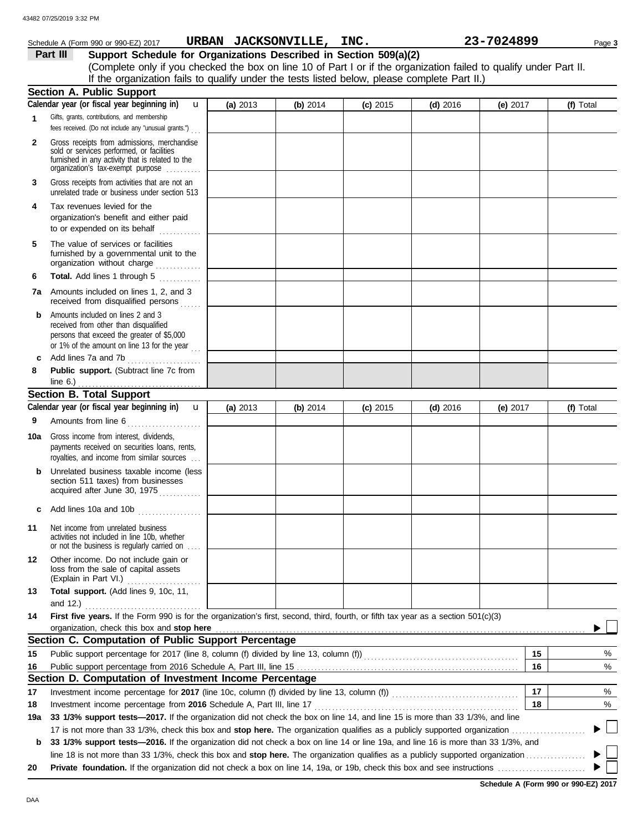## **Section B. Total Support** unrelated trade or business under section 513 **Part III Support Schedule for Organizations Described in Section 509(a)(2)** (Complete only if you checked the box on line 10 of Part I or if the organization failed to qualify under Part II. **1 2 3 6 8** Schedule A (Form 990 or 990-EZ) 2017 Page **3 URBAN JACKSONVILLE, INC. 23-7024899** Gifts, grants, contributions, and membership fees received. (Do not include any "unusual grants.") . . . **Public support.** (Subtract line 7c from Gross receipts from admissions, merchandise sold or services performed, or facilities furnished in any activity that is related to the Gross receipts from activities that are not an **Total.** Add lines 1 through 5 **Section A. Public Support** organization's tax-exempt purpose ......... **4** Tax revenues levied for the organization's benefit and either paid to or expended on its behalf when  $\cdots$ organization without charge .............. furnished by a governmental unit to the **5** The value of services or facilities **7a** Amounts included on lines 1, 2, and 3 received from disqualified persons **b** Amounts included on lines 2 and 3 received from other than disqualified persons that exceed the greater of \$5,000 or 1% of the amount on line 13 for the year  $\ldots$ **c** Add lines 7a and 7b . . . . . . . . . . . . . . . . . . . . . Amounts from line 6 . . . . . . . . . . . . . . . . . . . . . **9** royalties, and income from similar sources . . . payments received on securities loans, rents, **10a** Gross income from interest, dividends, **b** Unrelated business taxable income (less section 511 taxes) from businesses acquired after June 30, 1975 **c** Add lines 10a and 10b . . . . . . . . . . . . . . . . . . **11** Net income from unrelated business activities not included in line 10b, whether or not the business is regularly carried on . . . . (Explain in Part VI.) . . . . . . . . . . . . . . . . . . . . . loss from the sale of capital assets **12** Other income. Do not include gain or **13 Total support.** (Add lines 9, 10c, 11, **14 First five years.** If the Form 990 is for the organization's first, second, third, fourth, or fifth tax year as a section 501(c)(3) **(a)** 2013 **(b)** 2014 **(c)** 2015 **(d)** 2016 **(e)** 2017 **(f)** Total **(f)** Total line 6.) . . . . . . . . . . . . . . . . . . . . . . . . . . . . . . . . . . . **Calendar year (or fiscal year beginning in) Calendar year (or fiscal year beginning in)**  and 12.) . . . . . . . . . . . . . . . . . . . . . . . . . . . . . . . . . If the organization fails to qualify under the tests listed below, please complete Part II.) **(a)** 2013 **(b)** 2014 **(c)** 2015 **(d)** 2016 **(e)** 2017 u u 43482 07/25/2019 3:32 PM

|     | organization, check this box and stop here                                                                                                     |    |                              |
|-----|------------------------------------------------------------------------------------------------------------------------------------------------|----|------------------------------|
|     | Section C. Computation of Public Support Percentage                                                                                            |    |                              |
| 15  | Public support percentage for 2017 (line 8, column (f) divided by line 13, column (f))                                                         | 15 | %                            |
| 16  |                                                                                                                                                | 16 | %                            |
|     | Section D. Computation of Investment Income Percentage                                                                                         |    |                              |
| 17  | Investment income percentage for 2017 (line 10c, column (f) divided by line 13, column (f))                                                    | 17 | %                            |
| 18  | Investment income percentage from 2016 Schedule A, Part III, line 17                                                                           | 18 | $\%$                         |
| 19а | 33 1/3% support tests—2017. If the organization did not check the box on line 14, and line 15 is more than 33 1/3%, and line                   |    |                              |
|     | 17 is not more than 33 1/3%, check this box and stop here. The organization qualifies as a publicly supported organization                     |    | $\blacktriangleright$ $\Box$ |
| b   | 33 1/3% support tests—2016. If the organization did not check a box on line 14 or line 19a, and line 16 is more than 33 1/3%, and              |    |                              |
|     | line 18 is not more than 33 1/3%, check this box and stop here. The organization qualifies as a publicly supported organization                |    | ▶∐                           |
| 20  | <b>Private foundation.</b> If the organization did not check a box on line 14, 19a, or 19b, check this box and see instructions <i>manimum</i> |    |                              |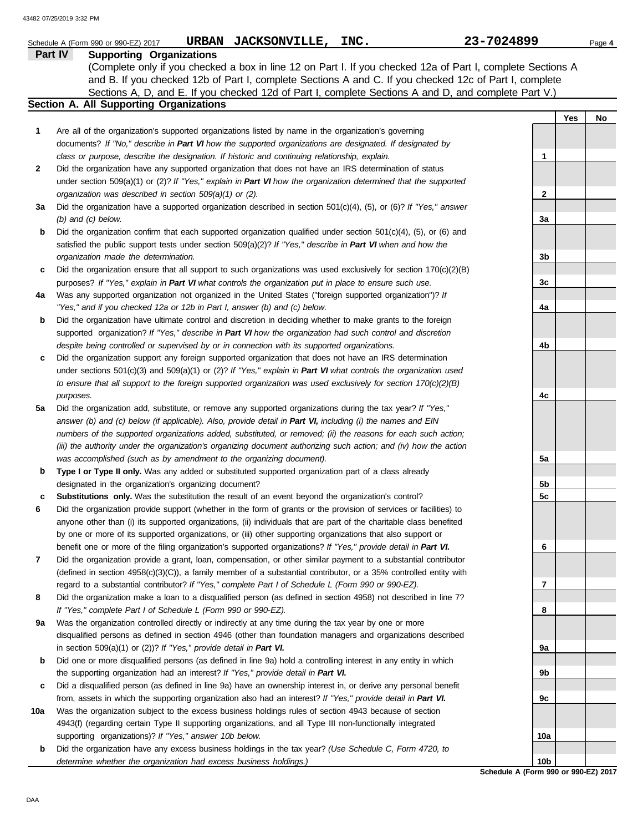|     | URBAN JACKSONVILLE, INC.<br>Schedule A (Form 990 or 990-EZ) 2017                                                                                                                                                                   | 23-7024899                           |     | Page 4 |
|-----|------------------------------------------------------------------------------------------------------------------------------------------------------------------------------------------------------------------------------------|--------------------------------------|-----|--------|
|     | <b>Part IV</b><br><b>Supporting Organizations</b>                                                                                                                                                                                  |                                      |     |        |
|     | (Complete only if you checked a box in line 12 on Part I. If you checked 12a of Part I, complete Sections A                                                                                                                        |                                      |     |        |
|     | and B. If you checked 12b of Part I, complete Sections A and C. If you checked 12c of Part I, complete                                                                                                                             |                                      |     |        |
|     | Sections A, D, and E. If you checked 12d of Part I, complete Sections A and D, and complete Part V.)                                                                                                                               |                                      |     |        |
|     | Section A. All Supporting Organizations                                                                                                                                                                                            |                                      |     |        |
|     |                                                                                                                                                                                                                                    |                                      | Yes | No     |
| 1   | Are all of the organization's supported organizations listed by name in the organization's governing                                                                                                                               |                                      |     |        |
|     | documents? If "No," describe in Part VI how the supported organizations are designated. If designated by<br>class or purpose, describe the designation. If historic and continuing relationship, explain.                          | 1                                    |     |        |
| 2   | Did the organization have any supported organization that does not have an IRS determination of status                                                                                                                             |                                      |     |        |
|     | under section 509(a)(1) or (2)? If "Yes," explain in Part VI how the organization determined that the supported                                                                                                                    |                                      |     |        |
|     | organization was described in section 509(a)(1) or (2).                                                                                                                                                                            | 2                                    |     |        |
| За  | Did the organization have a supported organization described in section $501(c)(4)$ , (5), or (6)? If "Yes," answer                                                                                                                |                                      |     |        |
|     | $(b)$ and $(c)$ below.                                                                                                                                                                                                             | 3a                                   |     |        |
| b   | Did the organization confirm that each supported organization qualified under section $501(c)(4)$ , $(5)$ , or $(6)$ and                                                                                                           |                                      |     |        |
|     | satisfied the public support tests under section 509(a)(2)? If "Yes," describe in Part VI when and how the                                                                                                                         |                                      |     |        |
|     | organization made the determination.                                                                                                                                                                                               | 3 <sub>b</sub>                       |     |        |
| c   | Did the organization ensure that all support to such organizations was used exclusively for section $170(c)(2)(B)$                                                                                                                 |                                      |     |        |
|     | purposes? If "Yes," explain in Part VI what controls the organization put in place to ensure such use.                                                                                                                             | 3c                                   |     |        |
| 4a  | Was any supported organization not organized in the United States ("foreign supported organization")? If                                                                                                                           |                                      |     |        |
|     | "Yes," and if you checked 12a or 12b in Part I, answer (b) and (c) below.                                                                                                                                                          | 4a                                   |     |        |
| b   | Did the organization have ultimate control and discretion in deciding whether to make grants to the foreign                                                                                                                        |                                      |     |        |
|     | supported organization? If "Yes," describe in Part VI how the organization had such control and discretion                                                                                                                         |                                      |     |        |
|     | despite being controlled or supervised by or in connection with its supported organizations.<br>Did the organization support any foreign supported organization that does not have an IRS determination                            | 4b                                   |     |        |
| c   | under sections $501(c)(3)$ and $509(a)(1)$ or (2)? If "Yes," explain in Part VI what controls the organization used                                                                                                                |                                      |     |        |
|     | to ensure that all support to the foreign supported organization was used exclusively for section $170(c)(2)(B)$                                                                                                                   |                                      |     |        |
|     | purposes.                                                                                                                                                                                                                          | 4c                                   |     |        |
| 5a  | Did the organization add, substitute, or remove any supported organizations during the tax year? If "Yes,"                                                                                                                         |                                      |     |        |
|     | answer (b) and (c) below (if applicable). Also, provide detail in Part VI, including (i) the names and EIN                                                                                                                         |                                      |     |        |
|     | numbers of the supported organizations added, substituted, or removed; (ii) the reasons for each such action;                                                                                                                      |                                      |     |        |
|     | (iii) the authority under the organization's organizing document authorizing such action; and (iv) how the action                                                                                                                  |                                      |     |        |
|     | was accomplished (such as by amendment to the organizing document).                                                                                                                                                                | 5a                                   |     |        |
| b   | Type I or Type II only. Was any added or substituted supported organization part of a class already                                                                                                                                |                                      |     |        |
|     | designated in the organization's organizing document?                                                                                                                                                                              | 5b                                   |     |        |
| c   | <b>Substitutions only.</b> Was the substitution the result of an event beyond the organization's control?                                                                                                                          | 5c                                   |     |        |
| 6   | Did the organization provide support (whether in the form of grants or the provision of services or facilities) to                                                                                                                 |                                      |     |        |
|     | anyone other than (i) its supported organizations, (ii) individuals that are part of the charitable class benefited<br>by one or more of its supported organizations, or (iii) other supporting organizations that also support or |                                      |     |        |
|     | benefit one or more of the filing organization's supported organizations? If "Yes," provide detail in Part VI.                                                                                                                     | 6                                    |     |        |
| 7   | Did the organization provide a grant, loan, compensation, or other similar payment to a substantial contributor                                                                                                                    |                                      |     |        |
|     | (defined in section $4958(c)(3)(C)$ ), a family member of a substantial contributor, or a 35% controlled entity with                                                                                                               |                                      |     |        |
|     | regard to a substantial contributor? If "Yes," complete Part I of Schedule L (Form 990 or 990-EZ).                                                                                                                                 | 7                                    |     |        |
| 8   | Did the organization make a loan to a disqualified person (as defined in section 4958) not described in line 7?                                                                                                                    |                                      |     |        |
|     | If "Yes," complete Part I of Schedule L (Form 990 or 990-EZ).                                                                                                                                                                      | 8                                    |     |        |
| 9a  | Was the organization controlled directly or indirectly at any time during the tax year by one or more                                                                                                                              |                                      |     |        |
|     | disqualified persons as defined in section 4946 (other than foundation managers and organizations described                                                                                                                        |                                      |     |        |
|     | in section $509(a)(1)$ or (2))? If "Yes," provide detail in Part VI.                                                                                                                                                               | 9а                                   |     |        |
| b   | Did one or more disqualified persons (as defined in line 9a) hold a controlling interest in any entity in which                                                                                                                    |                                      |     |        |
|     | the supporting organization had an interest? If "Yes," provide detail in Part VI.                                                                                                                                                  | 9b                                   |     |        |
| c   | Did a disqualified person (as defined in line 9a) have an ownership interest in, or derive any personal benefit<br>from, assets in which the supporting organization also had an interest? If "Yes," provide detail in Part VI.    | 9с                                   |     |        |
| 10a | Was the organization subject to the excess business holdings rules of section 4943 because of section                                                                                                                              |                                      |     |        |
|     | 4943(f) (regarding certain Type II supporting organizations, and all Type III non-functionally integrated                                                                                                                          |                                      |     |        |
|     | supporting organizations)? If "Yes," answer 10b below.                                                                                                                                                                             | 10a                                  |     |        |
| b   | Did the organization have any excess business holdings in the tax year? (Use Schedule C, Form 4720, to                                                                                                                             |                                      |     |        |
|     | determine whether the organization had excess business holdings.)                                                                                                                                                                  | 10b                                  |     |        |
|     |                                                                                                                                                                                                                                    | Schodule A (Form 000 or 000 EZ) 2017 |     |        |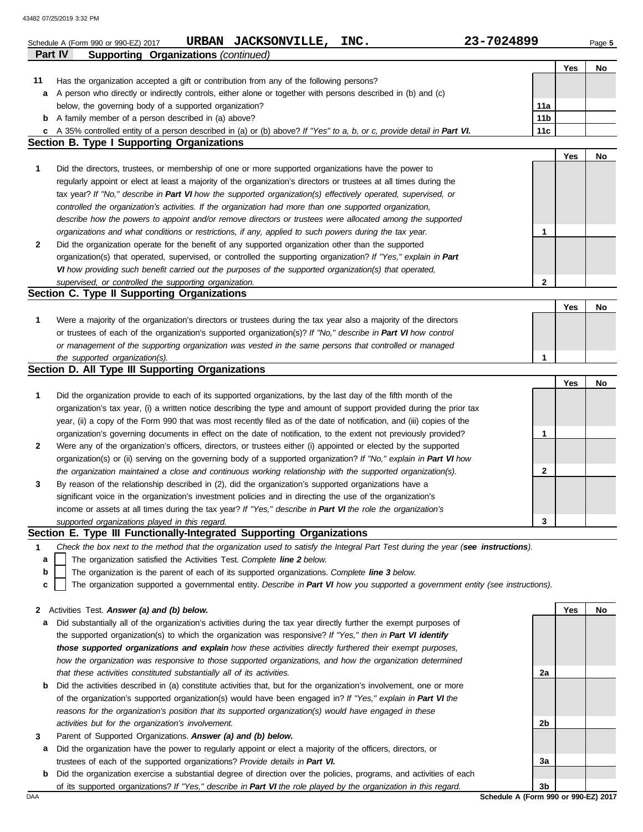|              | URBAN JACKSONVILLE,<br>INC.<br>Schedule A (Form 990 or 990-EZ) 2017                                                               | 23-7024899      |     | Page 5 |
|--------------|-----------------------------------------------------------------------------------------------------------------------------------|-----------------|-----|--------|
|              | Part IV<br><b>Supporting Organizations (continued)</b>                                                                            |                 |     |        |
|              |                                                                                                                                   |                 | Yes | No     |
| 11           | Has the organization accepted a gift or contribution from any of the following persons?                                           |                 |     |        |
| a            | A person who directly or indirectly controls, either alone or together with persons described in (b) and (c)                      |                 |     |        |
|              | below, the governing body of a supported organization?                                                                            | 11a             |     |        |
|              | <b>b</b> A family member of a person described in (a) above?                                                                      | 11 <sub>b</sub> |     |        |
|              | c A 35% controlled entity of a person described in (a) or (b) above? If "Yes" to a, b, or c, provide detail in Part VI.           | 11c             |     |        |
|              | <b>Section B. Type I Supporting Organizations</b>                                                                                 |                 |     |        |
|              |                                                                                                                                   |                 | Yes | No     |
| 1            | Did the directors, trustees, or membership of one or more supported organizations have the power to                               |                 |     |        |
|              | regularly appoint or elect at least a majority of the organization's directors or trustees at all times during the                |                 |     |        |
|              | tax year? If "No," describe in Part VI how the supported organization(s) effectively operated, supervised, or                     |                 |     |        |
|              | controlled the organization's activities. If the organization had more than one supported organization,                           |                 |     |        |
|              | describe how the powers to appoint and/or remove directors or trustees were allocated among the supported                         |                 |     |        |
|              | organizations and what conditions or restrictions, if any, applied to such powers during the tax year.                            | 1               |     |        |
| 2            | Did the organization operate for the benefit of any supported organization other than the supported                               |                 |     |        |
|              | organization(s) that operated, supervised, or controlled the supporting organization? If "Yes," explain in Part                   |                 |     |        |
|              | VI how providing such benefit carried out the purposes of the supported organization(s) that operated,                            |                 |     |        |
|              | supervised, or controlled the supporting organization.                                                                            | $\mathbf 2$     |     |        |
|              | Section C. Type II Supporting Organizations                                                                                       |                 |     |        |
|              |                                                                                                                                   |                 | Yes | No     |
| 1            | Were a majority of the organization's directors or trustees during the tax year also a majority of the directors                  |                 |     |        |
|              | or trustees of each of the organization's supported organization(s)? If "No," describe in Part VI how control                     |                 |     |        |
|              | or management of the supporting organization was vested in the same persons that controlled or managed                            |                 |     |        |
|              | the supported organization(s).                                                                                                    | 1               |     |        |
|              | Section D. All Type III Supporting Organizations                                                                                  |                 |     |        |
|              |                                                                                                                                   |                 | Yes | No     |
| 1            | Did the organization provide to each of its supported organizations, by the last day of the fifth month of the                    |                 |     |        |
|              | organization's tax year, (i) a written notice describing the type and amount of support provided during the prior tax             |                 |     |        |
|              | year, (ii) a copy of the Form 990 that was most recently filed as of the date of notification, and (iii) copies of the            |                 |     |        |
|              | organization's governing documents in effect on the date of notification, to the extent not previously provided?                  | 1               |     |        |
| 2            | Were any of the organization's officers, directors, or trustees either (i) appointed or elected by the supported                  |                 |     |        |
|              | organization(s) or (ii) serving on the governing body of a supported organization? If "No," explain in Part VI how                |                 |     |        |
|              | the organization maintained a close and continuous working relationship with the supported organization(s).                       | 2               |     |        |
| 3            | By reason of the relationship described in (2), did the organization's supported organizations have a                             |                 |     |        |
|              | significant voice in the organization's investment policies and in directing the use of the organization's                        |                 |     |        |
|              | income or assets at all times during the tax year? If "Yes," describe in Part VI the role the organization's                      |                 |     |        |
|              | supported organizations played in this regard.                                                                                    | 3               |     |        |
|              | Section E. Type III Functionally-Integrated Supporting Organizations                                                              |                 |     |        |
| 1            | Check the box next to the method that the organization used to satisfy the Integral Part Test during the year (see instructions). |                 |     |        |
| a            | The organization satisfied the Activities Test. Complete line 2 below.                                                            |                 |     |        |
| b            | The organization is the parent of each of its supported organizations. Complete line 3 below.                                     |                 |     |        |
| C            | The organization supported a governmental entity. Describe in Part VI how you supported a government entity (see instructions).   |                 |     |        |
|              |                                                                                                                                   |                 |     |        |
| $\mathbf{z}$ | Activities Test. Answer (a) and (b) below.                                                                                        |                 | Yes | No     |
| а            | Did substantially all of the organization's activities during the tax year directly further the exempt purposes of                |                 |     |        |
|              | the supported organization(s) to which the organization was responsive? If "Yes," then in Part VI identify                        |                 |     |        |
|              | those supported organizations and explain how these activities directly furthered their exempt purposes,                          |                 |     |        |
|              | how the organization was responsive to those supported organizations, and how the organization determined                         |                 |     |        |
|              | that these activities constituted substantially all of its activities.                                                            | 2a              |     |        |
| b            | Did the activities described in (a) constitute activities that, but for the organization's involvement, one or more               |                 |     |        |
|              | of the organization's supported organization(s) would have been engaged in? If "Yes," explain in Part VI the                      |                 |     |        |
|              | reasons for the organization's position that its supported organization(s) would have engaged in these                            |                 |     |        |
|              | activities but for the organization's involvement.                                                                                | 2b              |     |        |
| 3            | Parent of Supported Organizations. Answer (a) and (b) below.                                                                      |                 |     |        |
| а            | Did the organization have the power to regularly appoint or elect a majority of the officers, directors, or                       |                 |     |        |
|              | trustees of each of the supported organizations? Provide details in Part VI.                                                      | За              |     |        |
| b            | Did the organization exercise a substantial degree of direction over the policies, programs, and activities of each               |                 |     |        |
|              | of its supported organizations? If "Yes," describe in Part VI the role played by the organization in this regard.                 | 3 <sub>b</sub>  |     |        |

DAA **Schedule A (Form 990 or 990-EZ) 2017 3b**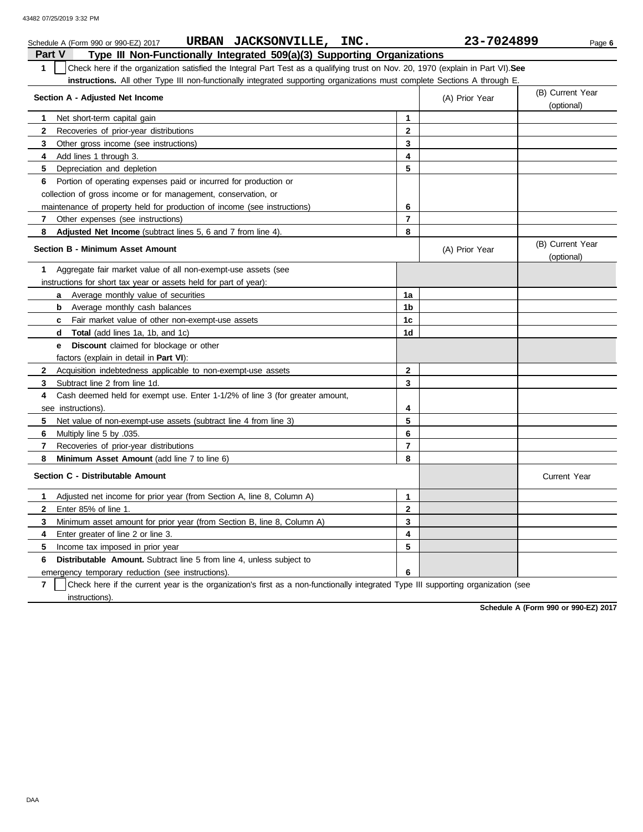|              | URBAN JACKSONVILLE, INC.<br>Schedule A (Form 990 or 990-EZ) 2017                                                                 |                | 23-7024899     | Page 6                         |
|--------------|----------------------------------------------------------------------------------------------------------------------------------|----------------|----------------|--------------------------------|
| Part V       | Type III Non-Functionally Integrated 509(a)(3) Supporting Organizations                                                          |                |                |                                |
| $\mathbf{1}$ | Check here if the organization satisfied the Integral Part Test as a qualifying trust on Nov. 20, 1970 (explain in Part VI). See |                |                |                                |
|              | instructions. All other Type III non-functionally integrated supporting organizations must complete Sections A through E.        |                |                |                                |
|              | Section A - Adjusted Net Income                                                                                                  |                | (A) Prior Year | (B) Current Year               |
|              |                                                                                                                                  |                |                | (optional)                     |
| 1            | Net short-term capital gain                                                                                                      | 1              |                |                                |
| $\mathbf{2}$ | Recoveries of prior-year distributions                                                                                           | $\mathbf{2}$   |                |                                |
| 3            | Other gross income (see instructions)                                                                                            | 3              |                |                                |
| 4            | Add lines 1 through 3.                                                                                                           | 4              |                |                                |
| 5            | Depreciation and depletion                                                                                                       | 5              |                |                                |
| 6            | Portion of operating expenses paid or incurred for production or                                                                 |                |                |                                |
|              | collection of gross income or for management, conservation, or                                                                   |                |                |                                |
|              | maintenance of property held for production of income (see instructions)                                                         | 6              |                |                                |
| 7            | Other expenses (see instructions)                                                                                                | $\overline{7}$ |                |                                |
| 8            | Adjusted Net Income (subtract lines 5, 6 and 7 from line 4).                                                                     | 8              |                |                                |
|              | Section B - Minimum Asset Amount                                                                                                 |                | (A) Prior Year | (B) Current Year<br>(optional) |
| 1            | Aggregate fair market value of all non-exempt-use assets (see                                                                    |                |                |                                |
|              | instructions for short tax year or assets held for part of year):                                                                |                |                |                                |
|              | Average monthly value of securities<br>a                                                                                         | 1a             |                |                                |
|              | Average monthly cash balances<br>b                                                                                               | 1 <sub>b</sub> |                |                                |
|              | Fair market value of other non-exempt-use assets<br>C                                                                            | 1 <sub>c</sub> |                |                                |
|              | d Total (add lines 1a, 1b, and 1c)                                                                                               | 1d             |                |                                |
|              | <b>Discount</b> claimed for blockage or other<br>e                                                                               |                |                |                                |
|              | factors (explain in detail in Part VI):                                                                                          |                |                |                                |
| $\mathbf{2}$ | Acquisition indebtedness applicable to non-exempt-use assets                                                                     | $\mathbf{2}$   |                |                                |
| 3            | Subtract line 2 from line 1d.                                                                                                    | 3              |                |                                |
| 4            | Cash deemed held for exempt use. Enter 1-1/2% of line 3 (for greater amount,                                                     |                |                |                                |
|              | see instructions)                                                                                                                | 4              |                |                                |
| 5.           | Net value of non-exempt-use assets (subtract line 4 from line 3)                                                                 | 5              |                |                                |
| 6            | Multiply line 5 by .035.                                                                                                         | 6              |                |                                |
| 7            | Recoveries of prior-year distributions                                                                                           | $\overline{7}$ |                |                                |
| 8            | Minimum Asset Amount (add line 7 to line 6)                                                                                      | 8              |                |                                |
|              | Section C - Distributable Amount                                                                                                 |                |                | <b>Current Year</b>            |
| 1            | Adjusted net income for prior year (from Section A, line 8, Column A)                                                            | 1              |                |                                |
| $\mathbf{2}$ | Enter 85% of line 1.                                                                                                             | $\mathbf{2}$   |                |                                |
| 3            | Minimum asset amount for prior year (from Section B, line 8, Column A)                                                           | 3              |                |                                |
| 4            | Enter greater of line 2 or line 3.                                                                                               | 4              |                |                                |
| 5            | Income tax imposed in prior year                                                                                                 | 5              |                |                                |
| 6            | <b>Distributable Amount.</b> Subtract line 5 from line 4, unless subject to                                                      |                |                |                                |
|              | emergency temporary reduction (see instructions).                                                                                | 6              |                |                                |
|              |                                                                                                                                  |                |                |                                |

**7** | Check here if the current year is the organization's first as a non-functionally integrated Type III supporting organization (see instructions).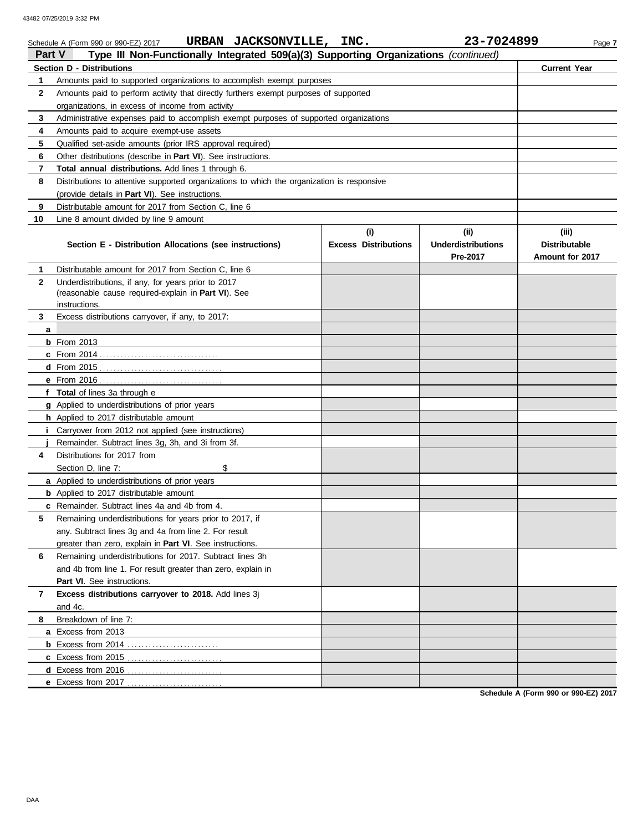|                | URBAN JACKSONVILLE, INC.<br>Schedule A (Form 990 or 990-EZ) 2017                                                                         |                             | 23-7024899                | Page 7               |
|----------------|------------------------------------------------------------------------------------------------------------------------------------------|-----------------------------|---------------------------|----------------------|
| <b>Part V</b>  | Type III Non-Functionally Integrated 509(a)(3) Supporting Organizations (continued)                                                      |                             |                           |                      |
|                | <b>Section D - Distributions</b>                                                                                                         |                             |                           | <b>Current Year</b>  |
| $\mathbf{1}$   | Amounts paid to supported organizations to accomplish exempt purposes                                                                    |                             |                           |                      |
| $\mathbf{2}$   | Amounts paid to perform activity that directly furthers exempt purposes of supported<br>organizations, in excess of income from activity |                             |                           |                      |
| 3              | Administrative expenses paid to accomplish exempt purposes of supported organizations                                                    |                             |                           |                      |
| 4              | Amounts paid to acquire exempt-use assets                                                                                                |                             |                           |                      |
| 5              | Qualified set-aside amounts (prior IRS approval required)                                                                                |                             |                           |                      |
| 6              | Other distributions (describe in Part VI). See instructions.                                                                             |                             |                           |                      |
| 7              | Total annual distributions. Add lines 1 through 6.                                                                                       |                             |                           |                      |
| 8              | Distributions to attentive supported organizations to which the organization is responsive                                               |                             |                           |                      |
|                | (provide details in Part VI). See instructions.                                                                                          |                             |                           |                      |
| 9              | Distributable amount for 2017 from Section C, line 6                                                                                     |                             |                           |                      |
| 10             | Line 8 amount divided by line 9 amount                                                                                                   |                             |                           |                      |
|                |                                                                                                                                          | (i)                         | (ii)                      | (iii)                |
|                | Section E - Distribution Allocations (see instructions)                                                                                  | <b>Excess Distributions</b> | <b>Underdistributions</b> | <b>Distributable</b> |
|                |                                                                                                                                          |                             | Pre-2017                  | Amount for 2017      |
| 1              | Distributable amount for 2017 from Section C, line 6                                                                                     |                             |                           |                      |
| $\overline{2}$ | Underdistributions, if any, for years prior to 2017                                                                                      |                             |                           |                      |
|                | (reasonable cause required-explain in Part VI). See                                                                                      |                             |                           |                      |
|                | instructions.                                                                                                                            |                             |                           |                      |
| 3              | Excess distributions carryover, if any, to 2017:                                                                                         |                             |                           |                      |
| a              |                                                                                                                                          |                             |                           |                      |
|                | $b$ From 2013                                                                                                                            |                             |                           |                      |
|                |                                                                                                                                          |                             |                           |                      |
|                |                                                                                                                                          |                             |                           |                      |
|                |                                                                                                                                          |                             |                           |                      |
|                | f Total of lines 3a through e                                                                                                            |                             |                           |                      |
|                | g Applied to underdistributions of prior years                                                                                           |                             |                           |                      |
|                | h Applied to 2017 distributable amount                                                                                                   |                             |                           |                      |
|                | Carryover from 2012 not applied (see instructions)                                                                                       |                             |                           |                      |
|                | Remainder. Subtract lines 3g, 3h, and 3i from 3f.                                                                                        |                             |                           |                      |
| 4              | Distributions for 2017 from                                                                                                              |                             |                           |                      |
|                | Section D, line 7:<br>\$                                                                                                                 |                             |                           |                      |
|                | a Applied to underdistributions of prior years                                                                                           |                             |                           |                      |
|                | <b>b</b> Applied to 2017 distributable amount                                                                                            |                             |                           |                      |
|                | c Remainder. Subtract lines 4a and 4b from 4.                                                                                            |                             |                           |                      |
| 5              | Remaining underdistributions for years prior to 2017, if                                                                                 |                             |                           |                      |
|                | any. Subtract lines 3g and 4a from line 2. For result                                                                                    |                             |                           |                      |
|                | greater than zero, explain in Part VI. See instructions.                                                                                 |                             |                           |                      |
| 6              | Remaining underdistributions for 2017. Subtract lines 3h                                                                                 |                             |                           |                      |
|                | and 4b from line 1. For result greater than zero, explain in                                                                             |                             |                           |                      |
|                | Part VI. See instructions.                                                                                                               |                             |                           |                      |
| 7              | Excess distributions carryover to 2018. Add lines 3j                                                                                     |                             |                           |                      |
|                | and 4c.                                                                                                                                  |                             |                           |                      |
| 8              | Breakdown of line 7:                                                                                                                     |                             |                           |                      |
|                | a Excess from 2013                                                                                                                       |                             |                           |                      |
|                |                                                                                                                                          |                             |                           |                      |
|                | c Excess from 2015<br>d Excess from 2016.                                                                                                |                             |                           |                      |
|                | .                                                                                                                                        |                             |                           |                      |
|                | e Excess from 2017                                                                                                                       |                             |                           |                      |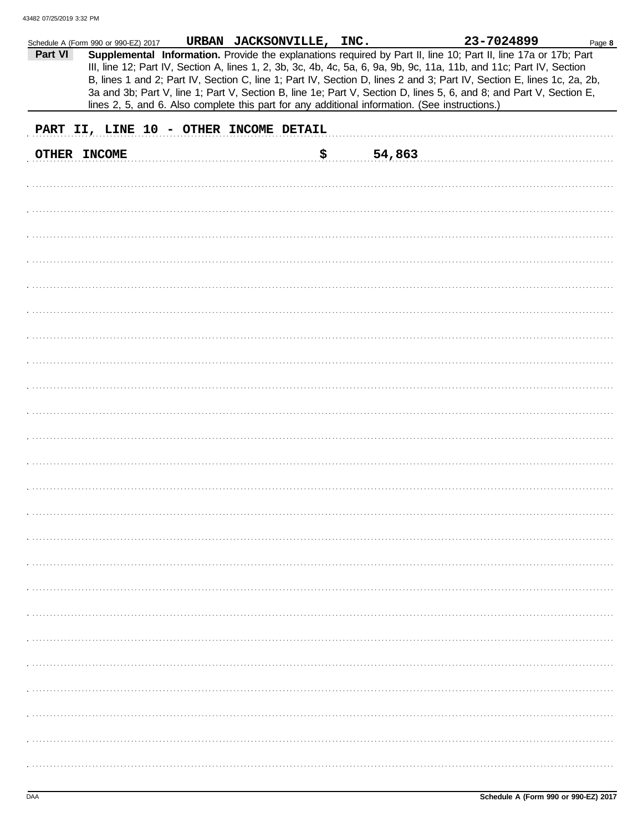|         | Schedule A (Form 990 or 990-EZ) 2017 | URBAN JACKSONVILLE, INC.               |     |                                                                                                | 23-7024899                                                                                                                                                                                                                                                                                                                                                        | Page 8 |
|---------|--------------------------------------|----------------------------------------|-----|------------------------------------------------------------------------------------------------|-------------------------------------------------------------------------------------------------------------------------------------------------------------------------------------------------------------------------------------------------------------------------------------------------------------------------------------------------------------------|--------|
| Part VI |                                      |                                        |     |                                                                                                | Supplemental Information. Provide the explanations required by Part II, line 10; Part II, line 17a or 17b; Part<br>III, line 12; Part IV, Section A, lines 1, 2, 3b, 3c, 4b, 4c, 5a, 6, 9a, 9b, 9c, 11a, 11b, and 11c; Part IV, Section<br>B, lines 1 and 2; Part IV, Section C, line 1; Part IV, Section D, lines 2 and 3; Part IV, Section E, lines 1c, 2a, 2b, |        |
|         |                                      |                                        |     | lines 2, 5, and 6. Also complete this part for any additional information. (See instructions.) | 3a and 3b; Part V, line 1; Part V, Section B, line 1e; Part V, Section D, lines 5, 6, and 8; and Part V, Section E,                                                                                                                                                                                                                                               |        |
|         |                                      | PART II, LINE 10 - OTHER INCOME DETAIL |     |                                                                                                |                                                                                                                                                                                                                                                                                                                                                                   |        |
|         | OTHER INCOME                         |                                        | \$. | 54,863                                                                                         |                                                                                                                                                                                                                                                                                                                                                                   |        |
|         |                                      |                                        |     |                                                                                                |                                                                                                                                                                                                                                                                                                                                                                   |        |
|         |                                      |                                        |     |                                                                                                |                                                                                                                                                                                                                                                                                                                                                                   |        |
|         |                                      |                                        |     |                                                                                                |                                                                                                                                                                                                                                                                                                                                                                   |        |
|         |                                      |                                        |     |                                                                                                |                                                                                                                                                                                                                                                                                                                                                                   |        |
|         |                                      |                                        |     |                                                                                                |                                                                                                                                                                                                                                                                                                                                                                   |        |
|         |                                      |                                        |     |                                                                                                |                                                                                                                                                                                                                                                                                                                                                                   |        |
|         |                                      |                                        |     |                                                                                                |                                                                                                                                                                                                                                                                                                                                                                   |        |
|         |                                      |                                        |     |                                                                                                |                                                                                                                                                                                                                                                                                                                                                                   |        |
|         |                                      |                                        |     |                                                                                                |                                                                                                                                                                                                                                                                                                                                                                   |        |
|         |                                      |                                        |     |                                                                                                |                                                                                                                                                                                                                                                                                                                                                                   |        |
|         |                                      |                                        |     |                                                                                                |                                                                                                                                                                                                                                                                                                                                                                   |        |
|         |                                      |                                        |     |                                                                                                |                                                                                                                                                                                                                                                                                                                                                                   |        |
|         |                                      |                                        |     |                                                                                                |                                                                                                                                                                                                                                                                                                                                                                   |        |
|         |                                      |                                        |     |                                                                                                |                                                                                                                                                                                                                                                                                                                                                                   |        |
|         |                                      |                                        |     |                                                                                                |                                                                                                                                                                                                                                                                                                                                                                   |        |
|         |                                      |                                        |     |                                                                                                |                                                                                                                                                                                                                                                                                                                                                                   |        |
|         |                                      |                                        |     |                                                                                                |                                                                                                                                                                                                                                                                                                                                                                   |        |
|         |                                      |                                        |     |                                                                                                |                                                                                                                                                                                                                                                                                                                                                                   |        |
|         |                                      |                                        |     |                                                                                                |                                                                                                                                                                                                                                                                                                                                                                   |        |
|         |                                      |                                        |     |                                                                                                |                                                                                                                                                                                                                                                                                                                                                                   |        |
|         |                                      |                                        |     |                                                                                                |                                                                                                                                                                                                                                                                                                                                                                   |        |
|         |                                      |                                        |     |                                                                                                |                                                                                                                                                                                                                                                                                                                                                                   |        |
|         |                                      |                                        |     |                                                                                                |                                                                                                                                                                                                                                                                                                                                                                   |        |
|         |                                      |                                        |     |                                                                                                |                                                                                                                                                                                                                                                                                                                                                                   |        |
|         |                                      |                                        |     |                                                                                                |                                                                                                                                                                                                                                                                                                                                                                   |        |
|         |                                      |                                        |     |                                                                                                |                                                                                                                                                                                                                                                                                                                                                                   |        |
|         |                                      |                                        |     |                                                                                                |                                                                                                                                                                                                                                                                                                                                                                   |        |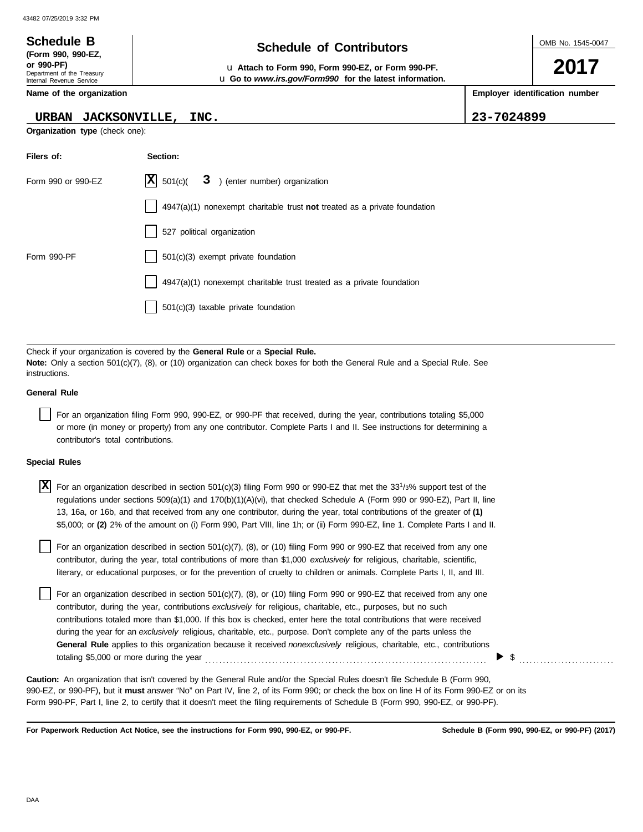Department of the Treasury Internal Revenue Service

**(Form 990, 990-EZ,**

# **Schedule of Contributors Schedule B**

**or 990-PF)** u **Attach to Form 990, Form 990-EZ, or Form 990-PF.** u **Go to** *www.irs.gov/Form990* **for the latest information.**

**Name of the organization**

## **URBAN JACKSONVILLE, INC. 23-7024899**

**Organization type** (check one):

| Filers of:         | Section:                                                                    |
|--------------------|-----------------------------------------------------------------------------|
| Form 990 or 990-EZ | $ \mathbf{X} $ 501(c)(<br>3 ) (enter number) organization                   |
|                    | $4947(a)(1)$ nonexempt charitable trust not treated as a private foundation |
|                    | 527 political organization                                                  |
| Form 990-PF        | 501(c)(3) exempt private foundation                                         |
|                    | 4947(a)(1) nonexempt charitable trust treated as a private foundation       |
|                    | $501(c)(3)$ taxable private foundation                                      |

Check if your organization is covered by the **General Rule** or a **Special Rule. Note:** Only a section 501(c)(7), (8), or (10) organization can check boxes for both the General Rule and a Special Rule. See instructions.

## **General Rule**

For an organization filing Form 990, 990-EZ, or 990-PF that received, during the year, contributions totaling \$5,000 or more (in money or property) from any one contributor. Complete Parts I and II. See instructions for determining a contributor's total contributions.

## **Special Rules**

| $\vert X \vert$ For an organization described in section 501(c)(3) filing Form 990 or 990-EZ that met the 33 <sup>1</sup> /3% support test of the |
|---------------------------------------------------------------------------------------------------------------------------------------------------|
| regulations under sections 509(a)(1) and 170(b)(1)(A)(vi), that checked Schedule A (Form 990 or 990-EZ), Part II, line                            |
| 13, 16a, or 16b, and that received from any one contributor, during the year, total contributions of the greater of (1)                           |
| \$5,000; or (2) 2% of the amount on (i) Form 990, Part VIII, line 1h; or (ii) Form 990-EZ, line 1. Complete Parts I and II.                       |

literary, or educational purposes, or for the prevention of cruelty to children or animals. Complete Parts I, II, and III. For an organization described in section  $501(c)(7)$ , (8), or (10) filing Form 990 or 990-EZ that received from any one contributor, during the year, total contributions of more than \$1,000 *exclusively* for religious, charitable, scientific,

For an organization described in section 501(c)(7), (8), or (10) filing Form 990 or 990-EZ that received from any one contributor, during the year, contributions *exclusively* for religious, charitable, etc., purposes, but no such contributions totaled more than \$1,000. If this box is checked, enter here the total contributions that were received during the year for an *exclusively* religious, charitable, etc., purpose. Don't complete any of the parts unless the **General Rule** applies to this organization because it received *nonexclusively* religious, charitable, etc., contributions totaling \$5,000 or more during the year . . . . . . . . . . . . . . . . . . . . . . . . . . . . . . . . . . . . . . . . . . . . . . . . . . . . . . . . . . . . . . . . . . . . . . . . . . . . . . . .

990-EZ, or 990-PF), but it **must** answer "No" on Part IV, line 2, of its Form 990; or check the box on line H of its Form 990-EZ or on its Form 990-PF, Part I, line 2, to certify that it doesn't meet the filing requirements of Schedule B (Form 990, 990-EZ, or 990-PF). **Caution:** An organization that isn't covered by the General Rule and/or the Special Rules doesn't file Schedule B (Form 990,

**For Paperwork Reduction Act Notice, see the instructions for Form 990, 990-EZ, or 990-PF.**

 $\triangleright$  \$

**2017**

**Employer identification number**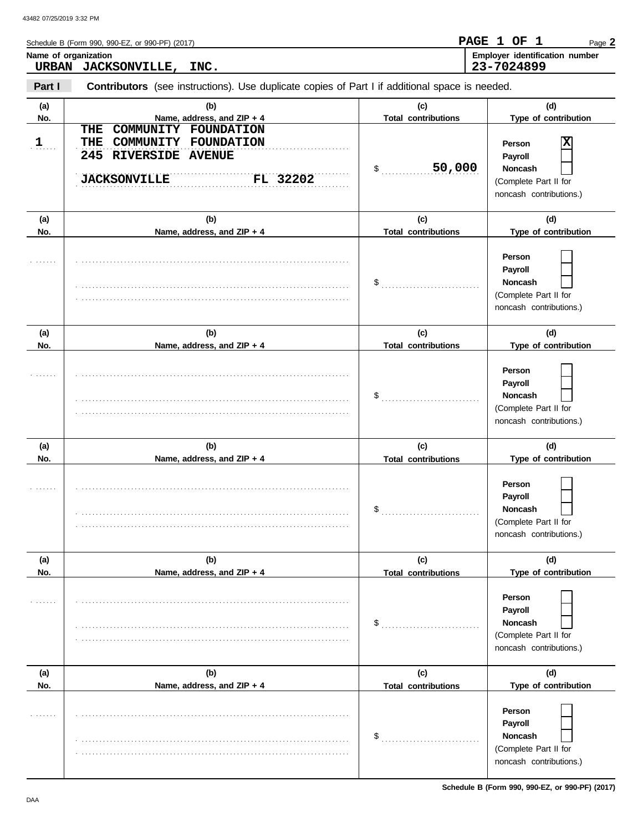|            | Schedule B (Form 990, 990-EZ, or 990-PF) (2017)                                                                          |                                   | PAGE 1 OF 1<br>Page 2                                                                                           |
|------------|--------------------------------------------------------------------------------------------------------------------------|-----------------------------------|-----------------------------------------------------------------------------------------------------------------|
|            | Name of organization<br>URBAN JACKSONVILLE, INC.                                                                         |                                   | Employer identification number<br>23-7024899                                                                    |
| Part I     | Contributors (see instructions). Use duplicate copies of Part I if additional space is needed.                           |                                   |                                                                                                                 |
| (a)<br>No. | (b)<br>Name, address, and ZIP + 4                                                                                        | (c)<br><b>Total contributions</b> | (d)<br>Type of contribution                                                                                     |
| $1$        | COMMUNITY FOUNDATION<br>THE<br>THE<br>COMMUNITY FOUNDATION<br>245<br>RIVERSIDE AVENUE<br>FL 32202<br><b>JACKSONVILLE</b> | 50,000<br>\$                      | Person<br>Payroll<br><b>Noncash</b><br>(Complete Part II for<br>noncash contributions.)                         |
| (a)        | (b)                                                                                                                      | (c)                               | (d)                                                                                                             |
| No.        | Name, address, and ZIP + 4                                                                                               | <b>Total contributions</b>        | Type of contribution                                                                                            |
|            |                                                                                                                          | $\$\$                             | Person<br>Payroll<br><b>Noncash</b><br>(Complete Part II for<br>noncash contributions.)                         |
| (a)        | (b)                                                                                                                      | (c)                               | (d)                                                                                                             |
| No.        | Name, address, and ZIP + 4                                                                                               | <b>Total contributions</b>        | Type of contribution                                                                                            |
|            |                                                                                                                          | $\$\$                             | Person<br>Payroll<br><b>Noncash</b><br>(Complete Part II for<br>noncash contributions.)                         |
| (a)<br>No. | (b)<br>Name, address, and ZIP + 4                                                                                        | (c)<br><b>Total contributions</b> | (d)<br>Type of contribution                                                                                     |
|            |                                                                                                                          | \$                                | Person<br>Payroll<br><b>Noncash</b><br>(Complete Part II for<br>noncash contributions.)                         |
| (a)        | (b)                                                                                                                      | (c)                               | (d)                                                                                                             |
| No.<br>.   | Name, address, and ZIP + 4                                                                                               | <b>Total contributions</b><br>\$  | Type of contribution<br>Person<br>Payroll<br><b>Noncash</b><br>(Complete Part II for<br>noncash contributions.) |
| (a)        | (b)                                                                                                                      | (c)                               | (d)                                                                                                             |
| No.<br>.   | Name, address, and ZIP + 4                                                                                               | <b>Total contributions</b><br>\$  | Type of contribution<br>Person<br>Payroll<br><b>Noncash</b><br>(Complete Part II for<br>noncash contributions.) |

**Schedule B (Form 990, 990-EZ, or 990-PF) (2017)**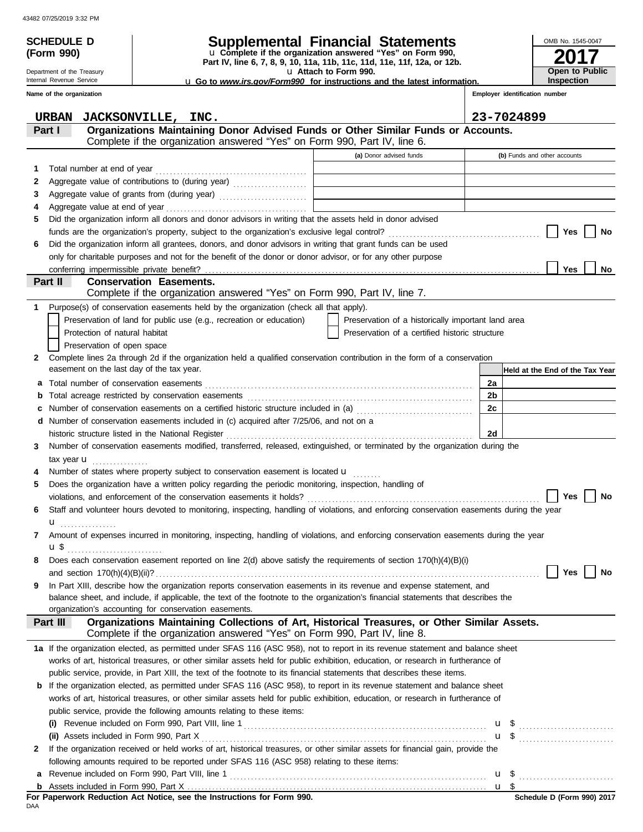Department of the Treasury Internal Revenue Service

**(Form 990)**

# **SCHEDULE D Supplemental Financial Statements**

**Part IV, line 6, 7, 8, 9, 10, 11a, 11b, 11c, 11d, 11e, 11f, 12a, or 12b.** u **Complete if the organization answered "Yes" on Form 990,**

u **Attach to Form 990.** 

u **Go to** *www.irs.gov/Form990* **for instructions and the latest information.**

**2017**

**Open to Public Inspection**

OMB No. 1545-0047

|    | Name of the organization |                                                                                                                                                                                            |                                                                                                                                                                                                                                                                                 | Employer identification number  |
|----|--------------------------|--------------------------------------------------------------------------------------------------------------------------------------------------------------------------------------------|---------------------------------------------------------------------------------------------------------------------------------------------------------------------------------------------------------------------------------------------------------------------------------|---------------------------------|
|    | <b>URBAN</b>             | JACKSONVILLE, INC.                                                                                                                                                                         |                                                                                                                                                                                                                                                                                 | 23-7024899                      |
|    | Part I                   | Organizations Maintaining Donor Advised Funds or Other Similar Funds or Accounts.<br>Complete if the organization answered "Yes" on Form 990, Part IV, line 6.                             |                                                                                                                                                                                                                                                                                 |                                 |
|    |                          |                                                                                                                                                                                            | (a) Donor advised funds                                                                                                                                                                                                                                                         | (b) Funds and other accounts    |
| 1. |                          | Total number at end of year                                                                                                                                                                | $\label{eq:2.1} \frac{1}{\sqrt{2}}\int_{\mathbb{R}^3}\frac{1}{\sqrt{2}}\left(\frac{1}{\sqrt{2}}\right)^2\left(\frac{1}{\sqrt{2}}\right)^2\left(\frac{1}{\sqrt{2}}\right)^2\left(\frac{1}{\sqrt{2}}\right)^2\left(\frac{1}{\sqrt{2}}\right)^2\left(\frac{1}{\sqrt{2}}\right)^2.$ |                                 |
| 2  |                          | Aggregate value of contributions to (during year) [1] [1] [1] Aggregate value of contributions to (during year)                                                                            |                                                                                                                                                                                                                                                                                 |                                 |
| 3  |                          | Aggregate value of grants from (during year)                                                                                                                                               |                                                                                                                                                                                                                                                                                 |                                 |
| 4  |                          |                                                                                                                                                                                            |                                                                                                                                                                                                                                                                                 |                                 |
| 5. |                          | Did the organization inform all donors and donor advisors in writing that the assets held in donor advised                                                                                 |                                                                                                                                                                                                                                                                                 |                                 |
|    |                          |                                                                                                                                                                                            |                                                                                                                                                                                                                                                                                 | Yes<br>No                       |
| 6  |                          | Did the organization inform all grantees, donors, and donor advisors in writing that grant funds can be used                                                                               |                                                                                                                                                                                                                                                                                 |                                 |
|    |                          | only for charitable purposes and not for the benefit of the donor or donor advisor, or for any other purpose                                                                               |                                                                                                                                                                                                                                                                                 |                                 |
|    |                          |                                                                                                                                                                                            |                                                                                                                                                                                                                                                                                 | Yes<br>No                       |
|    | Part II                  | <b>Conservation Easements.</b><br>Complete if the organization answered "Yes" on Form 990, Part IV, line 7.                                                                                |                                                                                                                                                                                                                                                                                 |                                 |
| 1  |                          | Purpose(s) of conservation easements held by the organization (check all that apply).                                                                                                      |                                                                                                                                                                                                                                                                                 |                                 |
|    |                          | Preservation of land for public use (e.g., recreation or education)                                                                                                                        | Preservation of a historically important land area                                                                                                                                                                                                                              |                                 |
|    |                          | Protection of natural habitat                                                                                                                                                              | Preservation of a certified historic structure                                                                                                                                                                                                                                  |                                 |
|    |                          | Preservation of open space                                                                                                                                                                 |                                                                                                                                                                                                                                                                                 |                                 |
| 2  |                          | Complete lines 2a through 2d if the organization held a qualified conservation contribution in the form of a conservation                                                                  |                                                                                                                                                                                                                                                                                 |                                 |
|    |                          | easement on the last day of the tax year.                                                                                                                                                  |                                                                                                                                                                                                                                                                                 | Held at the End of the Tax Year |
| а  |                          | Total number of conservation easements                                                                                                                                                     |                                                                                                                                                                                                                                                                                 | 2a                              |
| b  |                          |                                                                                                                                                                                            |                                                                                                                                                                                                                                                                                 | 2 <sub>b</sub>                  |
| c  |                          | Number of conservation easements on a certified historic structure included in (a) [[[[[[[[[[[[[[[[[[[[[[[[[]]]]]]]                                                                        |                                                                                                                                                                                                                                                                                 | 2c                              |
| d  |                          | Number of conservation easements included in (c) acquired after 7/25/06, and not on a                                                                                                      |                                                                                                                                                                                                                                                                                 |                                 |
|    |                          | historic structure listed in the National Register                                                                                                                                         |                                                                                                                                                                                                                                                                                 | 2d                              |
| 3. |                          | Number of conservation easements modified, transferred, released, extinguished, or terminated by the organization during the                                                               |                                                                                                                                                                                                                                                                                 |                                 |
|    |                          | tax year $\mathbf u$                                                                                                                                                                       |                                                                                                                                                                                                                                                                                 |                                 |
| 4  |                          | Number of states where property subject to conservation easement is located u                                                                                                              |                                                                                                                                                                                                                                                                                 |                                 |
| 5. |                          | Does the organization have a written policy regarding the periodic monitoring, inspection, handling of                                                                                     |                                                                                                                                                                                                                                                                                 |                                 |
|    |                          |                                                                                                                                                                                            |                                                                                                                                                                                                                                                                                 | Yes<br>No                       |
| 6  |                          | Staff and volunteer hours devoted to monitoring, inspecting, handling of violations, and enforcing conservation easements during the year                                                  |                                                                                                                                                                                                                                                                                 |                                 |
|    | u                        |                                                                                                                                                                                            |                                                                                                                                                                                                                                                                                 |                                 |
| 7  |                          | Amount of expenses incurred in monitoring, inspecting, handling of violations, and enforcing conservation easements during the year                                                        |                                                                                                                                                                                                                                                                                 |                                 |
|    | u \$                     |                                                                                                                                                                                            |                                                                                                                                                                                                                                                                                 |                                 |
|    |                          | Does each conservation easement reported on line 2(d) above satisfy the requirements of section 170(h)(4)(B)(i)                                                                            |                                                                                                                                                                                                                                                                                 |                                 |
|    |                          |                                                                                                                                                                                            |                                                                                                                                                                                                                                                                                 | Yes<br>No                       |
| 9  |                          | In Part XIII, describe how the organization reports conservation easements in its revenue and expense statement, and                                                                       |                                                                                                                                                                                                                                                                                 |                                 |
|    |                          | balance sheet, and include, if applicable, the text of the footnote to the organization's financial statements that describes the<br>organization's accounting for conservation easements. |                                                                                                                                                                                                                                                                                 |                                 |
|    | Part III                 | Organizations Maintaining Collections of Art, Historical Treasures, or Other Similar Assets.                                                                                               |                                                                                                                                                                                                                                                                                 |                                 |
|    |                          | Complete if the organization answered "Yes" on Form 990, Part IV, line 8.                                                                                                                  |                                                                                                                                                                                                                                                                                 |                                 |
|    |                          | 1a If the organization elected, as permitted under SFAS 116 (ASC 958), not to report in its revenue statement and balance sheet                                                            |                                                                                                                                                                                                                                                                                 |                                 |
|    |                          | works of art, historical treasures, or other similar assets held for public exhibition, education, or research in furtherance of                                                           |                                                                                                                                                                                                                                                                                 |                                 |
|    |                          | public service, provide, in Part XIII, the text of the footnote to its financial statements that describes these items.                                                                    |                                                                                                                                                                                                                                                                                 |                                 |
|    |                          | <b>b</b> If the organization elected, as permitted under SFAS 116 (ASC 958), to report in its revenue statement and balance sheet                                                          |                                                                                                                                                                                                                                                                                 |                                 |
|    |                          | works of art, historical treasures, or other similar assets held for public exhibition, education, or research in furtherance of                                                           |                                                                                                                                                                                                                                                                                 |                                 |
|    |                          | public service, provide the following amounts relating to these items:                                                                                                                     |                                                                                                                                                                                                                                                                                 |                                 |
|    |                          |                                                                                                                                                                                            |                                                                                                                                                                                                                                                                                 | u \$                            |
|    |                          | (ii) Assets included in Form 990, Part X                                                                                                                                                   |                                                                                                                                                                                                                                                                                 | $\mathbf{u}$ \$                 |
| 2  |                          | If the organization received or held works of art, historical treasures, or other similar assets for financial gain, provide the                                                           |                                                                                                                                                                                                                                                                                 |                                 |
|    |                          | following amounts required to be reported under SFAS 116 (ASC 958) relating to these items:                                                                                                |                                                                                                                                                                                                                                                                                 |                                 |
|    |                          |                                                                                                                                                                                            |                                                                                                                                                                                                                                                                                 |                                 |

<u>u \$</u>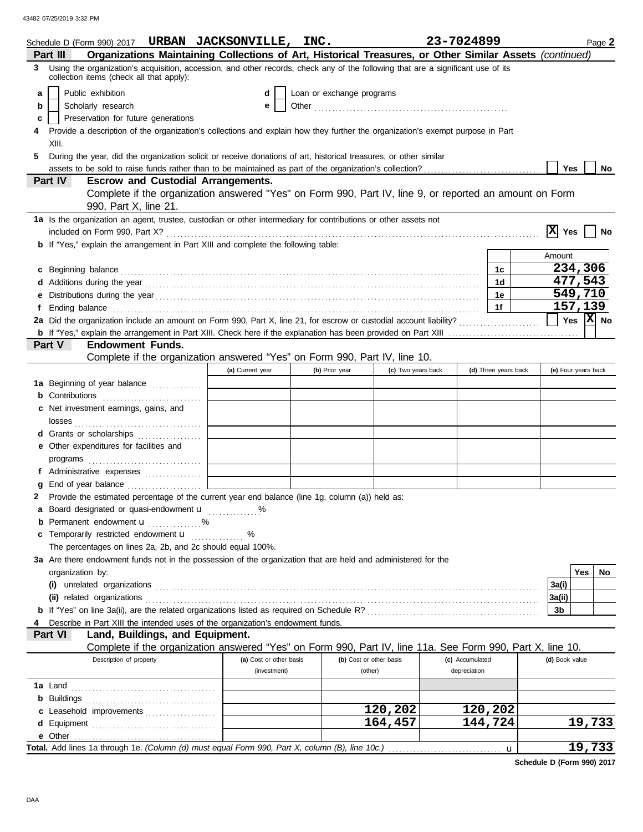| Schedule D (Form 990) 2017 URBAN JACKSONVILLE, INC.                                                                                                                            |                                              |                           |                         | 23-7024899      |                      |                | Page 2                                   |
|--------------------------------------------------------------------------------------------------------------------------------------------------------------------------------|----------------------------------------------|---------------------------|-------------------------|-----------------|----------------------|----------------|------------------------------------------|
| Organizations Maintaining Collections of Art, Historical Treasures, or Other Similar Assets (continued)<br>Part III                                                            |                                              |                           |                         |                 |                      |                |                                          |
| 3 Using the organization's acquisition, accession, and other records, check any of the following that are a significant use of its<br>collection items (check all that apply): |                                              |                           |                         |                 |                      |                |                                          |
| Public exhibition<br>a                                                                                                                                                         | d                                            | Loan or exchange programs |                         |                 |                      |                |                                          |
| Scholarly research<br>b                                                                                                                                                        | е                                            |                           |                         |                 |                      |                |                                          |
| Preservation for future generations<br>c                                                                                                                                       |                                              |                           |                         |                 |                      |                |                                          |
| Provide a description of the organization's collections and explain how they further the organization's exempt purpose in Part<br>4                                            |                                              |                           |                         |                 |                      |                |                                          |
| XIII.                                                                                                                                                                          |                                              |                           |                         |                 |                      |                |                                          |
| During the year, did the organization solicit or receive donations of art, historical treasures, or other similar<br>5.                                                        |                                              |                           |                         |                 |                      |                |                                          |
|                                                                                                                                                                                |                                              |                           |                         |                 |                      | <b>Yes</b>     | No                                       |
| Part IV<br><b>Escrow and Custodial Arrangements.</b>                                                                                                                           |                                              |                           |                         |                 |                      |                |                                          |
| Complete if the organization answered "Yes" on Form 990, Part IV, line 9, or reported an amount on Form<br>990, Part X, line 21.                                               |                                              |                           |                         |                 |                      |                |                                          |
| 1a Is the organization an agent, trustee, custodian or other intermediary for contributions or other assets not                                                                |                                              |                           |                         |                 |                      | $ X $ Yes      | No                                       |
| <b>b</b> If "Yes," explain the arrangement in Part XIII and complete the following table:                                                                                      |                                              |                           |                         |                 |                      |                |                                          |
|                                                                                                                                                                                |                                              |                           |                         |                 |                      | Amount         |                                          |
| c                                                                                                                                                                              |                                              |                           |                         |                 | 1c                   |                | 234,306                                  |
| Additions during the year contains and according to the year contained and year and the year contains a set of                                                                 |                                              |                           |                         |                 | 1 <sub>d</sub>       |                | 477,543                                  |
|                                                                                                                                                                                |                                              |                           |                         |                 | 1e                   |                | 549,710                                  |
| f                                                                                                                                                                              |                                              |                           |                         |                 | 1f                   |                | 157, 139                                 |
| 2a Did the organization include an amount on Form 990, Part X, line 21, for escrow or custodial account liability?                                                             |                                              |                           |                         |                 |                      |                | $\vert$ $\vert$ Yes $\vert$ X $\vert$ No |
|                                                                                                                                                                                |                                              |                           |                         |                 |                      |                |                                          |
| <b>Endowment Funds.</b><br>Part V                                                                                                                                              |                                              |                           |                         |                 |                      |                |                                          |
| Complete if the organization answered "Yes" on Form 990, Part IV, line 10.                                                                                                     |                                              |                           |                         |                 |                      |                |                                          |
|                                                                                                                                                                                | (a) Current year                             | (b) Prior year            | (c) Two years back      |                 | (d) Three years back |                | (e) Four years back                      |
| 1a Beginning of year balance                                                                                                                                                   | the control of the control of the control of |                           |                         |                 |                      |                |                                          |
| Contributions <b>CONSIDER CONSIDERING CONSIDER</b><br>b                                                                                                                        |                                              |                           |                         |                 |                      |                |                                          |
| Net investment earnings, gains, and<br>c                                                                                                                                       |                                              |                           |                         |                 |                      |                |                                          |
|                                                                                                                                                                                |                                              |                           |                         |                 |                      |                |                                          |
| d Grants or scholarships                                                                                                                                                       |                                              |                           |                         |                 |                      |                |                                          |
| e Other expenditures for facilities and                                                                                                                                        |                                              |                           |                         |                 |                      |                |                                          |
|                                                                                                                                                                                |                                              |                           |                         |                 |                      |                |                                          |
| f Administrative expenses                                                                                                                                                      |                                              |                           |                         |                 |                      |                |                                          |
| g                                                                                                                                                                              |                                              |                           |                         |                 |                      |                |                                          |
| 2 Provide the estimated percentage of the current year end balance (line 1g, column (a)) held as:                                                                              |                                              |                           |                         |                 |                      |                |                                          |
| Board designated or quasi-endowment u<br>a                                                                                                                                     | %                                            |                           |                         |                 |                      |                |                                          |
| Permanent endowment <b>u</b> %                                                                                                                                                 |                                              |                           |                         |                 |                      |                |                                          |
| Temporarily restricted endowment <b>u</b><br>c                                                                                                                                 | %                                            |                           |                         |                 |                      |                |                                          |
| The percentages on lines 2a, 2b, and 2c should equal 100%.                                                                                                                     |                                              |                           |                         |                 |                      |                |                                          |
| 3a Are there endowment funds not in the possession of the organization that are held and administered for the                                                                  |                                              |                           |                         |                 |                      |                |                                          |
| organization by:                                                                                                                                                               |                                              |                           |                         |                 |                      |                | Yes<br>No.                               |
|                                                                                                                                                                                |                                              |                           |                         |                 |                      | 3a(i)          |                                          |
|                                                                                                                                                                                |                                              |                           |                         |                 |                      | 3a(ii)<br>3b   |                                          |
| Describe in Part XIII the intended uses of the organization's endowment funds.                                                                                                 |                                              |                           |                         |                 |                      |                |                                          |
| 4<br>Land, Buildings, and Equipment.<br>Part VI                                                                                                                                |                                              |                           |                         |                 |                      |                |                                          |
| Complete if the organization answered "Yes" on Form 990, Part IV, line 11a. See Form 990, Part X, line 10.                                                                     |                                              |                           |                         |                 |                      |                |                                          |
| Description of property                                                                                                                                                        | (a) Cost or other basis                      |                           | (b) Cost or other basis | (c) Accumulated |                      | (d) Book value |                                          |
|                                                                                                                                                                                | (investment)                                 |                           | (other)                 | depreciation    |                      |                |                                          |
|                                                                                                                                                                                |                                              |                           |                         |                 |                      |                |                                          |
|                                                                                                                                                                                |                                              |                           |                         |                 |                      |                |                                          |
| Leasehold improvements                                                                                                                                                         |                                              |                           | 120,202                 | 120,202         |                      |                |                                          |
| d                                                                                                                                                                              |                                              |                           | 164,457                 | 144,724         |                      |                | 19,733                                   |
|                                                                                                                                                                                |                                              |                           |                         |                 |                      |                |                                          |
|                                                                                                                                                                                |                                              |                           |                         |                 | $\mathbf{u}$         |                | 19,733                                   |
|                                                                                                                                                                                |                                              |                           |                         |                 |                      |                |                                          |

**Schedule D (Form 990) 2017**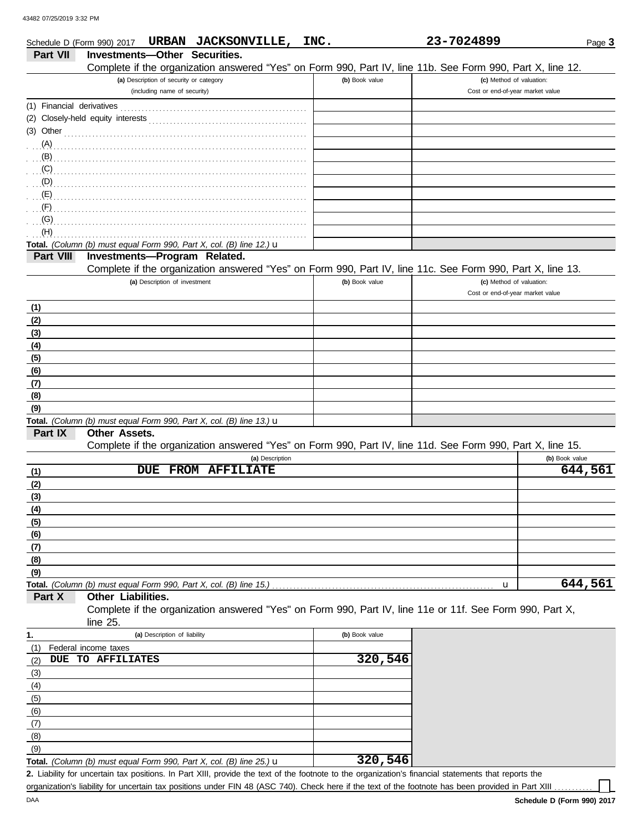DAA

|            | Schedule D (Form 990) 2017 URBAN JACKSONVILLE, INC.                                                                                                                                                                                                   |                | 23-7024899                       | Page 3         |
|------------|-------------------------------------------------------------------------------------------------------------------------------------------------------------------------------------------------------------------------------------------------------|----------------|----------------------------------|----------------|
| Part VII   | Investments-Other Securities.                                                                                                                                                                                                                         |                |                                  |                |
|            | Complete if the organization answered "Yes" on Form 990, Part IV, line 11b. See Form 990, Part X, line 12.                                                                                                                                            |                |                                  |                |
|            | (a) Description of security or category                                                                                                                                                                                                               | (b) Book value | (c) Method of valuation:         |                |
|            | (including name of security)                                                                                                                                                                                                                          |                | Cost or end-of-year market value |                |
|            |                                                                                                                                                                                                                                                       |                |                                  |                |
|            |                                                                                                                                                                                                                                                       |                |                                  |                |
|            | (3) Other $\ldots$ $\ldots$ $\ldots$ $\ldots$ $\ldots$ $\ldots$ $\ldots$ $\ldots$ $\ldots$ $\ldots$ $\ldots$ $\ldots$                                                                                                                                 |                |                                  |                |
|            |                                                                                                                                                                                                                                                       |                |                                  |                |
| (B)        |                                                                                                                                                                                                                                                       |                |                                  |                |
|            | $(C)$ and $(C)$ and $(C)$ and $(C)$ and $(C)$ and $(C)$ and $(C)$ and $(C)$ and $(C)$ and $(C)$ and $(C)$ and $(C)$ and $(C)$ and $(C)$ and $(C)$ and $(C)$ and $(C)$ and $(C)$ and $(C)$ and $(C)$ and $(C)$ and $(C)$ and $(C)$ and $(C)$ and $(C)$ |                |                                  |                |
| (D)        |                                                                                                                                                                                                                                                       |                |                                  |                |
| (E)        |                                                                                                                                                                                                                                                       |                |                                  |                |
| (F)        |                                                                                                                                                                                                                                                       |                |                                  |                |
| (G)        |                                                                                                                                                                                                                                                       |                |                                  |                |
| (H)        |                                                                                                                                                                                                                                                       |                |                                  |                |
|            | Total. (Column (b) must equal Form 990, Part X, col. (B) line 12.) u                                                                                                                                                                                  |                |                                  |                |
| Part VIII  | Investments-Program Related.                                                                                                                                                                                                                          |                |                                  |                |
|            | Complete if the organization answered "Yes" on Form 990, Part IV, line 11c. See Form 990, Part X, line 13.                                                                                                                                            |                |                                  |                |
|            | (a) Description of investment                                                                                                                                                                                                                         | (b) Book value | (c) Method of valuation:         |                |
|            |                                                                                                                                                                                                                                                       |                | Cost or end-of-year market value |                |
| (1)        |                                                                                                                                                                                                                                                       |                |                                  |                |
| (2)        |                                                                                                                                                                                                                                                       |                |                                  |                |
| (3)        |                                                                                                                                                                                                                                                       |                |                                  |                |
| (4)        |                                                                                                                                                                                                                                                       |                |                                  |                |
| (5)        |                                                                                                                                                                                                                                                       |                |                                  |                |
| (6)        |                                                                                                                                                                                                                                                       |                |                                  |                |
| (7)        |                                                                                                                                                                                                                                                       |                |                                  |                |
| (8)        |                                                                                                                                                                                                                                                       |                |                                  |                |
| (9)        |                                                                                                                                                                                                                                                       |                |                                  |                |
|            | Total. (Column (b) must equal Form 990, Part X, col. (B) line 13.) $\mathbf u$                                                                                                                                                                        |                |                                  |                |
| Part IX    | Other Assets.                                                                                                                                                                                                                                         |                |                                  |                |
|            | Complete if the organization answered "Yes" on Form 990, Part IV, line 11d. See Form 990, Part X, line 15.                                                                                                                                            |                |                                  |                |
|            | (a) Description                                                                                                                                                                                                                                       |                |                                  | (b) Book value |
| (1)        | <b>DUE FROM AFFILIATE</b>                                                                                                                                                                                                                             |                |                                  | 644,561        |
| (2)        |                                                                                                                                                                                                                                                       |                |                                  |                |
| (3)        |                                                                                                                                                                                                                                                       |                |                                  |                |
| <u>(4)</u> |                                                                                                                                                                                                                                                       |                |                                  |                |
| (5)        |                                                                                                                                                                                                                                                       |                |                                  |                |
| (6)        |                                                                                                                                                                                                                                                       |                |                                  |                |
| (7)        |                                                                                                                                                                                                                                                       |                |                                  |                |
| (8)        |                                                                                                                                                                                                                                                       |                |                                  |                |
| (9)        |                                                                                                                                                                                                                                                       |                |                                  |                |
|            | Total. (Column (b) must equal Form 990, Part X, col. (B) line 15.)                                                                                                                                                                                    |                | u                                | 644,561        |
| Part X     | Other Liabilities.                                                                                                                                                                                                                                    |                |                                  |                |
|            | Complete if the organization answered "Yes" on Form 990, Part IV, line 11e or 11f. See Form 990, Part X,                                                                                                                                              |                |                                  |                |
|            | line 25.                                                                                                                                                                                                                                              |                |                                  |                |
| 1.         | (a) Description of liability                                                                                                                                                                                                                          | (b) Book value |                                  |                |
| (1)        | Federal income taxes                                                                                                                                                                                                                                  |                |                                  |                |
| DUE<br>(2) | TO AFFILIATES                                                                                                                                                                                                                                         | 320,546        |                                  |                |
| (3)        |                                                                                                                                                                                                                                                       |                |                                  |                |
| (4)        |                                                                                                                                                                                                                                                       |                |                                  |                |
| (5)        |                                                                                                                                                                                                                                                       |                |                                  |                |
| (6)        |                                                                                                                                                                                                                                                       |                |                                  |                |
| (7)        |                                                                                                                                                                                                                                                       |                |                                  |                |
| (8)        |                                                                                                                                                                                                                                                       |                |                                  |                |
| (9)        |                                                                                                                                                                                                                                                       |                |                                  |                |
|            | Total. (Column (b) must equal Form 990, Part X, col. (B) line 25.) $\mathbf u$                                                                                                                                                                        | 320,546        |                                  |                |

Liability for uncertain tax positions. In Part XIII, provide the text of the footnote to the organization's financial statements that reports the **2.** organization's liability for uncertain tax positions under FIN 48 (ASC 740). Check here if the text of the footnote has been provided in Part XIII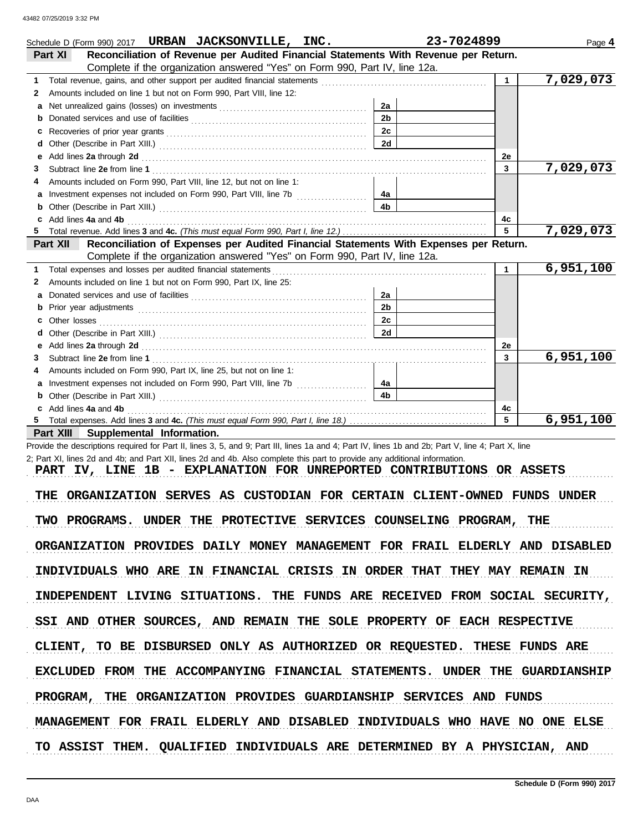|    | Schedule D (Form 990) 2017 URBAN JACKSONVILLE, INC.                                                                                                                                                                            |                | 23-7024899              | Page 4    |
|----|--------------------------------------------------------------------------------------------------------------------------------------------------------------------------------------------------------------------------------|----------------|-------------------------|-----------|
|    | Reconciliation of Revenue per Audited Financial Statements With Revenue per Return.<br>Part XI                                                                                                                                 |                |                         |           |
|    | Complete if the organization answered "Yes" on Form 990, Part IV, line 12a.                                                                                                                                                    |                |                         |           |
| 1  |                                                                                                                                                                                                                                |                | $\mathbf 1$             | 7,029,073 |
| 2  | Amounts included on line 1 but not on Form 990, Part VIII, line 12:                                                                                                                                                            |                |                         |           |
| a  |                                                                                                                                                                                                                                | 2a             |                         |           |
|    | Donated services and use of facilities [[11, 11] contracts and service in the service of facilities [[11, 11] contracts and use of facilities [[11, 11] contracts are not apply and the service of the service of the service  | 2 <sub>b</sub> |                         |           |
| с  |                                                                                                                                                                                                                                | 2c             |                         |           |
| d  |                                                                                                                                                                                                                                | 2d             |                         |           |
| е  | Add lines 2a through 2d [11] Add [12] Add lines 2a through 2d [12] Add lines 2a through 2d [12] Add lines 2a through 2d [12] Add and the set of the set of the set of the set of the set of the set of the set of the set of t |                | 2е                      |           |
| 3. |                                                                                                                                                                                                                                |                | $\overline{\mathbf{3}}$ | 7,029,073 |
|    | Amounts included on Form 990, Part VIII, line 12, but not on line 1:                                                                                                                                                           |                |                         |           |
|    |                                                                                                                                                                                                                                | 4а             |                         |           |
| b  |                                                                                                                                                                                                                                | 4 <sub>b</sub> |                         |           |
| c  | Add lines 4a and 4b                                                                                                                                                                                                            |                | 4c                      |           |
|    |                                                                                                                                                                                                                                |                | $\overline{5}$          | 7,029,073 |
|    | Reconciliation of Expenses per Audited Financial Statements With Expenses per Return.<br>Part XII                                                                                                                              |                |                         |           |
|    | Complete if the organization answered "Yes" on Form 990, Part IV, line 12a.                                                                                                                                                    |                |                         |           |
| 1. |                                                                                                                                                                                                                                |                | $\mathbf{1}$            | 6,951,100 |
| 2  | Amounts included on line 1 but not on Form 990, Part IX, line 25:                                                                                                                                                              |                |                         |           |
| a  |                                                                                                                                                                                                                                | 2a             |                         |           |
| b  |                                                                                                                                                                                                                                | 2 <sub>b</sub> |                         |           |
| c  | Other losses                                                                                                                                                                                                                   | 2c             |                         |           |
| d  |                                                                                                                                                                                                                                | 2d             |                         |           |
| е  |                                                                                                                                                                                                                                |                | 2e                      |           |
| 3  |                                                                                                                                                                                                                                |                | 3                       | 6,951,100 |
|    | Amounts included on Form 990, Part IX, line 25, but not on line 1:                                                                                                                                                             |                |                         |           |
| a  |                                                                                                                                                                                                                                | 4a             |                         |           |
| b  |                                                                                                                                                                                                                                | 4 <sub>b</sub> |                         |           |
|    | Add lines 4a and 4b                                                                                                                                                                                                            |                | 4c                      |           |
|    |                                                                                                                                                                                                                                |                | 5                       | 6,951,100 |
|    | Part XIII<br>Supplemental Information.                                                                                                                                                                                         |                |                         |           |

Provide the descriptions required for Part II, lines 3, 5, and 9; Part III, lines 1a and 4; Part IV, lines 1b and 2b; Part V, line 4; Part X, line 2; Part XI, lines 2d and 4b; and Part XII, lines 2d and 4b. Also complete this part to provide any additional information.

PART IV, LINE 1B - EXPLANATION FOR UNREPORTED CONTRIBUTIONS OR ASSETS THE ORGANIZATION SERVES AS CUSTODIAN FOR CERTAIN CLIENT-OWNED FUNDS UNDER TWO PROGRAMS. UNDER THE PROTECTIVE SERVICES COUNSELING PROGRAM, THE ORGANIZATION PROVIDES DAILY MONEY MANAGEMENT FOR FRAIL ELDERLY AND DISABLED INDIVIDUALS WHO ARE IN FINANCIAL CRISIS IN ORDER THAT THEY MAY REMAIN IN INDEPENDENT LIVING SITUATIONS. THE FUNDS ARE RECEIVED FROM SOCIAL SECURITY, SSI AND OTHER SOURCES, AND REMAIN THE SOLE PROPERTY OF EACH RESPECTIVE PROGRAM, THE ORGANIZATION PROVIDES GUARDIANSHIP SERVICES AND FUNDS CLIENT, TO BE DISBURSED ONLY AS AUTHORIZED OR REQUESTED. THESE FUNDS ARE EXCLUDED FROM THE ACCOMPANYING FINANCIAL STATEMENTS. UNDER THE GUARDIANSHIP MANAGEMENT FOR FRAIL ELDERLY AND DISABLED INDIVIDUALS WHO HAVE NO ONE ELSE TO ASSIST THEM. QUALIFIED INDIVIDUALS ARE DETERMINED BY A PHYSICIAN, AND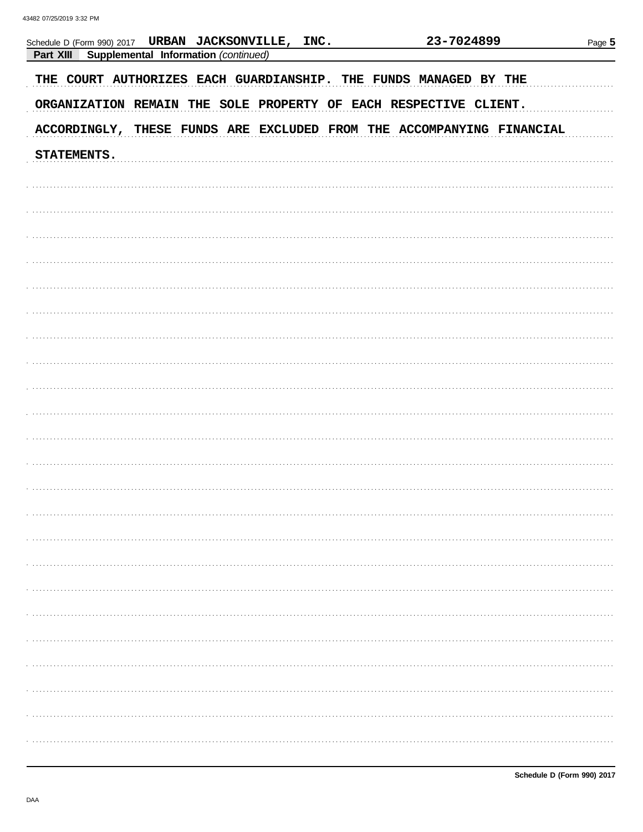| Schedule D (Form 990) 2017 URBAN JACKSONVILLE, INC.                   | 23-7024899 | Page 5 |
|-----------------------------------------------------------------------|------------|--------|
| Supplemental Information (continued)<br>Part XIII                     |            |        |
| THE COURT AUTHORIZES EACH GUARDIANSHIP. THE FUNDS MANAGED BY THE      |            |        |
| ORGANIZATION REMAIN THE SOLE PROPERTY OF EACH RESPECTIVE CLIENT.      |            |        |
| ACCORDINGLY, THESE FUNDS ARE EXCLUDED FROM THE ACCOMPANYING FINANCIAL |            |        |
| STATEMENTS.                                                           |            |        |
|                                                                       |            |        |
|                                                                       |            |        |
|                                                                       |            |        |
|                                                                       |            |        |
|                                                                       |            |        |
|                                                                       |            |        |
|                                                                       |            |        |
|                                                                       |            |        |
|                                                                       |            |        |
|                                                                       |            |        |
|                                                                       |            |        |
|                                                                       |            |        |
|                                                                       |            |        |
|                                                                       |            |        |
|                                                                       |            |        |
|                                                                       |            |        |
|                                                                       |            |        |
|                                                                       |            |        |
|                                                                       |            |        |
|                                                                       |            |        |
|                                                                       |            |        |
|                                                                       |            |        |
|                                                                       |            |        |
|                                                                       |            |        |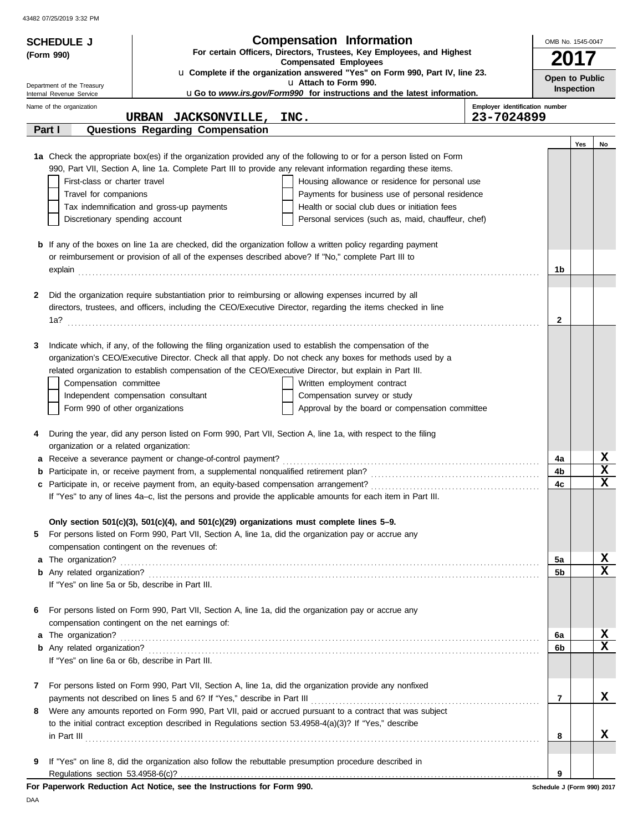| <b>SCHEDULE J</b>                                |                                                                                                     | <b>Compensation Information</b>                                                                                                                                                                                                |                            | OMB No. 1545-0047            |
|--------------------------------------------------|-----------------------------------------------------------------------------------------------------|--------------------------------------------------------------------------------------------------------------------------------------------------------------------------------------------------------------------------------|----------------------------|------------------------------|
| (Form 990)                                       |                                                                                                     | For certain Officers, Directors, Trustees, Key Employees, and Highest                                                                                                                                                          |                            |                              |
|                                                  |                                                                                                     | <b>Compensated Employees</b><br>u Complete if the organization answered "Yes" on Form 990, Part IV, line 23.                                                                                                                   |                            |                              |
| Department of the Treasury                       |                                                                                                     | u Attach to Form 990.                                                                                                                                                                                                          |                            | Open to Public<br>Inspection |
| Internal Revenue Service                         |                                                                                                     | <b>uGo to www.irs.gov/Form990 for instructions and the latest information.</b>                                                                                                                                                 |                            |                              |
| Name of the organization                         | URBAN JACKSONVILLE, INC.                                                                            | Employer identification number<br>23-7024899                                                                                                                                                                                   |                            |                              |
| Part I                                           | Questions Regarding Compensation                                                                    |                                                                                                                                                                                                                                |                            |                              |
|                                                  |                                                                                                     |                                                                                                                                                                                                                                |                            | Yes<br>No                    |
|                                                  |                                                                                                     | 1a Check the appropriate box(es) if the organization provided any of the following to or for a person listed on Form                                                                                                           |                            |                              |
|                                                  |                                                                                                     | 990, Part VII, Section A, line 1a. Complete Part III to provide any relevant information regarding these items.                                                                                                                |                            |                              |
| First-class or charter travel                    |                                                                                                     | Housing allowance or residence for personal use                                                                                                                                                                                |                            |                              |
| Travel for companions                            |                                                                                                     | Payments for business use of personal residence                                                                                                                                                                                |                            |                              |
|                                                  | Tax indemnification and gross-up payments                                                           | Health or social club dues or initiation fees                                                                                                                                                                                  |                            |                              |
| Discretionary spending account                   |                                                                                                     | Personal services (such as, maid, chauffeur, chef)                                                                                                                                                                             |                            |                              |
|                                                  |                                                                                                     |                                                                                                                                                                                                                                |                            |                              |
|                                                  |                                                                                                     | <b>b</b> If any of the boxes on line 1a are checked, did the organization follow a written policy regarding payment<br>or reimbursement or provision of all of the expenses described above? If "No," complete Part III to     |                            |                              |
|                                                  |                                                                                                     |                                                                                                                                                                                                                                | 1b                         |                              |
|                                                  |                                                                                                     | explain continuous contract to the contract of the contract of the contract of the contract of the contract of the contract of the contract of the contract of the contract of the contract of the contract of the contract of |                            |                              |
| 2                                                |                                                                                                     | Did the organization require substantiation prior to reimbursing or allowing expenses incurred by all                                                                                                                          |                            |                              |
|                                                  |                                                                                                     | directors, trustees, and officers, including the CEO/Executive Director, regarding the items checked in line                                                                                                                   |                            |                              |
|                                                  |                                                                                                     |                                                                                                                                                                                                                                | 2                          |                              |
|                                                  |                                                                                                     |                                                                                                                                                                                                                                |                            |                              |
| 3                                                |                                                                                                     | Indicate which, if any, of the following the filing organization used to establish the compensation of the                                                                                                                     |                            |                              |
|                                                  |                                                                                                     | organization's CEO/Executive Director. Check all that apply. Do not check any boxes for methods used by a                                                                                                                      |                            |                              |
|                                                  |                                                                                                     | related organization to establish compensation of the CEO/Executive Director, but explain in Part III.                                                                                                                         |                            |                              |
| Compensation committee                           |                                                                                                     | Written employment contract                                                                                                                                                                                                    |                            |                              |
|                                                  | Independent compensation consultant                                                                 | Compensation survey or study                                                                                                                                                                                                   |                            |                              |
| Form 990 of other organizations                  |                                                                                                     | Approval by the board or compensation committee                                                                                                                                                                                |                            |                              |
|                                                  |                                                                                                     |                                                                                                                                                                                                                                |                            |                              |
| 4                                                |                                                                                                     | During the year, did any person listed on Form 990, Part VII, Section A, line 1a, with respect to the filing                                                                                                                   |                            |                              |
| organization or a related organization:          |                                                                                                     |                                                                                                                                                                                                                                |                            |                              |
|                                                  |                                                                                                     |                                                                                                                                                                                                                                | 4a                         | X<br>$\overline{\mathbf{x}}$ |
|                                                  |                                                                                                     |                                                                                                                                                                                                                                | 4b                         | $\overline{\mathbf{x}}$      |
|                                                  |                                                                                                     | If "Yes" to any of lines 4a-c, list the persons and provide the applicable amounts for each item in Part III.                                                                                                                  | 4c                         |                              |
|                                                  |                                                                                                     |                                                                                                                                                                                                                                |                            |                              |
|                                                  | Only section $501(c)(3)$ , $501(c)(4)$ , and $501(c)(29)$ organizations must complete lines $5-9$ . |                                                                                                                                                                                                                                |                            |                              |
| 5                                                |                                                                                                     | For persons listed on Form 990, Part VII, Section A, line 1a, did the organization pay or accrue any                                                                                                                           |                            |                              |
|                                                  | compensation contingent on the revenues of:                                                         |                                                                                                                                                                                                                                |                            |                              |
|                                                  |                                                                                                     |                                                                                                                                                                                                                                | 5a                         | X                            |
|                                                  |                                                                                                     |                                                                                                                                                                                                                                | 5b                         | $\overline{\mathbf{x}}$      |
| If "Yes" on line 5a or 5b, describe in Part III. |                                                                                                     |                                                                                                                                                                                                                                |                            |                              |
|                                                  |                                                                                                     |                                                                                                                                                                                                                                |                            |                              |
| 6                                                |                                                                                                     | For persons listed on Form 990, Part VII, Section A, line 1a, did the organization pay or accrue any                                                                                                                           |                            |                              |
|                                                  | compensation contingent on the net earnings of:                                                     |                                                                                                                                                                                                                                |                            |                              |
|                                                  |                                                                                                     |                                                                                                                                                                                                                                | 6a                         | X<br>$\overline{\mathbf{x}}$ |
|                                                  |                                                                                                     |                                                                                                                                                                                                                                | 6b                         |                              |
| If "Yes" on line 6a or 6b, describe in Part III. |                                                                                                     |                                                                                                                                                                                                                                |                            |                              |
| 7                                                |                                                                                                     | For persons listed on Form 990, Part VII, Section A, line 1a, did the organization provide any nonfixed                                                                                                                        |                            |                              |
|                                                  |                                                                                                     |                                                                                                                                                                                                                                | 7                          | х                            |
| 8                                                |                                                                                                     | Were any amounts reported on Form 990, Part VII, paid or accrued pursuant to a contract that was subject                                                                                                                       |                            |                              |
|                                                  |                                                                                                     | to the initial contract exception described in Regulations section $53.4958-4(a)(3)$ ? If "Yes," describe                                                                                                                      |                            |                              |
|                                                  |                                                                                                     | $\ $ n Part III $\ $                                                                                                                                                                                                           | 8                          | x                            |
|                                                  |                                                                                                     |                                                                                                                                                                                                                                |                            |                              |
| 9                                                |                                                                                                     | If "Yes" on line 8, did the organization also follow the rebuttable presumption procedure described in                                                                                                                         |                            |                              |
|                                                  |                                                                                                     |                                                                                                                                                                                                                                | 9                          |                              |
|                                                  | For Paperwork Reduction Act Notice, see the Instructions for Form 990.                              |                                                                                                                                                                                                                                | Schedule J (Form 990) 2017 |                              |

DAA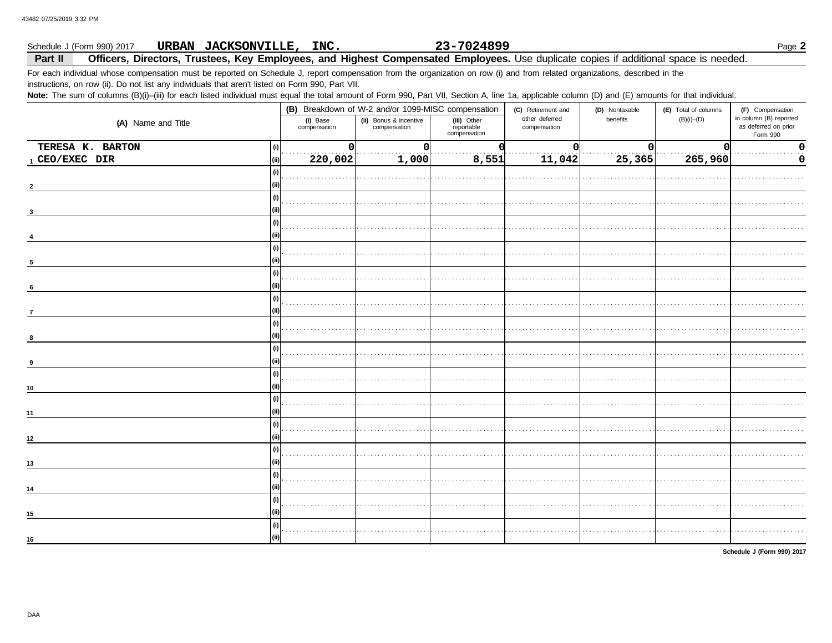## 23-7024899 URBAN JACKSONVILLE, INC. Schedule J (Form 990) 2017 Part II Officers, Directors, Trustees, Key Employees, and Highest Compensated Employees. Use duplicate copies if additional space is needed.

For each individual whose compensation must be reported on Schedule J, report compensation from the organization on row (i) and from related organizations, described in the

instructions, on row (ii). Do not list any individuals that aren't listed on Form 990, Part VII.

Note: The sum of columns (B)(i)-(iii) for each listed individual must equal the total amount of Form 990, Part VII, Section A, line 1a, applicable column (D) and (E) amounts for that individual.

|                                              |                          | (B) Breakdown of W-2 and/or 1099-MISC compensation |                                           | (C) Retirement and             | (D) Nontaxable     | (E) Total of columns | (F) Compensation                                           |
|----------------------------------------------|--------------------------|----------------------------------------------------|-------------------------------------------|--------------------------------|--------------------|----------------------|------------------------------------------------------------|
| (A) Name and Title                           | (i) Base<br>compensation | (ii) Bonus & incentive<br>compensation             | (iii) Other<br>reportable<br>compensation | other deferred<br>compensation | benefits           | $(B)(i)$ - $(D)$     | in column (B) reported<br>as deferred on prior<br>Form 990 |
| TERESA K. BARTON<br>(i)<br>$_1$ CEO/EXEC DIR | $\mathbf 0$<br>220,002   | $\Omega$<br>1,000                                  | 8,551                                     | $\Omega$<br>11,042             | $\Omega$<br>25,365 | $\Omega$<br>265,960  | $\mathbf 0$<br>0                                           |
| (i)                                          |                          |                                                    |                                           |                                |                    |                      |                                                            |
|                                              |                          |                                                    |                                           |                                |                    |                      |                                                            |
| (i)                                          |                          |                                                    |                                           |                                |                    |                      |                                                            |
| (i)                                          |                          |                                                    |                                           |                                |                    |                      |                                                            |
| (i)<br>5                                     |                          |                                                    |                                           |                                |                    |                      |                                                            |
| (i)<br>6                                     |                          |                                                    |                                           |                                |                    |                      |                                                            |
| (i)<br>$\overline{7}$                        |                          |                                                    |                                           |                                |                    |                      |                                                            |
| (i)                                          |                          |                                                    |                                           |                                |                    |                      |                                                            |
|                                              |                          |                                                    |                                           |                                |                    |                      |                                                            |
| (i)<br>10                                    |                          |                                                    |                                           |                                |                    |                      |                                                            |
|                                              |                          |                                                    |                                           |                                |                    |                      |                                                            |
| 11<br>(i)                                    |                          |                                                    |                                           |                                |                    |                      |                                                            |
| 12<br>(i)                                    |                          |                                                    |                                           |                                |                    |                      |                                                            |
| 13<br>(i)                                    |                          |                                                    |                                           |                                |                    |                      |                                                            |
| 14                                           |                          |                                                    |                                           |                                |                    |                      |                                                            |
| 15                                           |                          |                                                    |                                           |                                |                    |                      |                                                            |
| 16                                           |                          |                                                    |                                           |                                |                    |                      |                                                            |

Schedule J (Form 990) 2017

Page 2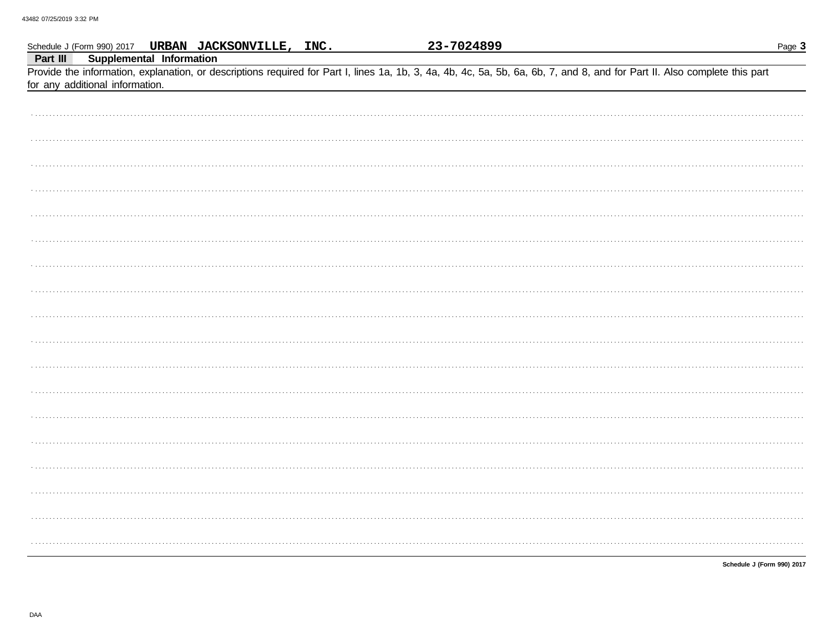| Schedule J (Form 990) 2017 URBAN JACKSONVILLE, INC.                     |  | 23-7024899                                                                                                                                                                 | Page 3                     |
|-------------------------------------------------------------------------|--|----------------------------------------------------------------------------------------------------------------------------------------------------------------------------|----------------------------|
| Supplemental Information<br>Part III<br>for any additional information. |  | Provide the information, explanation, or descriptions required for Part I, lines 1a, 1b, 3, 4a, 4b, 4c, 5a, 5b, 6a, 6b, 7, and 8, and for Part II. Also complete this part |                            |
|                                                                         |  |                                                                                                                                                                            |                            |
|                                                                         |  |                                                                                                                                                                            |                            |
|                                                                         |  |                                                                                                                                                                            |                            |
|                                                                         |  |                                                                                                                                                                            |                            |
|                                                                         |  |                                                                                                                                                                            |                            |
|                                                                         |  |                                                                                                                                                                            |                            |
|                                                                         |  |                                                                                                                                                                            |                            |
|                                                                         |  |                                                                                                                                                                            |                            |
|                                                                         |  |                                                                                                                                                                            |                            |
|                                                                         |  |                                                                                                                                                                            |                            |
|                                                                         |  |                                                                                                                                                                            |                            |
|                                                                         |  |                                                                                                                                                                            |                            |
|                                                                         |  |                                                                                                                                                                            |                            |
|                                                                         |  |                                                                                                                                                                            |                            |
|                                                                         |  |                                                                                                                                                                            |                            |
|                                                                         |  |                                                                                                                                                                            |                            |
|                                                                         |  |                                                                                                                                                                            |                            |
|                                                                         |  |                                                                                                                                                                            | Schedule J (Form 990) 2017 |

DAA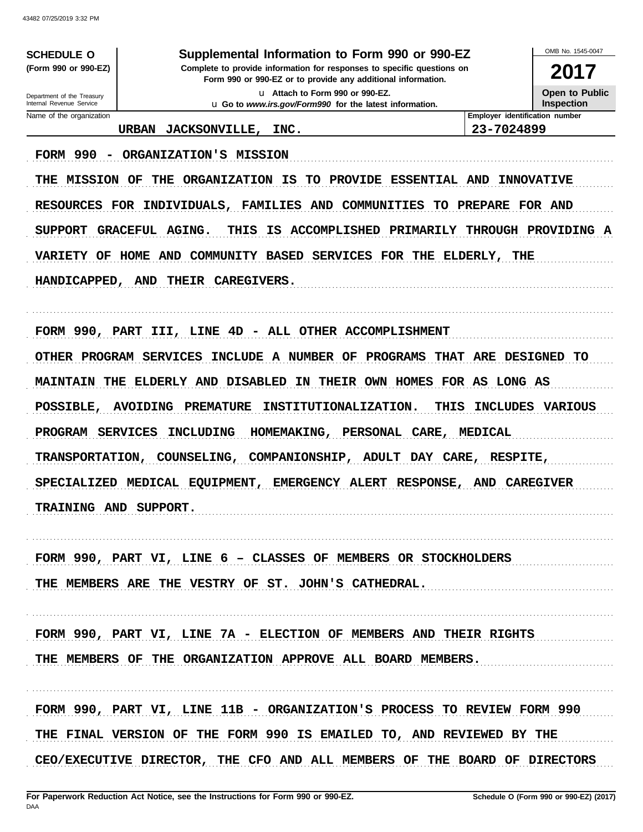**SCHEDULE O** (Form 990 or 990-EZ)

## Supplemental Information to Form 990 or 990-EZ

Complete to provide information for responses to specific questions on Form 990 or 990-EZ or to provide any additional information. u Attach to Form 990 or 990-EZ.

u Go to www.irs.gov/Form990 for the latest information.

OMB No 1545-0047

2017

Open to Public Inspection

Department of the Treasury Internal Revenue Service Name of the organization

## URBAN JACKSONVILLE, INC.

Employer identification number 23-7024899

FORM 990 - ORGANIZATION'S MISSION THE MISSION OF THE ORGANIZATION IS TO PROVIDE ESSENTIAL AND INNOVATIVE RESOURCES FOR INDIVIDUALS, FAMILIES AND COMMUNITIES TO PREPARE FOR AND SUPPORT GRACEFUL AGING. THIS IS ACCOMPLISHED PRIMARILY THROUGH PROVIDING A VARIETY OF HOME AND COMMUNITY BASED SERVICES FOR THE ELDERLY, THE HANDICAPPED, AND THEIR CAREGIVERS. FORM 990, PART III, LINE 4D - ALL OTHER ACCOMPLISHMENT OTHER PROGRAM SERVICES INCLUDE A NUMBER OF PROGRAMS THAT ARE DESIGNED TO MAINTAIN THE ELDERLY AND DISABLED IN THEIR OWN HOMES FOR AS LONG AS POSSIBLE, AVOIDING PREMATURE INSTITUTIONALIZATION. THIS INCLUDES VARIOUS PROGRAM SERVICES INCLUDING HOMEMAKING, PERSONAL CARE, MEDICAL TRANSPORTATION, COUNSELING, COMPANIONSHIP, ADULT DAY CARE, RESPITE, SPECIALIZED MEDICAL EQUIPMENT, EMERGENCY ALERT RESPONSE, AND CAREGIVER TRAINING AND SUPPORT. FORM 990, PART VI, LINE 6 - CLASSES OF MEMBERS OR STOCKHOLDERS THE MEMBERS ARE THE VESTRY OF ST. JOHN'S CATHEDRAL. FORM 990, PART VI, LINE 7A - ELECTION OF MEMBERS AND THEIR RIGHTS THE MEMBERS OF THE ORGANIZATION APPROVE ALL BOARD MEMBERS. FORM 990, PART VI, LINE 11B - ORGANIZATION'S PROCESS TO REVIEW FORM 990 THE FINAL VERSION OF THE FORM 990 IS EMAILED TO, AND REVIEWED BY THE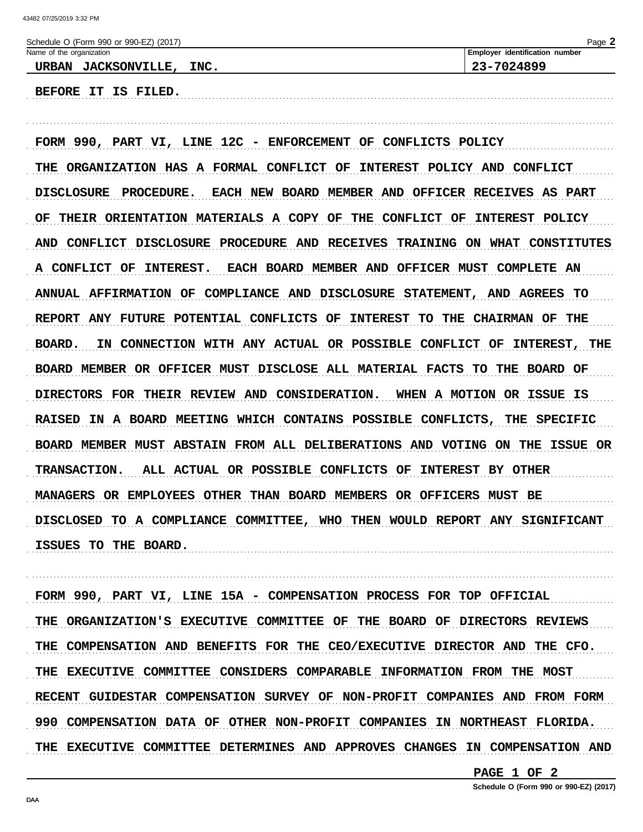BEFORE IT IS FILED.

| Schedule O (Form 990 or 990-EZ) (2017)       | Page 2                                |
|----------------------------------------------|---------------------------------------|
| Name of the organization                     | <b>Employer identification number</b> |
| INC.<br><b>URBAN</b><br><b>JACKSONVILLE,</b> | 23-7024899                            |
|                                              |                                       |

FORM 990, PART VI, LINE 12C - ENFORCEMENT OF CONFLICTS POLICY THE ORGANIZATION HAS A FORMAL CONFLICT OF INTEREST POLICY AND CONFLICT DISCLOSURE PROCEDURE. EACH NEW BOARD MEMBER AND OFFICER RECEIVES AS PART OF THEIR ORIENTATION MATERIALS A COPY OF THE CONFLICT OF INTEREST POLICY AND CONFLICT DISCLOSURE PROCEDURE AND RECEIVES TRAINING ON WHAT CONSTITUTES A CONFLICT OF INTEREST. EACH BOARD MEMBER AND OFFICER MUST COMPLETE AN ANNUAL AFFIRMATION OF COMPLIANCE AND DISCLOSURE STATEMENT, AND AGREES TO REPORT ANY FUTURE POTENTIAL CONFLICTS OF INTEREST TO THE CHAIRMAN OF THE BOARD. IN CONNECTION WITH ANY ACTUAL OR POSSIBLE CONFLICT OF INTEREST, THE BOARD MEMBER OR OFFICER MUST DISCLOSE ALL MATERIAL FACTS TO THE BOARD OF DIRECTORS FOR THEIR REVIEW AND CONSIDERATION. WHEN A MOTION OR ISSUE IS RAISED IN A BOARD MEETING WHICH CONTAINS POSSIBLE CONFLICTS, THE SPECIFIC BOARD MEMBER MUST ABSTAIN FROM ALL DELIBERATIONS AND VOTING ON THE ISSUE OR TRANSACTION. ALL ACTUAL OR POSSIBLE CONFLICTS OF INTEREST BY OTHER MANAGERS OR EMPLOYEES OTHER THAN BOARD MEMBERS OR OFFICERS MUST BE DISCLOSED TO A COMPLIANCE COMMITTEE, WHO THEN WOULD REPORT ANY SIGNIFICANT ISSUES TO THE BOARD.

FORM 990, PART VI, LINE 15A - COMPENSATION PROCESS FOR TOP OFFICIAL THE ORGANIZATION'S EXECUTIVE COMMITTEE OF THE BOARD OF DIRECTORS REVIEWS THE COMPENSATION AND BENEFITS FOR THE CEO/EXECUTIVE DIRECTOR AND THE CFO. THE EXECUTIVE COMMITTEE CONSIDERS COMPARABLE INFORMATION FROM THE MOST RECENT GUIDESTAR COMPENSATION SURVEY OF NON-PROFIT COMPANIES AND FROM FORM 990 COMPENSATION DATA OF OTHER NON-PROFIT COMPANIES IN NORTHEAST FLORIDA. THE EXECUTIVE COMMITTEE DETERMINES AND APPROVES CHANGES IN COMPENSATION AND

PAGE 1 OF 2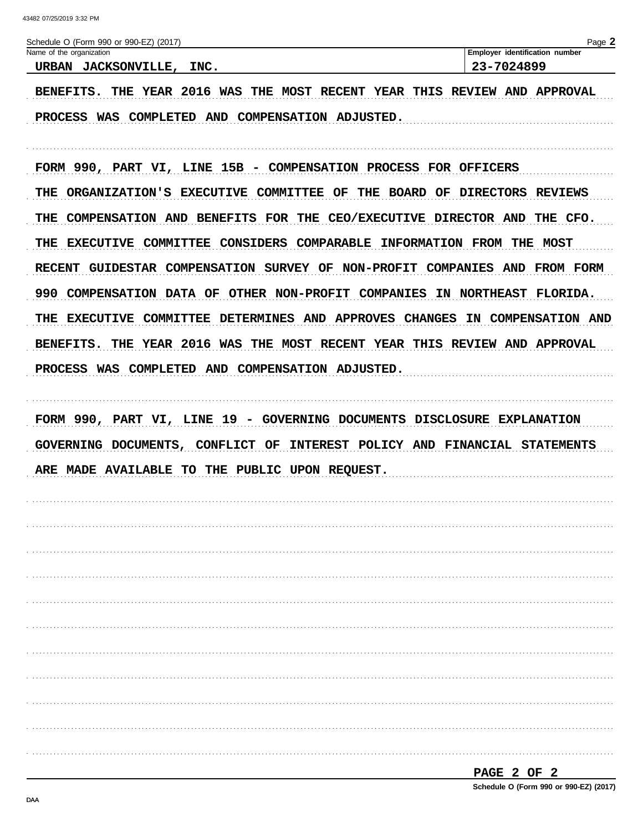| Name of the organization                                        |                                                     | Page 2<br>Employer identification number                                |
|-----------------------------------------------------------------|-----------------------------------------------------|-------------------------------------------------------------------------|
| URBAN JACKSONVILLE, INC.                                        |                                                     | 23-7024899                                                              |
| <b>BENEFITS.</b>                                                |                                                     | THE YEAR 2016 WAS THE MOST RECENT YEAR THIS REVIEW AND APPROVAL         |
| PROCESS WAS                                                     | COMPLETED AND COMPENSATION ADJUSTED.                |                                                                         |
| FORM 990, PART VI, LINE 15B - COMPENSATION PROCESS FOR OFFICERS |                                                     |                                                                         |
| ORGANIZATION'S EXECUTIVE COMMITTEE OF<br>THE                    | THE                                                 | BOARD OF DIRECTORS REVIEWS                                              |
| THE                                                             |                                                     | COMPENSATION AND BENEFITS FOR THE CEO/EXECUTIVE DIRECTOR AND THE CFO.   |
| THE                                                             |                                                     | EXECUTIVE COMMITTEE CONSIDERS COMPARABLE INFORMATION FROM THE MOST      |
| <b>RECENT</b>                                                   |                                                     | GUIDESTAR COMPENSATION SURVEY OF NON-PROFIT COMPANIES AND FROM FORM     |
| 990 COMPENSATION DATA OF OTHER NON-PROFIT COMPANIES             |                                                     | IN NORTHEAST FLORIDA.                                                   |
| THE                                                             | EXECUTIVE COMMITTEE DETERMINES AND APPROVES CHANGES | IN COMPENSATION AND                                                     |
| <b>BENEFITS.</b>                                                |                                                     | THE YEAR 2016 WAS THE MOST RECENT YEAR THIS REVIEW AND APPROVAL         |
|                                                                 |                                                     |                                                                         |
| PROCESS WAS                                                     | COMPLETED AND COMPENSATION ADJUSTED.                |                                                                         |
|                                                                 |                                                     |                                                                         |
|                                                                 |                                                     | FORM 990, PART VI, LINE 19 - GOVERNING DOCUMENTS DISCLOSURE EXPLANATION |
| GOVERNING DOCUMENTS, CONFLICT OF                                |                                                     | INTEREST POLICY AND FINANCIAL STATEMENTS                                |
| ARE MADE AVAILABLE TO THE PUBLIC UPON REQUEST.                  |                                                     |                                                                         |
|                                                                 |                                                     |                                                                         |
|                                                                 |                                                     |                                                                         |
|                                                                 |                                                     |                                                                         |
|                                                                 |                                                     |                                                                         |
|                                                                 |                                                     |                                                                         |
|                                                                 |                                                     |                                                                         |
|                                                                 |                                                     |                                                                         |
|                                                                 |                                                     |                                                                         |
|                                                                 |                                                     |                                                                         |
|                                                                 |                                                     |                                                                         |
|                                                                 |                                                     |                                                                         |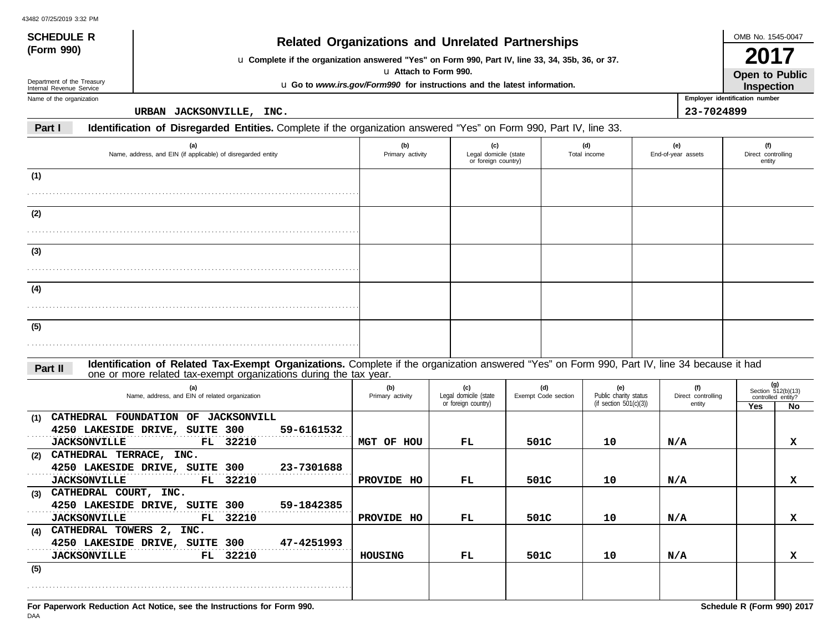| <b>SCHEDULE R</b><br><b>Related Organizations and Unrelated Partnerships</b><br>(Form 990)<br>u Complete if the organization answered "Yes" on Form 990, Part IV, line 33, 34, 35b, 36, or 37.<br>u Attach to Form 990.<br>Department of the Treasury<br>u Go to www.irs.gov/Form990 for instructions and the latest information.<br>Internal Revenue Service |                                                                                                                                                                                                                |                         |                                                     |                            |                     |                                                           |                                     |                                              |                                                         |
|---------------------------------------------------------------------------------------------------------------------------------------------------------------------------------------------------------------------------------------------------------------------------------------------------------------------------------------------------------------|----------------------------------------------------------------------------------------------------------------------------------------------------------------------------------------------------------------|-------------------------|-----------------------------------------------------|----------------------------|---------------------|-----------------------------------------------------------|-------------------------------------|----------------------------------------------|---------------------------------------------------------|
| Name of the organization                                                                                                                                                                                                                                                                                                                                      | URBAN JACKSONVILLE, INC.                                                                                                                                                                                       |                         |                                                     |                            |                     |                                                           |                                     | Employer identification number<br>23-7024899 |                                                         |
| Part I                                                                                                                                                                                                                                                                                                                                                        | Identification of Disregarded Entities. Complete if the organization answered "Yes" on Form 990, Part IV, line 33.                                                                                             |                         |                                                     |                            |                     |                                                           |                                     |                                              |                                                         |
|                                                                                                                                                                                                                                                                                                                                                               | (a)<br>Name, address, and EIN (if applicable) of disregarded entity                                                                                                                                            | (b)<br>Primary activity | (c)<br>Legal domicile (state<br>or foreign country) |                            | (d)<br>Total income |                                                           | (e)<br>End-of-year assets           | (f)<br>Direct controlling<br>entity          |                                                         |
| (1)                                                                                                                                                                                                                                                                                                                                                           |                                                                                                                                                                                                                |                         |                                                     |                            |                     |                                                           |                                     |                                              |                                                         |
|                                                                                                                                                                                                                                                                                                                                                               |                                                                                                                                                                                                                |                         |                                                     |                            |                     |                                                           |                                     |                                              |                                                         |
| (2)                                                                                                                                                                                                                                                                                                                                                           |                                                                                                                                                                                                                |                         |                                                     |                            |                     |                                                           |                                     |                                              |                                                         |
| (3)                                                                                                                                                                                                                                                                                                                                                           |                                                                                                                                                                                                                |                         |                                                     |                            |                     |                                                           |                                     |                                              |                                                         |
|                                                                                                                                                                                                                                                                                                                                                               |                                                                                                                                                                                                                |                         |                                                     |                            |                     |                                                           |                                     |                                              |                                                         |
| (4)                                                                                                                                                                                                                                                                                                                                                           |                                                                                                                                                                                                                |                         |                                                     |                            |                     |                                                           |                                     |                                              |                                                         |
|                                                                                                                                                                                                                                                                                                                                                               |                                                                                                                                                                                                                |                         |                                                     |                            |                     |                                                           |                                     |                                              |                                                         |
| (5)                                                                                                                                                                                                                                                                                                                                                           |                                                                                                                                                                                                                |                         |                                                     |                            |                     |                                                           |                                     |                                              |                                                         |
| Part II                                                                                                                                                                                                                                                                                                                                                       | Identification of Related Tax-Exempt Organizations. Complete if the organization answered "Yes" on Form 990, Part IV, line 34 because it had one or more related tax-exempt organizations during the tax year. |                         |                                                     |                            |                     |                                                           |                                     |                                              |                                                         |
|                                                                                                                                                                                                                                                                                                                                                               | (a)<br>Name, address, and EIN of related organization                                                                                                                                                          | (b)<br>Primary activity | (c)<br>Legal domicile (state<br>or foreign country) | (d)<br>Exempt Code section |                     | (e)<br>Public charity status<br>(if section $501(c)(3)$ ) | (f)<br>Direct controlling<br>entity | Yes                                          | $(g)$<br>Section 512(b)(13)<br>controlled entity?<br>No |
| (1)<br><b>JACKSONVILLE</b>                                                                                                                                                                                                                                                                                                                                    | CATHEDRAL FOUNDATION OF JACKSONVILL<br>4250 LAKESIDE DRIVE, SUITE 300<br>59-6161532<br>FL 32210                                                                                                                | MGT OF HOU              | FL.                                                 | 501C                       |                     | 10                                                        | N/A                                 |                                              | x                                                       |
| CATHEDRAL TERRACE, INC.<br>(2)                                                                                                                                                                                                                                                                                                                                | 4250 LAKESIDE DRIVE, SUITE 300<br>23-7301688                                                                                                                                                                   |                         |                                                     |                            |                     |                                                           |                                     |                                              |                                                         |
| <b>JACKSONVILLE</b>                                                                                                                                                                                                                                                                                                                                           | FL 32210                                                                                                                                                                                                       | PROVIDE HO              | FL.                                                 | 501C                       |                     | 10                                                        | N/A                                 |                                              | x                                                       |
| CATHEDRAL COURT, INC.<br>(3)<br><b>JACKSONVILLE</b>                                                                                                                                                                                                                                                                                                           | 4250 LAKESIDE DRIVE, SUITE 300<br>59-1842385<br>FL 32210                                                                                                                                                       | PROVIDE HO              | FL.                                                 | 501C                       |                     | 10                                                        | N/A                                 |                                              | x                                                       |
| (4) CATHEDRAL TOWERS 2, INC.                                                                                                                                                                                                                                                                                                                                  | 4250 LAKESIDE DRIVE, SUITE 300<br>47-4251993                                                                                                                                                                   |                         |                                                     | 501C                       |                     | 10                                                        | N/A                                 |                                              | x                                                       |
| <b>JACKSONVILLE</b>                                                                                                                                                                                                                                                                                                                                           | FL 32210                                                                                                                                                                                                       | HOUSING                 | FL.                                                 |                            |                     |                                                           |                                     |                                              |                                                         |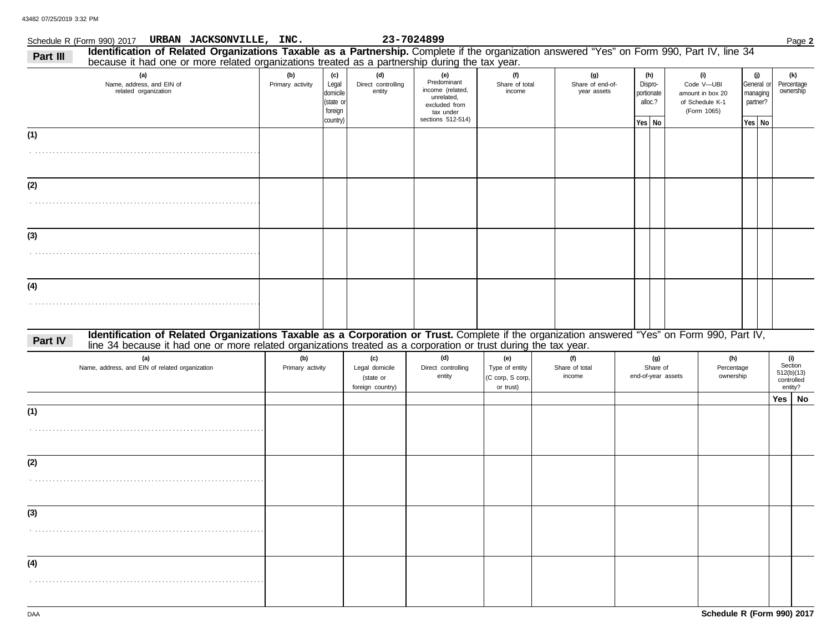. . . . . . . . . . . . . . . . . . . . . . . . . . . . . . . . . . . . . . . . . . . . . . . . . . . . . . . . . . . . . . . . .

## Schedule R (Form 990) 2017 Page **2 URBAN JACKSONVILLE, INC. 23-7024899 (a) (b) (c) (d) (e) (f)** . . . . . . . . . . . . . . . . . . . . . . . . . . . . . . . . . . . . . . . . . . . . . . . . . . . . . . . . . . . . . . . . . Name, address, and EIN of Primary activity Legal domicile (state or foreign country) Direct controlling entity Predominant income (related, unrelated, Share of total portionate alloc.? General or managing partner? **Yes No Yes No (g) (h)** . Share of end-ofyear assets Dispro-**Part III Identification of Related Organizations Taxable as a Partnership.** Complete if the organization answered "Yes" on Form 990, Part IV, line 34 **(i)** of Schedule K-1 Code V—UBI **(j)** . . . . . . . . . . . . . . . . . . . . . . . . . . . . . . . . . . . . . . . . . . . . . . . . . . . . . . . . . . . . . . . . . . . . . . . . . . . . . . . . . . . . . . . . . . . . . . . . . . . . . . . . . . . . . . . . . . . . . . . . . . . . . . . . . . amount in box 20 (Form 1065) because it had one or more related organizations treated as a partnership during the tax year. excluded from tax under sections 512-514) **(3) (2) (1)** ownership Percentage **(k)** income related organization

| Part IV | <b>Identification of Related Organizations Taxable as a Corporation or Trust.</b> Complete if the organization answered "Yes" on Form 990, Part IV,<br>line 34 because it had one or more related organizations treated as a corporation or trust during the tax year. |  |  |  |  |  |
|---------|------------------------------------------------------------------------------------------------------------------------------------------------------------------------------------------------------------------------------------------------------------------------|--|--|--|--|--|

| (a)                                            | (b)              | (c)              | (d)                          | (e)              | (f)            | (g)                            | (h)                     | (i)<br>Section           |  |
|------------------------------------------------|------------------|------------------|------------------------------|------------------|----------------|--------------------------------|-------------------------|--------------------------|--|
| Name, address, and EIN of related organization | Primary activity | Legal domicile   | Direct controlling<br>entity | Type of entity   | Share of total | Share of<br>end-of-year assets | Percentage<br>ownership |                          |  |
|                                                |                  | (state or        |                              | (C corp, S corp, | income         |                                |                         | 512(b)(13)<br>controlled |  |
|                                                |                  | foreign country) |                              | or trust)        |                |                                |                         | entity?                  |  |
|                                                |                  |                  |                              |                  |                |                                |                         | Yes $\vert$ No           |  |
|                                                |                  |                  |                              |                  |                |                                |                         |                          |  |
| (1)                                            |                  |                  |                              |                  |                |                                |                         |                          |  |
|                                                |                  |                  |                              |                  |                |                                |                         |                          |  |
|                                                |                  |                  |                              |                  |                |                                |                         |                          |  |
|                                                |                  |                  |                              |                  |                |                                |                         |                          |  |
|                                                |                  |                  |                              |                  |                |                                |                         |                          |  |
| (2)                                            |                  |                  |                              |                  |                |                                |                         |                          |  |
|                                                |                  |                  |                              |                  |                |                                |                         |                          |  |
|                                                |                  |                  |                              |                  |                |                                |                         |                          |  |
|                                                |                  |                  |                              |                  |                |                                |                         |                          |  |
|                                                |                  |                  |                              |                  |                |                                |                         |                          |  |
| (3)                                            |                  |                  |                              |                  |                |                                |                         |                          |  |
|                                                |                  |                  |                              |                  |                |                                |                         |                          |  |
|                                                |                  |                  |                              |                  |                |                                |                         |                          |  |
|                                                |                  |                  |                              |                  |                |                                |                         |                          |  |
|                                                |                  |                  |                              |                  |                |                                |                         |                          |  |
|                                                |                  |                  |                              |                  |                |                                |                         |                          |  |
| (4)                                            |                  |                  |                              |                  |                |                                |                         |                          |  |
|                                                |                  |                  |                              |                  |                |                                |                         |                          |  |
|                                                |                  |                  |                              |                  |                |                                |                         |                          |  |
|                                                |                  |                  |                              |                  |                |                                |                         |                          |  |
|                                                |                  |                  |                              |                  |                |                                |                         |                          |  |

**(4)**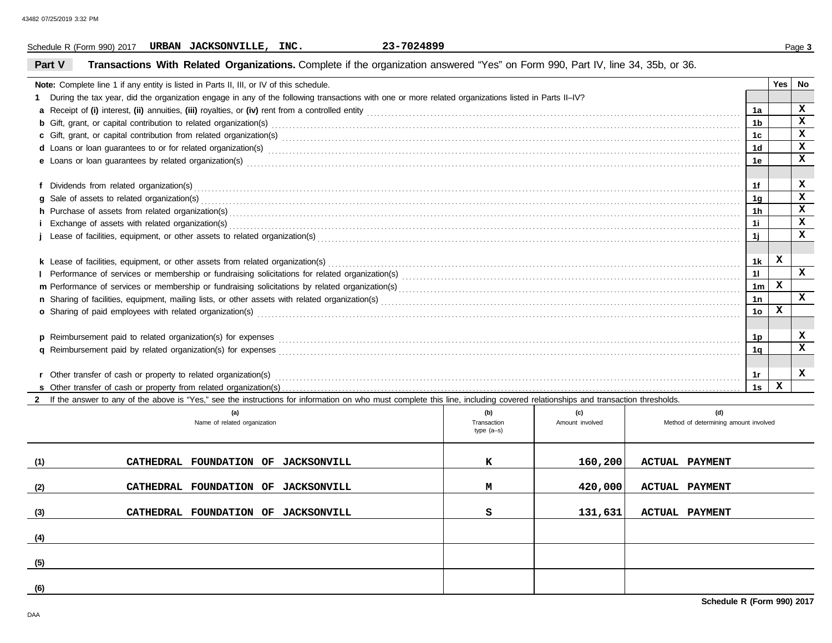## Schedule R (Form 990) 2017 Page **3 URBAN JACKSONVILLE, INC. 23-7024899**

# **Part V Transactions With Related Organizations.** Complete if the organization answered "Yes" on Form 990, Part IV, line 34, 35b, or 36.

| Note: Complete line 1 if any entity is listed in Parts II, III, or IV of this schedule.                                                                                                                                       |              |     |     |                |   |             |  |  |  |
|-------------------------------------------------------------------------------------------------------------------------------------------------------------------------------------------------------------------------------|--------------|-----|-----|----------------|---|-------------|--|--|--|
| During the tax year, did the organization engage in any of the following transactions with one or more related organizations listed in Parts II-IV?                                                                           |              |     |     |                |   |             |  |  |  |
|                                                                                                                                                                                                                               |              |     |     |                |   |             |  |  |  |
| <b>b</b> Gift, grant, or capital contribution to related organization(s) encourse contained and contained and contribution to related organization(s)                                                                         |              |     |     | 1b             |   | x           |  |  |  |
|                                                                                                                                                                                                                               |              |     |     |                |   |             |  |  |  |
| d Loans or loan guarantees to or for related organization(s) encourance contained and contained and contained and contained and contained and contained and contained and contained and contained and contained and contained |              |     |     |                |   |             |  |  |  |
|                                                                                                                                                                                                                               |              |     |     |                |   |             |  |  |  |
|                                                                                                                                                                                                                               |              |     |     |                |   |             |  |  |  |
|                                                                                                                                                                                                                               |              |     |     | 1f             |   | x           |  |  |  |
|                                                                                                                                                                                                                               |              |     |     | 1g             |   | x           |  |  |  |
|                                                                                                                                                                                                                               |              |     |     | 1h             |   | $\mathbf x$ |  |  |  |
|                                                                                                                                                                                                                               |              |     |     |                |   |             |  |  |  |
|                                                                                                                                                                                                                               |              |     |     |                |   |             |  |  |  |
|                                                                                                                                                                                                                               |              |     |     | 1j             |   |             |  |  |  |
|                                                                                                                                                                                                                               |              |     |     | 1k             | x |             |  |  |  |
|                                                                                                                                                                                                                               |              |     |     | 11             |   | x           |  |  |  |
|                                                                                                                                                                                                                               |              |     |     | 1 <sub>m</sub> | x |             |  |  |  |
|                                                                                                                                                                                                                               |              |     |     | 1n             |   | $\mathbf x$ |  |  |  |
| o Sharing of paid employees with related organization(s) encourance contains an account of the state of paid employees with related organization(s)                                                                           |              |     |     | 1 <sub>o</sub> | x |             |  |  |  |
|                                                                                                                                                                                                                               |              |     |     |                |   |             |  |  |  |
|                                                                                                                                                                                                                               |              |     |     | 1p             |   | x           |  |  |  |
|                                                                                                                                                                                                                               |              |     |     | 1q             |   | $\mathbf x$ |  |  |  |
|                                                                                                                                                                                                                               |              |     |     |                |   |             |  |  |  |
|                                                                                                                                                                                                                               |              |     |     | 1r             |   | x           |  |  |  |
|                                                                                                                                                                                                                               |              |     |     |                |   |             |  |  |  |
| 2 If the answer to any of the above is "Yes," see the instructions for information on who must complete this line, including covered relationships and transaction thresholds.                                                |              |     |     | 1s             | x |             |  |  |  |
| (a)                                                                                                                                                                                                                           | (b)          | (c) | (d) |                |   |             |  |  |  |
| Method of determining amount involved<br>Name of related organization<br>Transaction<br>Amount involved                                                                                                                       |              |     |     |                |   |             |  |  |  |
|                                                                                                                                                                                                                               | type $(a-s)$ |     |     |                |   |             |  |  |  |
|                                                                                                                                                                                                                               |              |     |     |                |   |             |  |  |  |

| (1) | CATHEDRAL FOUNDATION OF JACKSONVILL | K | 160, 200 | <b>ACTUAL PAYMENT</b> |
|-----|-------------------------------------|---|----------|-----------------------|
| (2) | CATHEDRAL FOUNDATION OF JACKSONVILL | М | 420,000  | <b>ACTUAL PAYMENT</b> |
| (3) | CATHEDRAL FOUNDATION OF JACKSONVILL | s | 131,631  | <b>ACTUAL PAYMENT</b> |
| (4) |                                     |   |          |                       |
| (5) |                                     |   |          |                       |
| (6) |                                     |   |          |                       |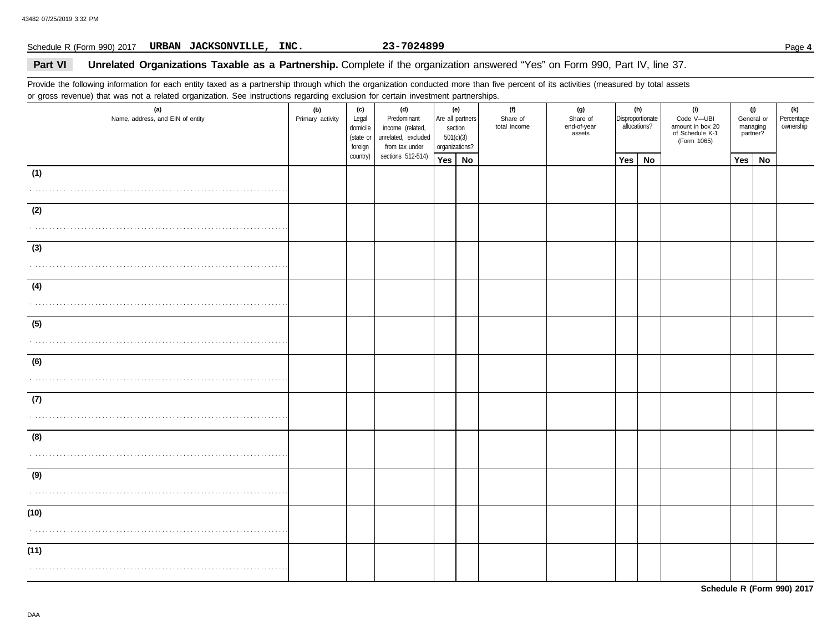## Schedule R (Form 990) 2017 Page **4 URBAN JACKSONVILLE, INC. 23-7024899**

## Part VI Unrelated Organizations Taxable as a Partnership. Complete if the organization answered "Yes" on Form 990, Part IV, line 37.

Provide the following information for each entity taxed as a partnership through which the organization conducted more than five percent of its activities (measured by total assets or gross revenue) that was not a related organization. See instructions regarding exclusion for certain investment partnerships.

| $\sim$<br>(a)<br>Name, address, and EIN of entity | ັ<br>(b)<br>Primary activity | (c)<br>Legal<br>domicile<br>(state or<br>foreign | (d)<br>Predominant<br>income (related,<br>unrelated, excluded<br>from tax under | (e)<br>Are all partners<br>section<br>501(c)(3)<br>organizations? |  | (f)<br>Share of<br>total income | (g)<br>Share of<br>end-of-year<br>assets |     | (h)<br>Disproportionate<br>allocations? | (i)<br>Code V-UBI<br>amount in box 20<br>of Schedule K-1<br>(Form 1065) | (j)<br>General or<br>managing<br>partner? |    | (k)<br>Percentage<br>ownership |  |
|---------------------------------------------------|------------------------------|--------------------------------------------------|---------------------------------------------------------------------------------|-------------------------------------------------------------------|--|---------------------------------|------------------------------------------|-----|-----------------------------------------|-------------------------------------------------------------------------|-------------------------------------------|----|--------------------------------|--|
|                                                   |                              | country)                                         | sections 512-514)                                                               | Yes   No                                                          |  |                                 |                                          | Yes | No                                      |                                                                         | Yes                                       | No |                                |  |
| (1)                                               |                              |                                                  |                                                                                 |                                                                   |  |                                 |                                          |     |                                         |                                                                         |                                           |    |                                |  |
| .                                                 |                              |                                                  |                                                                                 |                                                                   |  |                                 |                                          |     |                                         |                                                                         |                                           |    |                                |  |
| (2)                                               |                              |                                                  |                                                                                 |                                                                   |  |                                 |                                          |     |                                         |                                                                         |                                           |    |                                |  |
| .                                                 |                              |                                                  |                                                                                 |                                                                   |  |                                 |                                          |     |                                         |                                                                         |                                           |    |                                |  |
| (3)                                               |                              |                                                  |                                                                                 |                                                                   |  |                                 |                                          |     |                                         |                                                                         |                                           |    |                                |  |
|                                                   |                              |                                                  |                                                                                 |                                                                   |  |                                 |                                          |     |                                         |                                                                         |                                           |    |                                |  |
|                                                   |                              |                                                  |                                                                                 |                                                                   |  |                                 |                                          |     |                                         |                                                                         |                                           |    |                                |  |
| (4)                                               |                              |                                                  |                                                                                 |                                                                   |  |                                 |                                          |     |                                         |                                                                         |                                           |    |                                |  |
|                                                   |                              |                                                  |                                                                                 |                                                                   |  |                                 |                                          |     |                                         |                                                                         |                                           |    |                                |  |
| (5)                                               |                              |                                                  |                                                                                 |                                                                   |  |                                 |                                          |     |                                         |                                                                         |                                           |    |                                |  |
|                                                   |                              |                                                  |                                                                                 |                                                                   |  |                                 |                                          |     |                                         |                                                                         |                                           |    |                                |  |
| (6)                                               |                              |                                                  |                                                                                 |                                                                   |  |                                 |                                          |     |                                         |                                                                         |                                           |    |                                |  |
|                                                   |                              |                                                  |                                                                                 |                                                                   |  |                                 |                                          |     |                                         |                                                                         |                                           |    |                                |  |
|                                                   |                              |                                                  |                                                                                 |                                                                   |  |                                 |                                          |     |                                         |                                                                         |                                           |    |                                |  |
| (7)                                               |                              |                                                  |                                                                                 |                                                                   |  |                                 |                                          |     |                                         |                                                                         |                                           |    |                                |  |
|                                                   |                              |                                                  |                                                                                 |                                                                   |  |                                 |                                          |     |                                         |                                                                         |                                           |    |                                |  |
| (8)                                               |                              |                                                  |                                                                                 |                                                                   |  |                                 |                                          |     |                                         |                                                                         |                                           |    |                                |  |
|                                                   |                              |                                                  |                                                                                 |                                                                   |  |                                 |                                          |     |                                         |                                                                         |                                           |    |                                |  |
|                                                   |                              |                                                  |                                                                                 |                                                                   |  |                                 |                                          |     |                                         |                                                                         |                                           |    |                                |  |
| (9)                                               |                              |                                                  |                                                                                 |                                                                   |  |                                 |                                          |     |                                         |                                                                         |                                           |    |                                |  |
|                                                   |                              |                                                  |                                                                                 |                                                                   |  |                                 |                                          |     |                                         |                                                                         |                                           |    |                                |  |
| (10)                                              |                              |                                                  |                                                                                 |                                                                   |  |                                 |                                          |     |                                         |                                                                         |                                           |    |                                |  |
|                                                   |                              |                                                  |                                                                                 |                                                                   |  |                                 |                                          |     |                                         |                                                                         |                                           |    |                                |  |
| (11)                                              |                              |                                                  |                                                                                 |                                                                   |  |                                 |                                          |     |                                         |                                                                         |                                           |    |                                |  |
|                                                   |                              |                                                  |                                                                                 |                                                                   |  |                                 |                                          |     |                                         |                                                                         |                                           |    |                                |  |
|                                                   |                              |                                                  |                                                                                 |                                                                   |  |                                 |                                          |     |                                         |                                                                         |                                           |    |                                |  |

**Schedule R (Form 990) 2017**